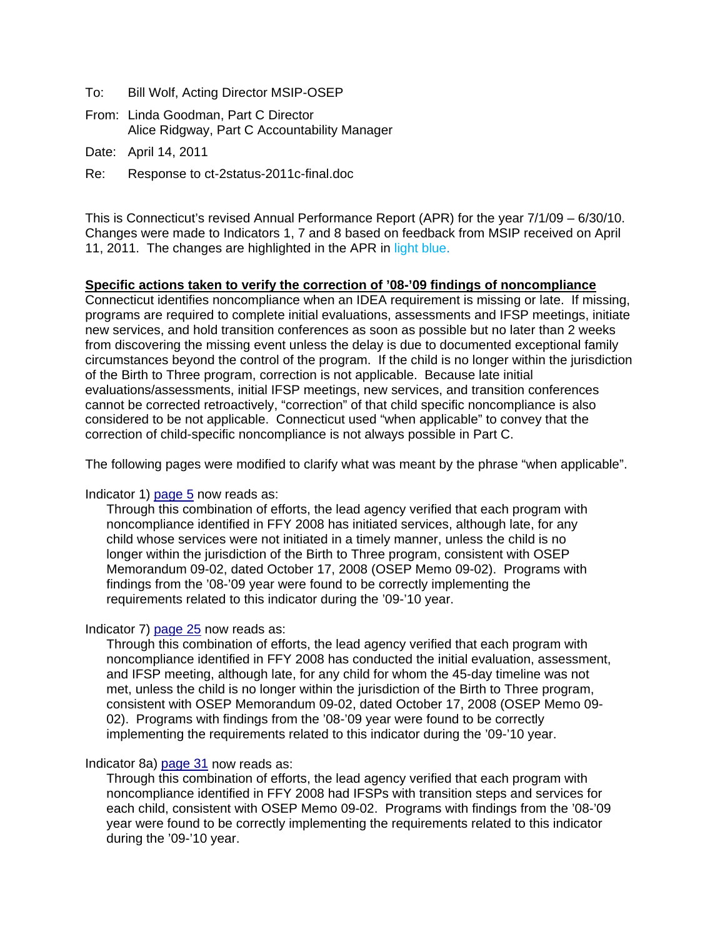- To: Bill Wolf, Acting Director MSIP-OSEP
- From: Linda Goodman, Part C Director Alice Ridgway, Part C Accountability Manager
- Date: April 14, 2011
- Re: Response to ct-2status-2011c-final.doc

This is Connecticut's revised Annual Performance Report (APR) for the year 7/1/09 – 6/30/10. Changes were made to Indicators 1, 7 and 8 based on feedback from MSIP received on April 11, 2011. The changes are highlighted in the APR in light blue.

#### **Specific actions taken to verify the correction of '08-'09 findings of noncompliance**

Connecticut identifies noncompliance when an IDEA requirement is missing or late. If missing, programs are required to complete initial evaluations, assessments and IFSP meetings, initiate new services, and hold transition conferences as soon as possible but no later than 2 weeks from discovering the missing event unless the delay is due to documented exceptional family circumstances beyond the control of the program. If the child is no longer within the jurisdiction of the Birth to Three program, correction is not applicable. Because late initial evaluations/assessments, initial IFSP meetings, new services, and transition conferences cannot be corrected retroactively, "correction" of that child specific noncompliance is also considered to be not applicable. Connecticut used "when applicable" to convey that the correction of child-specific noncompliance is not always possible in Part C.

The following pages were modified to clarify what was meant by the phrase "when applicable".

#### Indicator 1)  $page 5$  now reads as:

Through this combination of efforts, the lead agency verified that each program with noncompliance identified in FFY 2008 has initiated services, although late, for any child whose services were not initiated in a timely manner, unless the child is no longer within the jurisdiction of the Birth to Three program, consistent with OSEP Memorandum 09-02, dated October 17, 2008 (OSEP Memo 09-02). Programs with findings from the '08-'09 year were found to be correctly implementing the requirements related to this indicator during the '09-'10 year.

#### Indicator 7) [page 25](#page-26-0) now reads as:

Through this combination of efforts, the lead agency verified that each program with noncompliance identified in FFY 2008 has conducted the initial evaluation, assessment, and IFSP meeting, although late, for any child for whom the 45-day timeline was not met, unless the child is no longer within the jurisdiction of the Birth to Three program, consistent with OSEP Memorandum 09-02, dated October 17, 2008 (OSEP Memo 09- 02). Programs with findings from the '08-'09 year were found to be correctly implementing the requirements related to this indicator during the '09-'10 year.

#### Indicator 8a) [page 31](#page-32-0) now reads as:

Through this combination of efforts, the lead agency verified that each program with noncompliance identified in FFY 2008 had IFSPs with transition steps and services for each child, consistent with OSEP Memo 09-02. Programs with findings from the '08-'09 year were found to be correctly implementing the requirements related to this indicator during the '09-'10 year.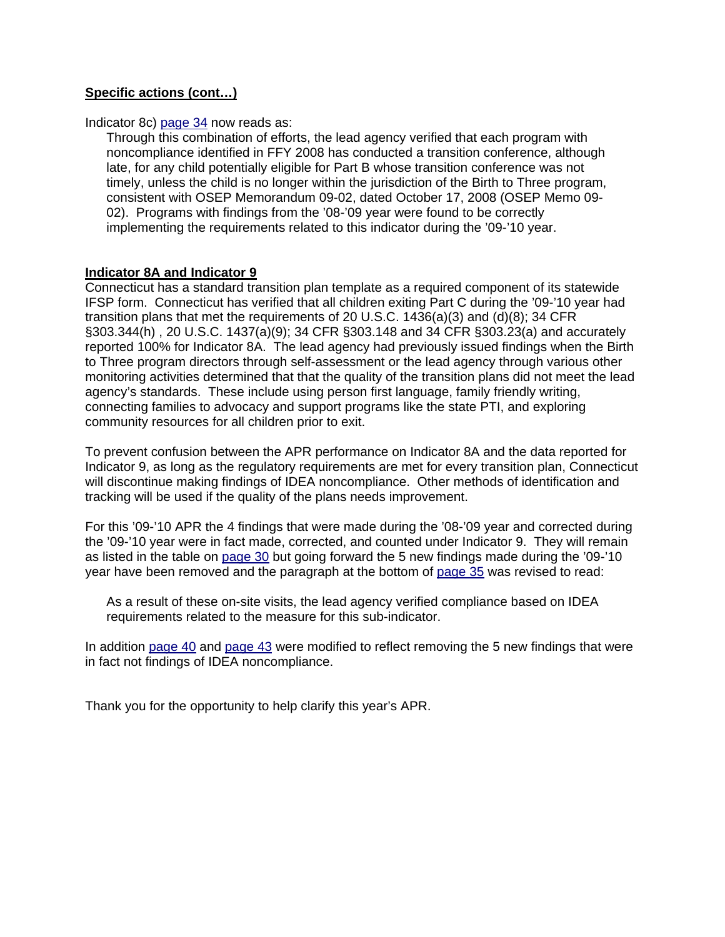# **Specific actions (cont…)**

Indicator 8c) [page 34](#page-35-0) now reads as:

Through this combination of efforts, the lead agency verified that each program with noncompliance identified in FFY 2008 has conducted a transition conference, although late, for any child potentially eligible for Part B whose transition conference was not timely, unless the child is no longer within the jurisdiction of the Birth to Three program, consistent with OSEP Memorandum 09-02, dated October 17, 2008 (OSEP Memo 09- 02). Programs with findings from the '08-'09 year were found to be correctly implementing the requirements related to this indicator during the '09-'10 year.

## **Indicator 8A and Indicator 9**

Connecticut has a standard transition plan template as a required component of its statewide IFSP form. Connecticut has verified that all children exiting Part C during the '09-'10 year had transition plans that met the requirements of 20 U.S.C. 1436(a)(3) and (d)(8); 34 CFR §303.344(h) , 20 U.S.C. 1437(a)(9); 34 CFR §303.148 and 34 CFR §303.23(a) and accurately reported 100% for Indicator 8A. The lead agency had previously issued findings when the Birth to Three program directors through self-assessment or the lead agency through various other monitoring activities determined that that the quality of the transition plans did not meet the lead agency's standards. These include using person first language, family friendly writing, connecting families to advocacy and support programs like the state PTI, and exploring community resources for all children prior to exit.

To prevent confusion between the APR performance on Indicator 8A and the data reported for Indicator 9, as long as the regulatory requirements are met for every transition plan, Connecticut will discontinue making findings of IDEA noncompliance. Other methods of identification and tracking will be used if the quality of the plans needs improvement.

For this '09-'10 APR the 4 findings that were made during the '08-'09 year and corrected during the '09-'10 year were in fact made, corrected, and counted under Indicator 9. They will remain as listed in the table on [page 30](#page-31-0) but going forward the 5 new findings made during the '09-'10 year have been removed and the paragraph at the bottom of [page 35](#page-36-0) was revised to read:

As a result of these on-site visits, the lead agency verified compliance based on IDEA requirements related to the measure for this sub-indicator.

In addition [page 40](#page-41-0) and [page 43](#page-44-0) were modified to reflect removing the 5 new findings that were in fact not findings of IDEA noncompliance.

Thank you for the opportunity to help clarify this year's APR.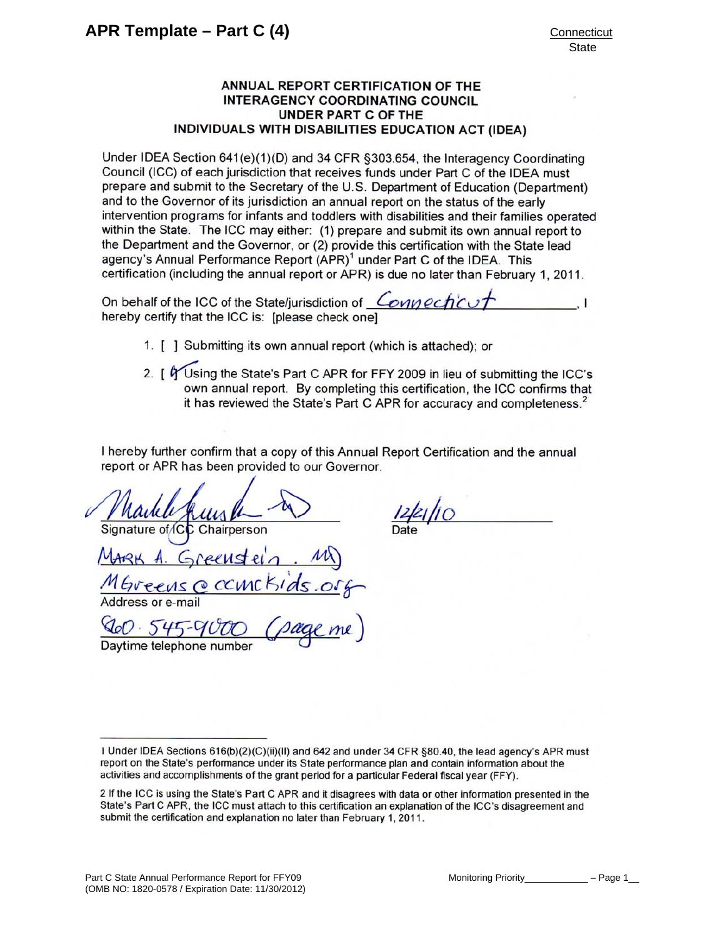#### ANNUAL REPORT CERTIFICATION OF THE **INTERAGENCY COORDINATING COUNCIL UNDER PART C OF THE** INDIVIDUALS WITH DISABILITIES EDUCATION ACT (IDEA)

Under IDEA Section 641(e)(1)(D) and 34 CFR §303.654, the Interagency Coordinating Council (ICC) of each jurisdiction that receives funds under Part C of the IDEA must prepare and submit to the Secretary of the U.S. Department of Education (Department) and to the Governor of its jurisdiction an annual report on the status of the early intervention programs for infants and toddlers with disabilities and their families operated within the State. The ICC may either: (1) prepare and submit its own annual report to the Department and the Governor, or (2) provide this certification with the State lead agency's Annual Performance Report (APR)<sup>1</sup> under Part C of the IDEA. This certification (including the annual report or APR) is due no later than February 1, 2011.

On behalf of the ICC of the State/jurisdiction of Connection hereby certify that the ICC is: [please check one]

- 1. [ ] Submitting its own annual report (which is attached); or
- 2. [ G Using the State's Part C APR for FFY 2009 in lieu of submitting the ICC's own annual report. By completing this certification, the ICC confirms that it has reviewed the State's Part C APR for accuracy and completeness.<sup>2</sup>

I hereby further confirm that a copy of this Annual Report Certification and the annual report or APR has been provided to our Governor.

nature of IC Chairperson  $PPASC$ CCIMC ress or e-mail

Daytime telephone number

<sup>1</sup> Under IDEA Sections 616(b)(2)(C)(ii)(II) and 642 and under 34 CFR §80.40, the lead agency's APR must report on the State's performance under its State performance plan and contain information about the activities and accomplishments of the grant period for a particular Federal fiscal year (FFY).

<sup>2</sup> If the ICC is using the State's Part C APR and it disagrees with data or other information presented in the State's Part C APR, the ICC must attach to this certification an explanation of the ICC's disagreement and submit the certification and explanation no later than February 1, 2011.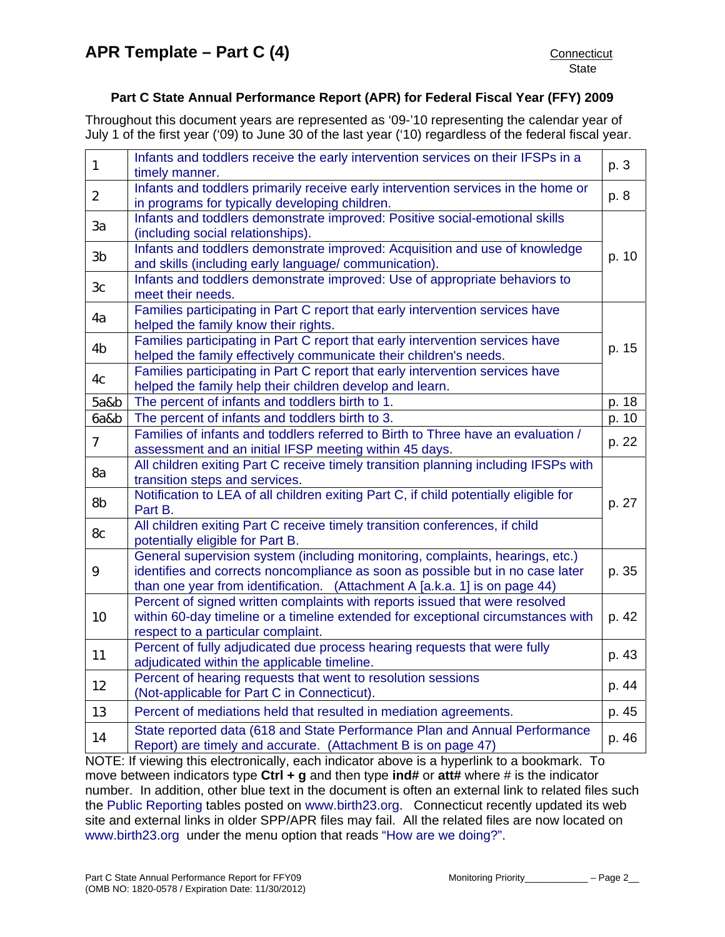# **Part C State Annual Performance Report (APR) for Federal Fiscal Year (FFY) 2009**

Throughout this document years are represented as '09-'10 representing the calendar year of July 1 of the first year ('09) to June 30 of the last year ('10) regardless of the federal fiscal year.

| Infants and toddlers receive the early intervention services on their IFSPs in a<br>timely manner.                                                                                                                                            | p. 3                                                                                                                                                                                                                                                                                                                                                            |
|-----------------------------------------------------------------------------------------------------------------------------------------------------------------------------------------------------------------------------------------------|-----------------------------------------------------------------------------------------------------------------------------------------------------------------------------------------------------------------------------------------------------------------------------------------------------------------------------------------------------------------|
| Infants and toddlers primarily receive early intervention services in the home or                                                                                                                                                             | p. 8                                                                                                                                                                                                                                                                                                                                                            |
| Infants and toddlers demonstrate improved: Positive social-emotional skills                                                                                                                                                                   |                                                                                                                                                                                                                                                                                                                                                                 |
| Infants and toddlers demonstrate improved: Acquisition and use of knowledge<br>and skills (including early language/ communication).                                                                                                          | p. 10                                                                                                                                                                                                                                                                                                                                                           |
| Infants and toddlers demonstrate improved: Use of appropriate behaviors to<br>meet their needs.                                                                                                                                               |                                                                                                                                                                                                                                                                                                                                                                 |
| Families participating in Part C report that early intervention services have<br>helped the family know their rights.                                                                                                                         |                                                                                                                                                                                                                                                                                                                                                                 |
| Families participating in Part C report that early intervention services have                                                                                                                                                                 | p. 15                                                                                                                                                                                                                                                                                                                                                           |
| Families participating in Part C report that early intervention services have                                                                                                                                                                 |                                                                                                                                                                                                                                                                                                                                                                 |
| The percent of infants and toddlers birth to 1.                                                                                                                                                                                               | p. 18                                                                                                                                                                                                                                                                                                                                                           |
| The percent of infants and toddlers birth to 3.                                                                                                                                                                                               | p. 10                                                                                                                                                                                                                                                                                                                                                           |
| Families of infants and toddlers referred to Birth to Three have an evaluation /                                                                                                                                                              | p. 22                                                                                                                                                                                                                                                                                                                                                           |
| All children exiting Part C receive timely transition planning including IFSPs with                                                                                                                                                           |                                                                                                                                                                                                                                                                                                                                                                 |
| Notification to LEA of all children exiting Part C, if child potentially eligible for                                                                                                                                                         | p. 27                                                                                                                                                                                                                                                                                                                                                           |
| All children exiting Part C receive timely transition conferences, if child                                                                                                                                                                   |                                                                                                                                                                                                                                                                                                                                                                 |
| General supervision system (including monitoring, complaints, hearings, etc.)<br>identifies and corrects noncompliance as soon as possible but in no case later<br>than one year from identification. (Attachment A [a.k.a. 1] is on page 44) | p. 35                                                                                                                                                                                                                                                                                                                                                           |
| Percent of signed written complaints with reports issued that were resolved<br>within 60-day timeline or a timeline extended for exceptional circumstances with<br>respect to a particular complaint.                                         | p. 42                                                                                                                                                                                                                                                                                                                                                           |
| Percent of fully adjudicated due process hearing requests that were fully<br>adjudicated within the applicable timeline.                                                                                                                      | p. 43                                                                                                                                                                                                                                                                                                                                                           |
| Percent of hearing requests that went to resolution sessions<br>(Not-applicable for Part C in Connecticut).                                                                                                                                   | p. 44                                                                                                                                                                                                                                                                                                                                                           |
| Percent of mediations held that resulted in mediation agreements.                                                                                                                                                                             | p. 45                                                                                                                                                                                                                                                                                                                                                           |
| State reported data (618 and State Performance Plan and Annual Performance<br>Report) are timely and accurate. (Attachment B is on page 47)                                                                                                   | p. 46                                                                                                                                                                                                                                                                                                                                                           |
|                                                                                                                                                                                                                                               | in programs for typically developing children.<br>(including social relationships).<br>helped the family effectively communicate their children's needs.<br>helped the family help their children develop and learn.<br>assessment and an initial IFSP meeting within 45 days.<br>transition steps and services.<br>Part B.<br>potentially eligible for Part B. |

NOTE: If viewing this electronically, each indicator above is a hyperlink to a bookmark. To move between indicators type **Ctrl + g** and then type **ind#** or **att#** where # is the indicator number. In addition, other blue text in the document is often an external link to related files such the [Public Reporting](http://www.birth23.org/Accountability/PR/PublicReporting.htm) tables posted on [www.birth23.org](http://www.birth23.org/). Connecticut recently updated its web site and external links in older SPP/APR files may fail. All the related files are now located on [www.birth23.org](http://www.birth23.org/) under the menu option that reads ["How are we doing?"](http://birth23.org/accountability/accountability.html).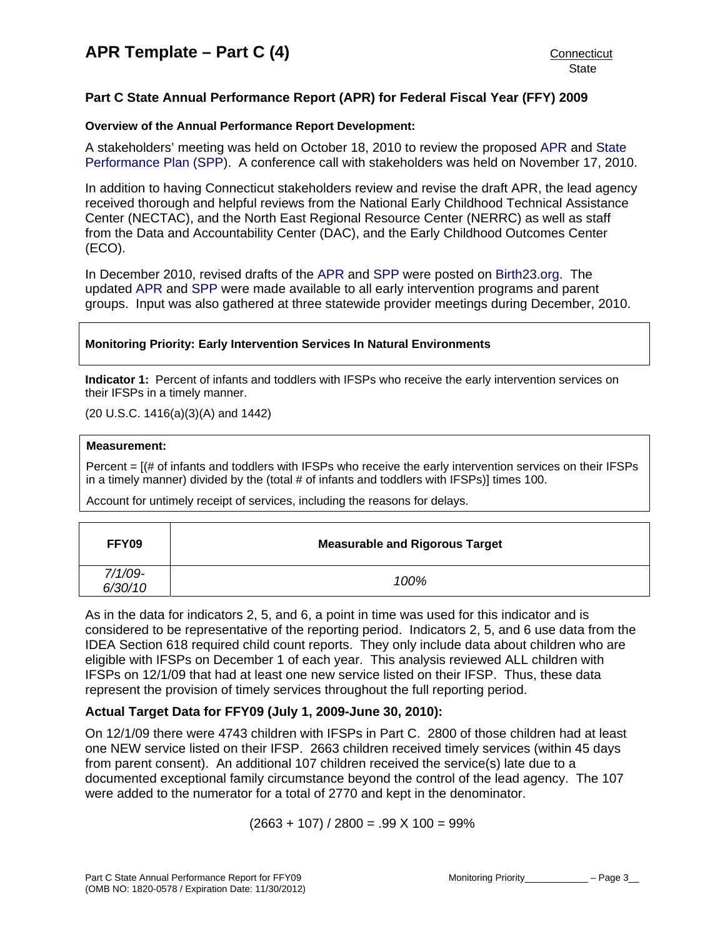# <span id="page-4-0"></span>**Part C State Annual Performance Report (APR) for Federal Fiscal Year (FFY) 2009**

#### **Overview of the Annual Performance Report Development:**

A stakeholders' meeting was held on October 18, 2010 to review the proposed [APR](http://www.birth23.org/Accountability/SPP/SPPAPR.html) and [State](http://www.birth23.org/Accountability/SPP/SPPAPR.html)  [Performance Plan \(SPP\)](http://www.birth23.org/Accountability/SPP/SPPAPR.html). A conference call with stakeholders was held on November 17, 2010.

In addition to having Connecticut stakeholders review and revise the draft APR, the lead agency received thorough and helpful reviews from the National Early Childhood Technical Assistance Center (NECTAC), and the North East Regional Resource Center (NERRC) as well as staff from the Data and Accountability Center (DAC), and the Early Childhood Outcomes Center (ECO).

In December 2010, revised drafts of the [APR](http://www.birth23.org/Accountability/SPP/SPPAPR.html) and [SPP](http://www.birth23.org/Accountability/SPP/SPPAPR.html) were posted on [Birth23.org](http://www.birth23.org/). The updated [APR](http://www.birth23.org/Accountability/SPP/SPPAPR.html) and [SPP](http://www.birth23.org/Accountability/SPP/SPPAPR.html) were made available to all early intervention programs and parent groups. Input was also gathered at three statewide provider meetings during December, 2010.

#### **Monitoring Priority: Early Intervention Services In Natural Environments**

**Indicator 1:** Percent of infants and toddlers with IFSPs who receive the early intervention services on their IFSPs in a timely manner.

(20 U.S.C. 1416(a)(3)(A) and 1442)

#### **Measurement:**

Percent = [(# of infants and toddlers with IFSPs who receive the early intervention services on their IFSPs in a timely manner) divided by the (total # of infants and toddlers with IFSPs)] times 100.

Account for untimely receipt of services, including the reasons for delays.

| FFY09                 | <b>Measurable and Rigorous Target</b> |
|-----------------------|---------------------------------------|
| $7/1/09 -$<br>6/30/10 | 100%                                  |

As in the data for indicators 2, 5, and 6, a point in time was used for this indicator and is considered to be representative of the reporting period. Indicators 2, 5, and 6 use data from the IDEA Section 618 required child count reports. They only include data about children who are eligible with IFSPs on December 1 of each year. This analysis reviewed ALL children with IFSPs on 12/1/09 that had at least one new service listed on their IFSP. Thus, these data represent the provision of timely services throughout the full reporting period.

# **Actual Target Data for FFY09 (July 1, 2009-June 30, 2010):**

On 12/1/09 there were 4743 children with IFSPs in Part C. 2800 of those children had at least one NEW service listed on their IFSP. 2663 children received timely services (within 45 days from parent consent). An additional 107 children received the service(s) late due to a documented exceptional family circumstance beyond the control of the lead agency. The 107 were added to the numerator for a total of 2770 and kept in the denominator.

 $(2663 + 107) / 2800 = .99 X 100 = 99\%$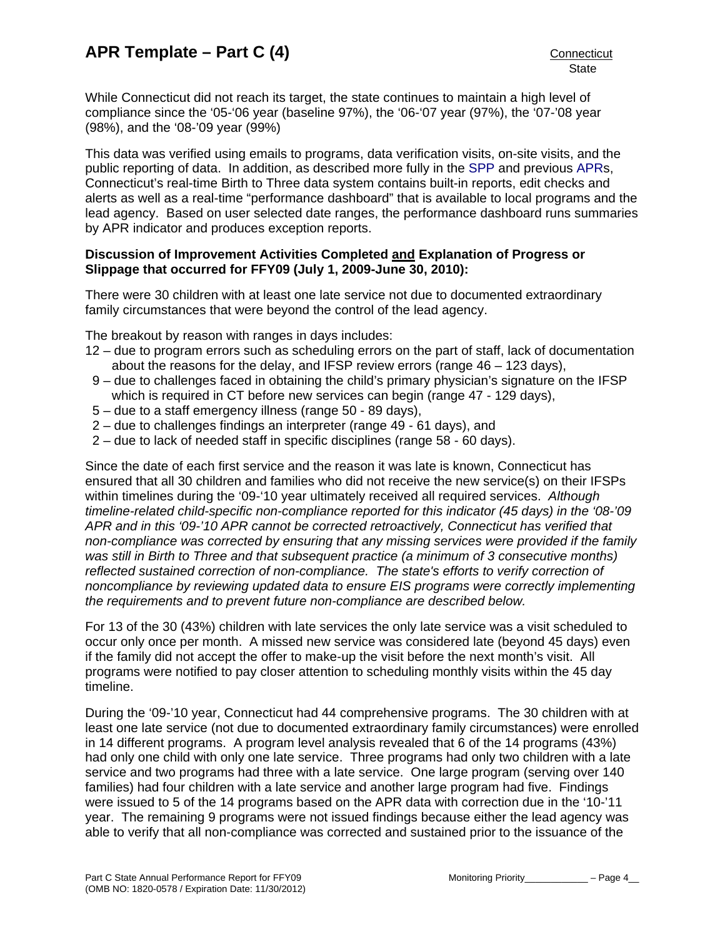While Connecticut did not reach its target, the state continues to maintain a high level of compliance since the '05-'06 year (baseline 97%), the '06-'07 year (97%), the '07-'08 year (98%), and the '08-'09 year (99%)

This data was verified using emails to programs, data verification visits, on-site visits, and the public reporting of data. In addition, as described more fully in the [SPP](http://www.birth23.org/Accountability/SPP/SPPAPR.html) and previous [APRs](http://www.birth23.org/Accountability/SPP/SPPAPR.html), Connecticut's real-time Birth to Three data system contains built-in reports, edit checks and alerts as well as a real-time "performance dashboard" that is available to local programs and the lead agency. Based on user selected date ranges, the performance dashboard runs summaries by APR indicator and produces exception reports.

#### **Discussion of Improvement Activities Completed and Explanation of Progress or Slippage that occurred for FFY09 (July 1, 2009-June 30, 2010):**

There were 30 children with at least one late service not due to documented extraordinary family circumstances that were beyond the control of the lead agency.

The breakout by reason with ranges in days includes:

- 12 due to program errors such as scheduling errors on the part of staff, lack of documentation about the reasons for the delay, and IFSP review errors (range 46 – 123 days),
- 9 due to challenges faced in obtaining the child's primary physician's signature on the IFSP which is required in CT before new services can begin (range 47 - 129 days),
- 5 due to a staff emergency illness (range 50 89 days),
- 2 due to challenges findings an interpreter (range 49 61 days), and
- 2 due to lack of needed staff in specific disciplines (range 58 60 days).

Since the date of each first service and the reason it was late is known, Connecticut has ensured that all 30 children and families who did not receive the new service(s) on their IFSPs within timelines during the '09-'10 year ultimately received all required services. *Although timeline-related child-specific non-compliance reported for this indicator (45 days) in the '08-'09 APR and in this '09-'10 APR cannot be corrected retroactively, Connecticut has verified that non-compliance was corrected by ensuring that any missing services were provided if the family was still in Birth to Three and that subsequent practice (a minimum of 3 consecutive months) reflected sustained correction of non-compliance. The state's efforts to verify correction of noncompliance by reviewing updated data to ensure EIS programs were correctly implementing the requirements and to prevent future non-compliance are described below.* 

For 13 of the 30 (43%) children with late services the only late service was a visit scheduled to occur only once per month. A missed new service was considered late (beyond 45 days) even if the family did not accept the offer to make-up the visit before the next month's visit. All programs were notified to pay closer attention to scheduling monthly visits within the 45 day timeline.

During the '09-'10 year, Connecticut had 44 comprehensive programs. The 30 children with at least one late service (not due to documented extraordinary family circumstances) were enrolled in 14 different programs. A program level analysis revealed that 6 of the 14 programs (43%) had only one child with only one late service. Three programs had only two children with a late service and two programs had three with a late service. One large program (serving over 140 families) had four children with a late service and another large program had five. Findings were issued to 5 of the 14 programs based on the APR data with correction due in the '10-'11 year. The remaining 9 programs were not issued findings because either the lead agency was able to verify that all non-compliance was corrected and sustained prior to the issuance of the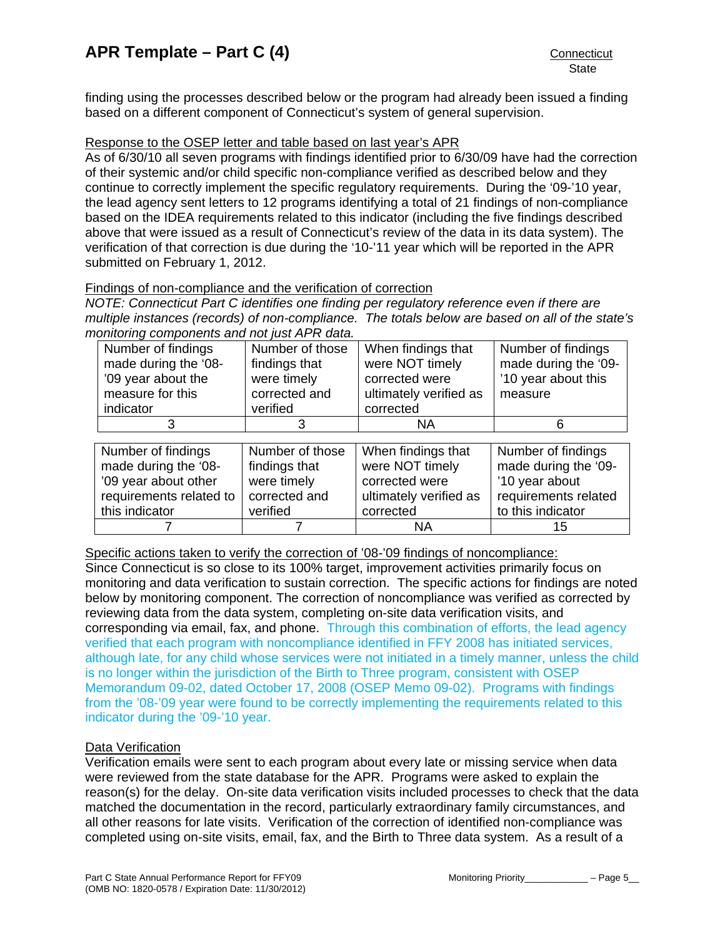<span id="page-6-0"></span>finding using the processes described below or the program had already been issued a finding based on a different component of Connecticut's system of general supervision.

#### Response to the OSEP letter and table based on last year's APR

As of 6/30/10 all seven programs with findings identified prior to 6/30/09 have had the correction of their systemic and/or child specific non-compliance verified as described below and they continue to correctly implement the specific regulatory requirements. During the '09-'10 year, the lead agency sent letters to 12 programs identifying a total of 21 findings of non-compliance based on the IDEA requirements related to this indicator (including the five findings described above that were issued as a result of Connecticut's review of the data in its data system). The verification of that correction is due during the '10-'11 year which will be reported in the APR submitted on February 1, 2012.

#### Findings of non-compliance and the verification of correction

*NOTE: Connecticut Part C identifies one finding per regulatory reference even if there are multiple instances (records) of non-compliance. The totals below are based on all of the state's monitoring components and not just APR data.* 

| Number of findings      | Number of those | When findings that     | Number of findings   |
|-------------------------|-----------------|------------------------|----------------------|
| made during the '08-    | findings that   | were NOT timely        | made during the '09- |
| '09 year about the      | were timely     | corrected were         | '10 year about this  |
| measure for this        | corrected and   | ultimately verified as | measure              |
| indicator               | verified        | corrected              |                      |
|                         |                 | <b>NA</b>              | 6                    |
|                         |                 |                        |                      |
|                         |                 |                        |                      |
| Number of findings      | Number of those | When findings that     | Number of findings   |
| made during the '08-    | findings that   | were NOT timely        | made during the '09- |
| '09 year about other    | were timely     | corrected were         | '10 year about       |
| requirements related to | corrected and   | ultimately verified as | requirements related |
| this indicator          | verified        | corrected              | to this indicator    |

Specific actions taken to verify the correction of '08-'09 findings of noncompliance: Since Connecticut is so close to its 100% target, improvement activities primarily focus on monitoring and data verification to sustain correction. The specific actions for findings are noted below by monitoring component. The correction of noncompliance was verified as corrected by reviewing data from the data system, completing on-site data verification visits, and corresponding via email, fax, and phone. Through this combination of efforts, the lead agency verified that each program with noncompliance identified in FFY 2008 has initiated services, although late, for any child whose services were not initiated in a timely manner, unless the child is no longer within the jurisdiction of the Birth to Three program, consistent with OSEP Memorandum 09-02, dated October 17, 2008 (OSEP Memo 09-02). Programs with findings from the '08-'09 year were found to be correctly implementing the requirements related to this indicator during the '09-'10 year.

#### Data Verification

Verification emails were sent to each program about every late or missing service when data were reviewed from the state database for the APR. Programs were asked to explain the reason(s) for the delay. On-site data verification visits included processes to check that the data matched the documentation in the record, particularly extraordinary family circumstances, and all other reasons for late visits. Verification of the correction of identified non-compliance was completed using on-site visits, email, fax, and the Birth to Three data system. As a result of a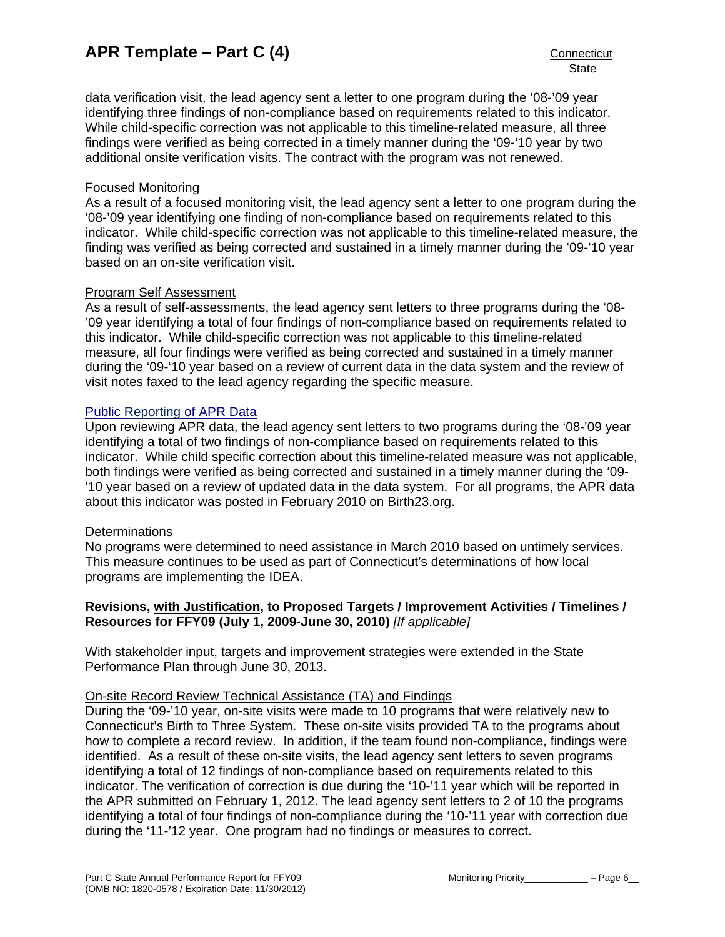data verification visit, the lead agency sent a letter to one program during the '08-'09 year identifying three findings of non-compliance based on requirements related to this indicator. While child-specific correction was not applicable to this timeline-related measure, all three findings were verified as being corrected in a timely manner during the '09-'10 year by two additional onsite verification visits. The contract with the program was not renewed.

#### Focused Monitoring

As a result of a focused monitoring visit, the lead agency sent a letter to one program during the '08-'09 year identifying one finding of non-compliance based on requirements related to this indicator. While child-specific correction was not applicable to this timeline-related measure, the finding was verified as being corrected and sustained in a timely manner during the '09-'10 year based on an on-site verification visit.

## Program Self Assessment

As a result of self-assessments, the lead agency sent letters to three programs during the '08- '09 year identifying a total of four findings of non-compliance based on requirements related to this indicator. While child-specific correction was not applicable to this timeline-related measure, all four findings were verified as being corrected and sustained in a timely manner during the '09-'10 year based on a review of current data in the data system and the review of visit notes faxed to the lead agency regarding the specific measure.

## [Public Reporting of APR Data](http://www.birth23.org/state_performance_plans_and_annu.htm)

Upon reviewing APR data, the lead agency sent letters to two programs during the '08-'09 year identifying a total of two findings of non-compliance based on requirements related to this indicator. While child specific correction about this timeline-related measure was not applicable, both findings were verified as being corrected and sustained in a timely manner during the '09- '10 year based on a review of updated data in the data system. For all programs, the APR data about this indicator was posted in February 2010 on Birth23.org.

#### **Determinations**

No programs were determined to need assistance in March 2010 based on untimely services. This measure continues to be used as part of Connecticut's determinations of how local programs are implementing the IDEA.

## **Revisions, with Justification, to Proposed Targets / Improvement Activities / Timelines / Resources for FFY09 (July 1, 2009-June 30, 2010)** *[If applicable]*

With stakeholder input, targets and improvement strategies were extended in the State Performance Plan through June 30, 2013.

#### On-site Record Review Technical Assistance (TA) and Findings

During the '09-'10 year, on-site visits were made to 10 programs that were relatively new to Connecticut's Birth to Three System. These on-site visits provided TA to the programs about how to complete a record review. In addition, if the team found non-compliance, findings were identified. As a result of these on-site visits, the lead agency sent letters to seven programs identifying a total of 12 findings of non-compliance based on requirements related to this indicator. The verification of correction is due during the '10-'11 year which will be reported in the APR submitted on February 1, 2012. The lead agency sent letters to 2 of 10 the programs identifying a total of four findings of non-compliance during the '10-'11 year with correction due during the '11-'12 year. One program had no findings or measures to correct.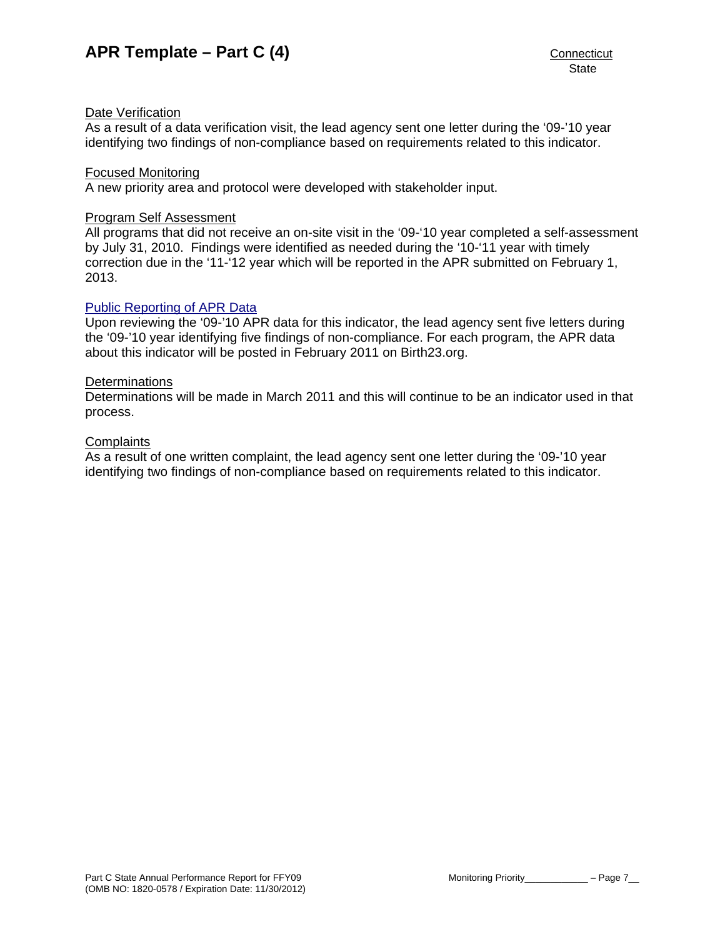## Date Verification

As a result of a data verification visit, the lead agency sent one letter during the '09-'10 year identifying two findings of non-compliance based on requirements related to this indicator.

#### Focused Monitoring

A new priority area and protocol were developed with stakeholder input.

#### Program Self Assessment

All programs that did not receive an on-site visit in the '09-'10 year completed a self-assessment by July 31, 2010. Findings were identified as needed during the '10-'11 year with timely correction due in the '11-'12 year which will be reported in the APR submitted on February 1, 2013.

## [Public Reporting of APR Data](http://www.birth23.org/state_performance_plans_and_annu.htm)

Upon reviewing the '09-'10 APR data for this indicator, the lead agency sent five letters during the '09-'10 year identifying five findings of non-compliance. For each program, the APR data about this indicator will be posted in February 2011 on Birth23.org.

#### **Determinations**

Determinations will be made in March 2011 and this will continue to be an indicator used in that process.

#### **Complaints**

As a result of one written complaint, the lead agency sent one letter during the '09-'10 year identifying two findings of non-compliance based on requirements related to this indicator.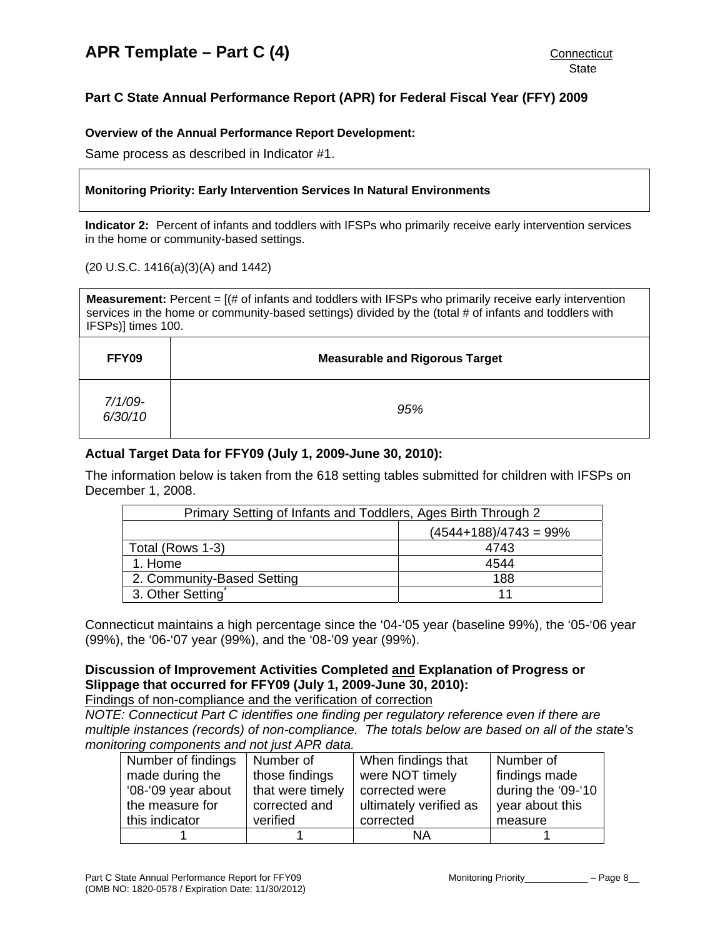# <span id="page-9-0"></span>**Part C State Annual Performance Report (APR) for Federal Fiscal Year (FFY) 2009**

#### **Overview of the Annual Performance Report Development:**

Same process as described in Indicator #1.

#### **Monitoring Priority: Early Intervention Services In Natural Environments**

**Indicator 2:** Percent of infants and toddlers with IFSPs who primarily receive early intervention services in the home or community-based settings.

#### (20 U.S.C. 1416(a)(3)(A) and 1442)

**Measurement:** Percent =  $[(\# \text{ of infants and toldlers with IFSPs who primarily receive early intervention$ services in the home or community-based settings) divided by the (total # of infants and toddlers with IFSPs)] times 100.

| FFY09                 | <b>Measurable and Rigorous Target</b> |
|-----------------------|---------------------------------------|
| $7/1/09 -$<br>6/30/10 | 95%                                   |

## **Actual Target Data for FFY09 (July 1, 2009-June 30, 2010):**

The information below is taken from the 618 setting tables submitted for children with IFSPs on December 1, 2008.

| Primary Setting of Infants and Toddlers, Ages Birth Through 2 |  |  |  |
|---------------------------------------------------------------|--|--|--|
| $(4544+188)/4743=99%$                                         |  |  |  |
| 4743<br>Total (Rows 1-3)                                      |  |  |  |
| 1. Home<br>4544                                               |  |  |  |
| 2. Community-Based Setting<br>188                             |  |  |  |
| 3. Other Setting                                              |  |  |  |

Connecticut maintains a high percentage since the '04-'05 year (baseline 99%), the '05-'06 year (99%), the '06-'07 year (99%), and the '08-'09 year (99%).

# **Discussion of Improvement Activities Completed and Explanation of Progress or Slippage that occurred for FFY09 (July 1, 2009-June 30, 2010):**

Findings of non-compliance and the verification of correction

*NOTE: Connecticut Part C identifies one finding per regulatory reference even if there are multiple instances (records) of non-compliance. The totals below are based on all of the state's monitoring components and not just APR data.* 

| Number of findings | Number of        | When findings that     | Number of          |
|--------------------|------------------|------------------------|--------------------|
| made during the    | those findings   | were NOT timely        | findings made      |
| '08-'09 year about | that were timely | corrected were         | during the '09-'10 |
| the measure for    | corrected and    | ultimately verified as | year about this    |
| this indicator     | verified         | corrected              | measure            |
|                    |                  | ΝA                     |                    |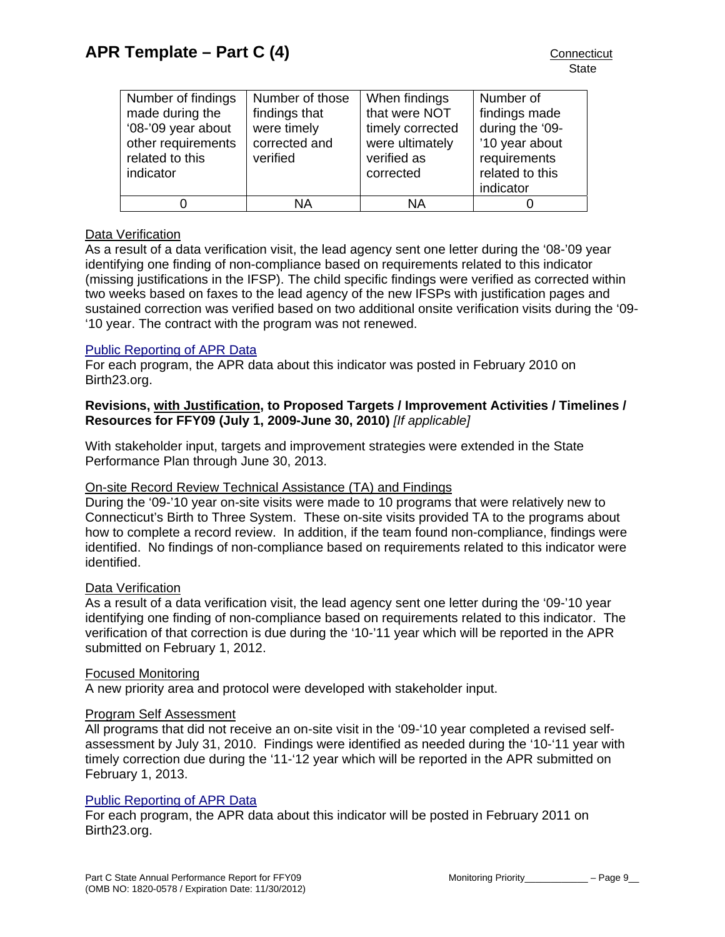| Number of findings | Number of those | When findings    | Number of       |
|--------------------|-----------------|------------------|-----------------|
| made during the    | findings that   | that were NOT    | findings made   |
| '08-'09 year about | were timely     | timely corrected | during the '09- |
| other requirements | corrected and   | were ultimately  | '10 year about  |
| related to this    | verified        | verified as      | requirements    |
| indicator          |                 | corrected        | related to this |
|                    |                 |                  | indicator       |
|                    | ΝA              | ΝA               |                 |

# Data Verification

As a result of a data verification visit, the lead agency sent one letter during the '08-'09 year identifying one finding of non-compliance based on requirements related to this indicator (missing justifications in the IFSP). The child specific findings were verified as corrected within two weeks based on faxes to the lead agency of the new IFSPs with justification pages and sustained correction was verified based on two additional onsite verification visits during the '09- '10 year. The contract with the program was not renewed.

## [Public Reporting of APR Data](http://www.birth23.org/state_performance_plans_and_annu.htm)

For each program, the APR data about this indicator was posted in February 2010 on Birth23.org.

## **Revisions, with Justification, to Proposed Targets / Improvement Activities / Timelines / Resources for FFY09 (July 1, 2009-June 30, 2010)** *[If applicable]*

With stakeholder input, targets and improvement strategies were extended in the State Performance Plan through June 30, 2013.

# On-site Record Review Technical Assistance (TA) and Findings

During the '09-'10 year on-site visits were made to 10 programs that were relatively new to Connecticut's Birth to Three System. These on-site visits provided TA to the programs about how to complete a record review. In addition, if the team found non-compliance, findings were identified. No findings of non-compliance based on requirements related to this indicator were identified.

#### Data Verification

As a result of a data verification visit, the lead agency sent one letter during the '09-'10 year identifying one finding of non-compliance based on requirements related to this indicator. The verification of that correction is due during the '10-'11 year which will be reported in the APR submitted on February 1, 2012.

#### Focused Monitoring

A new priority area and protocol were developed with stakeholder input.

#### Program Self Assessment

All programs that did not receive an on-site visit in the '09-'10 year completed a revised selfassessment by July 31, 2010. Findings were identified as needed during the '10-'11 year with timely correction due during the '11-'12 year which will be reported in the APR submitted on February 1, 2013.

#### [Public Reporting of APR Data](http://www.birth23.org/state_performance_plans_and_annu.htm)

For each program, the APR data about this indicator will be posted in February 2011 on Birth23.org.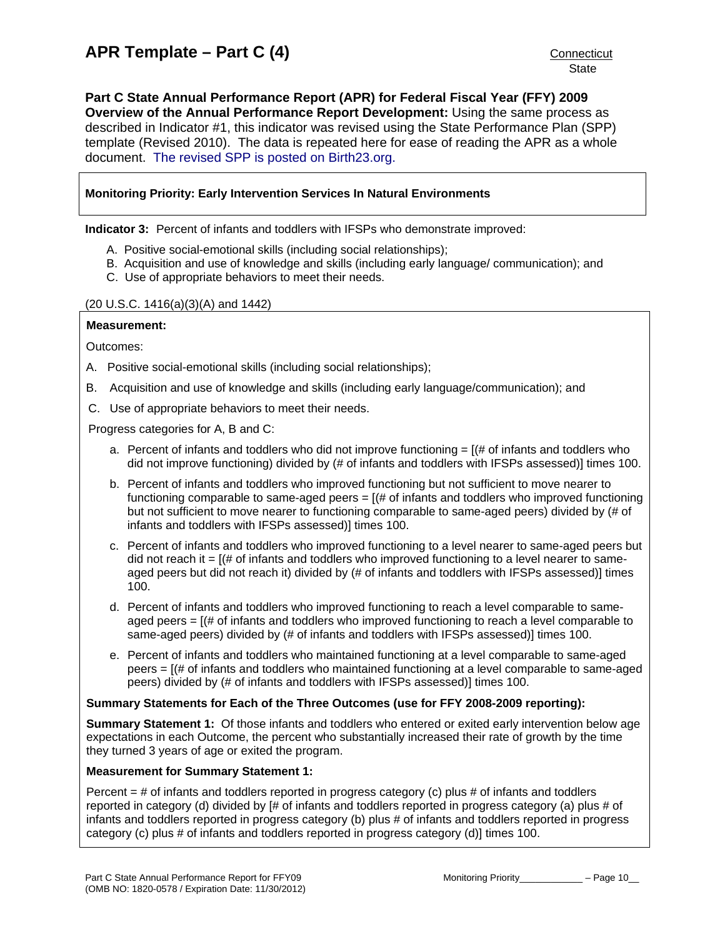<span id="page-11-0"></span>**Part C State Annual Performance Report (APR) for Federal Fiscal Year (FFY) 2009 Overview of the Annual Performance Report Development:** Using the same process as described in Indicator #1, this indicator was revised using the State Performance Plan (SPP) template (Revised 2010). The data is repeated here for ease of reading the APR as a whole document. [The revised SPP is posted on Birth23.org.](http://www.birth23.org/Accountability/SPP/SPPAPR.html)

#### **Monitoring Priority: Early Intervention Services In Natural Environments**

**Indicator 3:** Percent of infants and toddlers with IFSPs who demonstrate improved:

- A. Positive social-emotional skills (including social relationships);
- B. Acquisition and use of knowledge and skills (including early language/ communication); and
- C. Use of appropriate behaviors to meet their needs.

#### (20 U.S.C. 1416(a)(3)(A) and 1442)

#### **Measurement:**

Outcomes:

- A. Positive social-emotional skills (including social relationships);
- B. Acquisition and use of knowledge and skills (including early language/communication); and
- C. Use of appropriate behaviors to meet their needs.

Progress categories for A, B and C:

- a. Percent of infants and toddlers who did not improve functioning  $=$  [ $\#$  of infants and toddlers who did not improve functioning) divided by (# of infants and toddlers with IFSPs assessed)] times 100.
- b. Percent of infants and toddlers who improved functioning but not sufficient to move nearer to functioning comparable to same-aged peers  $= [(# of in^2]$  infants and toddlers who improved functioning but not sufficient to move nearer to functioning comparable to same-aged peers) divided by (# of infants and toddlers with IFSPs assessed)] times 100.
- c. Percent of infants and toddlers who improved functioning to a level nearer to same-aged peers but did not reach it  $=$   $[(# of infants and toldlers who improved functioning to a level nearer to same$ aged peers but did not reach it) divided by (# of infants and toddlers with IFSPs assessed)] times 100.
- d. Percent of infants and toddlers who improved functioning to reach a level comparable to sameaged peers  $=$   $[(# of infants and toldlers who improved functioning to reach a level comparable to$ same-aged peers) divided by (# of infants and toddlers with IFSPs assessed)] times 100.
- e. Percent of infants and toddlers who maintained functioning at a level comparable to same-aged peers = [(# of infants and toddlers who maintained functioning at a level comparable to same-aged peers) divided by (# of infants and toddlers with IFSPs assessed)] times 100.

#### **Summary Statements for Each of the Three Outcomes (use for FFY 2008-2009 reporting):**

**Summary Statement 1:** Of those infants and toddlers who entered or exited early intervention below age expectations in each Outcome, the percent who substantially increased their rate of growth by the time they turned 3 years of age or exited the program.

#### **Measurement for Summary Statement 1:**

Percent = # of infants and toddlers reported in progress category (c) plus # of infants and toddlers reported in category (d) divided by [# of infants and toddlers reported in progress category (a) plus # of infants and toddlers reported in progress category (b) plus # of infants and toddlers reported in progress category (c) plus # of infants and toddlers reported in progress category (d)] times 100.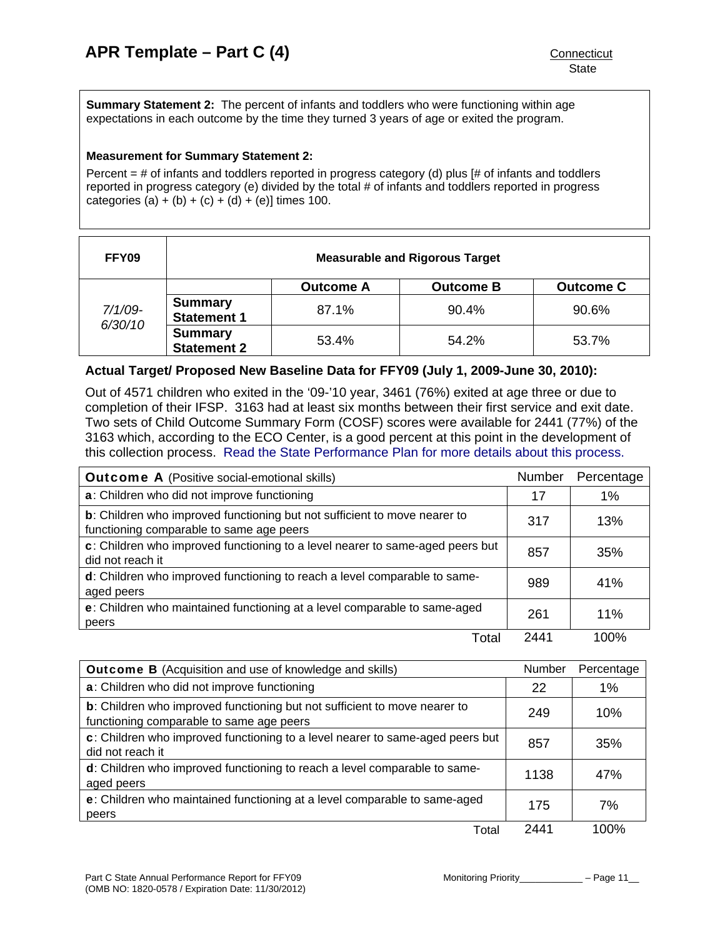**Summary Statement 2:** The percent of infants and toddlers who were functioning within age expectations in each outcome by the time they turned 3 years of age or exited the program.

#### **Measurement for Summary Statement 2:**

Percent  $=$  # of infants and toddlers reported in progress category (d) plus [# of infants and toddlers reported in progress category (e) divided by the total # of infants and toddlers reported in progress categories (a) + (b) + (c) + (d) + (e)] times 100.

| FFY09                 | <b>Measurable and Rigorous Target</b> |                  |                  |                  |
|-----------------------|---------------------------------------|------------------|------------------|------------------|
|                       |                                       | <b>Outcome A</b> | <b>Outcome B</b> | <b>Outcome C</b> |
| $7/1/09 -$<br>6/30/10 | <b>Summary</b><br><b>Statement 1</b>  | 87.1%            | 90.4%            | 90.6%            |
|                       | <b>Summary</b><br><b>Statement 2</b>  | 53.4%            | 54.2%            | 53.7%            |

#### **Actual Target/ Proposed New Baseline Data for FFY09 (July 1, 2009-June 30, 2010):**

Out of 4571 children who exited in the '09-'10 year, 3461 (76%) exited at age three or due to completion of their IFSP. 3163 had at least six months between their first service and exit date. Two sets of Child Outcome Summary Form (COSF) scores were available for 2441 (77%) of the 3163 which, according to the ECO Center, is a good percent at this point in the development of this collection process. [Read the State Performance Plan for more details about this process.](http://www.birth23.org/Accountability/SPP/SPPAPR.html)

| <b>Outcome A</b> (Positive social-emotional skills)                                                                   | <b>Number</b> | Percentage |
|-----------------------------------------------------------------------------------------------------------------------|---------------|------------|
| a: Children who did not improve functioning                                                                           | 17            | 1%         |
| b: Children who improved functioning but not sufficient to move nearer to<br>functioning comparable to same age peers | 317           | 13%        |
| c: Children who improved functioning to a level nearer to same-aged peers but<br>did not reach it                     | 857           | 35%        |
| d: Children who improved functioning to reach a level comparable to same-<br>aged peers                               | 989           | 41%        |
| e: Children who maintained functioning at a level comparable to same-aged<br>peers                                    | 261           | 11%        |
| Total                                                                                                                 | 2441          | 100%       |

| <b>Outcome B</b> (Acquisition and use of knowledge and skills)                                                        |      | Percentage |
|-----------------------------------------------------------------------------------------------------------------------|------|------------|
| a: Children who did not improve functioning                                                                           | 22   | 1%         |
| b: Children who improved functioning but not sufficient to move nearer to<br>functioning comparable to same age peers | 249  | 10%        |
| c: Children who improved functioning to a level nearer to same-aged peers but<br>did not reach it                     | 857  | 35%        |
| d: Children who improved functioning to reach a level comparable to same-<br>aged peers                               | 1138 | 47%        |
| e: Children who maintained functioning at a level comparable to same-aged<br>peers                                    | 175  | 7%         |
| Total                                                                                                                 | 2441 | 100%       |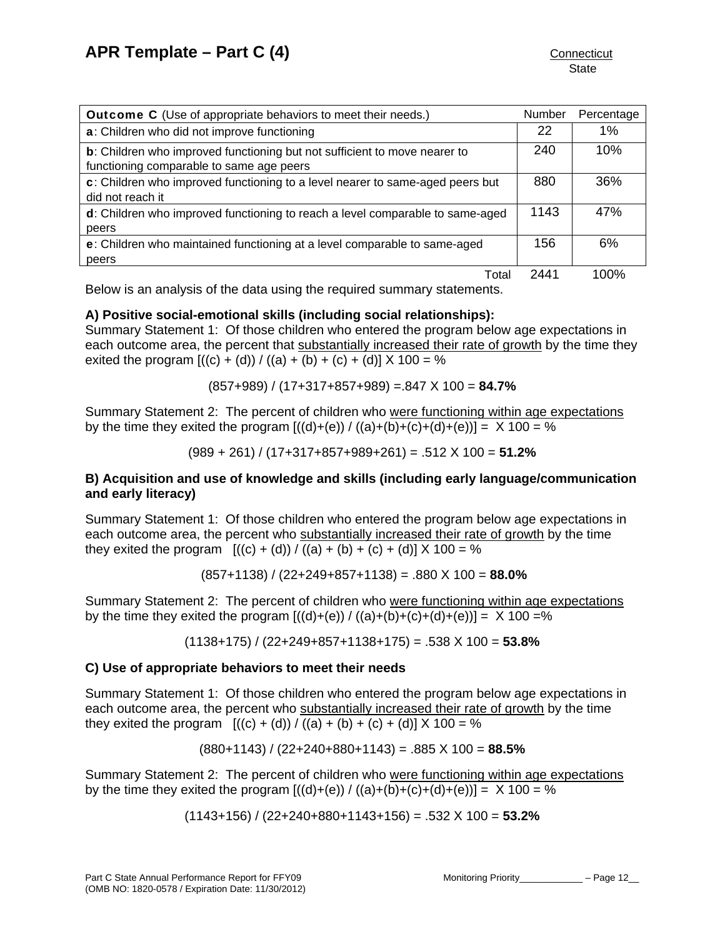| <b>Outcome C</b> (Use of appropriate behaviors to meet their needs.)                                                          |      | Percentage |
|-------------------------------------------------------------------------------------------------------------------------------|------|------------|
| a: Children who did not improve functioning                                                                                   | 22   | 1%         |
| <b>b</b> : Children who improved functioning but not sufficient to move nearer to<br>functioning comparable to same age peers | 240  | 10%        |
| c: Children who improved functioning to a level nearer to same-aged peers but<br>did not reach it                             | 880  | 36%        |
| d: Children who improved functioning to reach a level comparable to same-aged<br>peers                                        | 1143 | 47%        |
| e: Children who maintained functioning at a level comparable to same-aged<br>peers                                            | 156  | 6%         |
| Total                                                                                                                         | 2441 | 100%       |

Below is an analysis of the data using the required summary statements.

# **A) Positive social-emotional skills (including social relationships):**

Summary Statement 1: Of those children who entered the program below age expectations in each outcome area, the percent that substantially increased their rate of growth by the time they exited the program  $[(c) + (d)) / ((a) + (b) + (c) + (d)] \times 100 = %$ 

(857+989) / (17+317+857+989) =.847 X 100 = **84.7%** 

Summary Statement 2: The percent of children who were functioning within age expectations by the time they exited the program  $[(d)+(e)) / ((a)+(b)+(c)+(d)+(e))] = X 100 = %$ 

(989 + 261) / (17+317+857+989+261) = .512 X 100 = **51.2%**

## **B) Acquisition and use of knowledge and skills (including early language/communication and early literacy)**

Summary Statement 1: Of those children who entered the program below age expectations in each outcome area, the percent who substantially increased their rate of growth by the time they exited the program  $[(c) + (d)) / ((a) + (b) + (c) + (d)] \times 100 = %$ 

(857+1138) / (22+249+857+1138) = .880 X 100 = **88.0%** 

Summary Statement 2: The percent of children who were functioning within age expectations by the time they exited the program  $[(d)+(e)) / ((a)+(b)+(c)+(d)+(e))] = X 100 = %$ 

(1138+175) / (22+249+857+1138+175) = .538 X 100 = **53.8%** 

#### **C) Use of appropriate behaviors to meet their needs**

Summary Statement 1: Of those children who entered the program below age expectations in each outcome area, the percent who substantially increased their rate of growth by the time they exited the program  $[(c) + (d)) / ((a) + (b) + (c) + (d)] \times 100 = %$ 

$$
(880+1143) / (22+240+880+1143) = .885 \times 100 = 88.5\%
$$

Summary Statement 2: The percent of children who were functioning within age expectations by the time they exited the program  $[(d)+(e)) / ((a)+(b)+(c)+(d)+(e))] = X 100 = %$ 

(1143+156) / (22+240+880+1143+156) = .532 X 100 = **53.2%**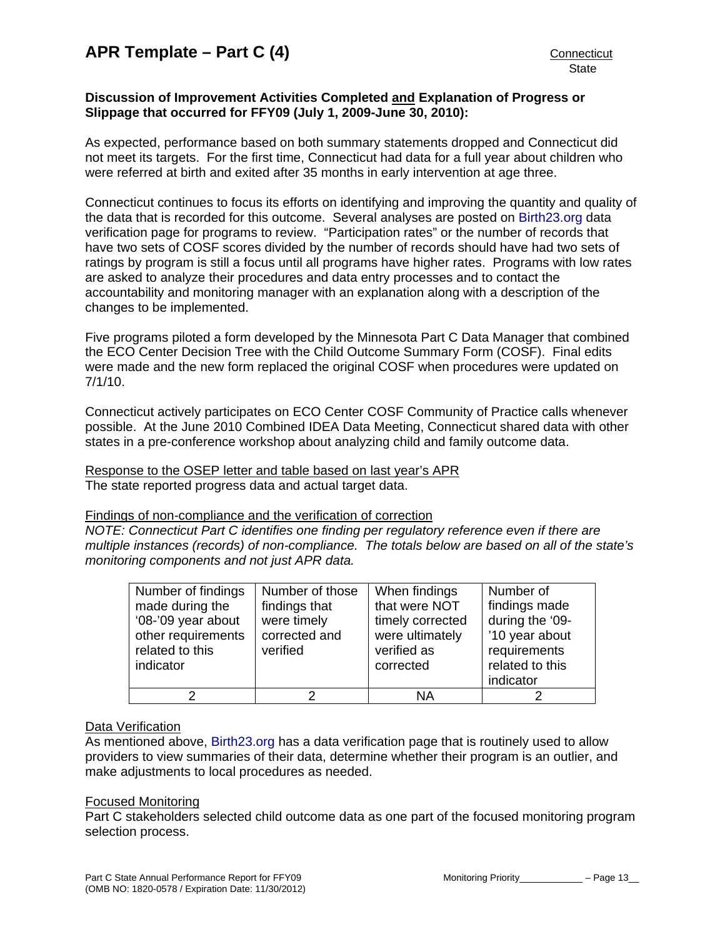#### **Discussion of Improvement Activities Completed and Explanation of Progress or Slippage that occurred for FFY09 (July 1, 2009-June 30, 2010):**

As expected, performance based on both summary statements dropped and Connecticut did not meet its targets. For the first time, Connecticut had data for a full year about children who were referred at birth and exited after 35 months in early intervention at age three.

Connecticut continues to focus its efforts on identifying and improving the quantity and quality of the data that is recorded for this outcome. Several analyses are posted on [Birth23.org](http://www.birth23.org/) data verification page for programs to review. "Participation rates" or the number of records that have two sets of COSF scores divided by the number of records should have had two sets of ratings by program is still a focus until all programs have higher rates. Programs with low rates are asked to analyze their procedures and data entry processes and to contact the accountability and monitoring manager with an explanation along with a description of the changes to be implemented.

Five programs piloted a form developed by the Minnesota Part C Data Manager that combined the ECO Center Decision Tree with the Child Outcome Summary Form (COSF). Final edits were made and the new form replaced the original COSF when procedures were updated on 7/1/10.

Connecticut actively participates on ECO Center COSF Community of Practice calls whenever possible. At the June 2010 Combined IDEA Data Meeting, Connecticut shared data with other states in a pre-conference workshop about analyzing child and family outcome data.

Response to the OSEP letter and table based on last year's APR The state reported progress data and actual target data.

Findings of non-compliance and the verification of correction

*NOTE: Connecticut Part C identifies one finding per regulatory reference even if there are multiple instances (records) of non-compliance. The totals below are based on all of the state's monitoring components and not just APR data.* 

| Number of findings<br>made during the<br>'08-'09 year about<br>other requirements<br>related to this<br>indicator | Number of those<br>findings that<br>were timely<br>corrected and<br>verified | When findings<br>that were NOT<br>timely corrected<br>were ultimately<br>verified as<br>corrected | Number of<br>findings made<br>during the '09-<br>'10 year about<br>requirements<br>related to this<br>indicator |
|-------------------------------------------------------------------------------------------------------------------|------------------------------------------------------------------------------|---------------------------------------------------------------------------------------------------|-----------------------------------------------------------------------------------------------------------------|
| າ                                                                                                                 |                                                                              | ΝA                                                                                                |                                                                                                                 |

#### Data Verification

As mentioned above, [Birth23.org](http://www.birth23.org/) has a data verification page that is routinely used to allow providers to view summaries of their data, determine whether their program is an outlier, and make adjustments to local procedures as needed.

#### Focused Monitoring

Part C stakeholders selected child outcome data as one part of the focused monitoring program selection process.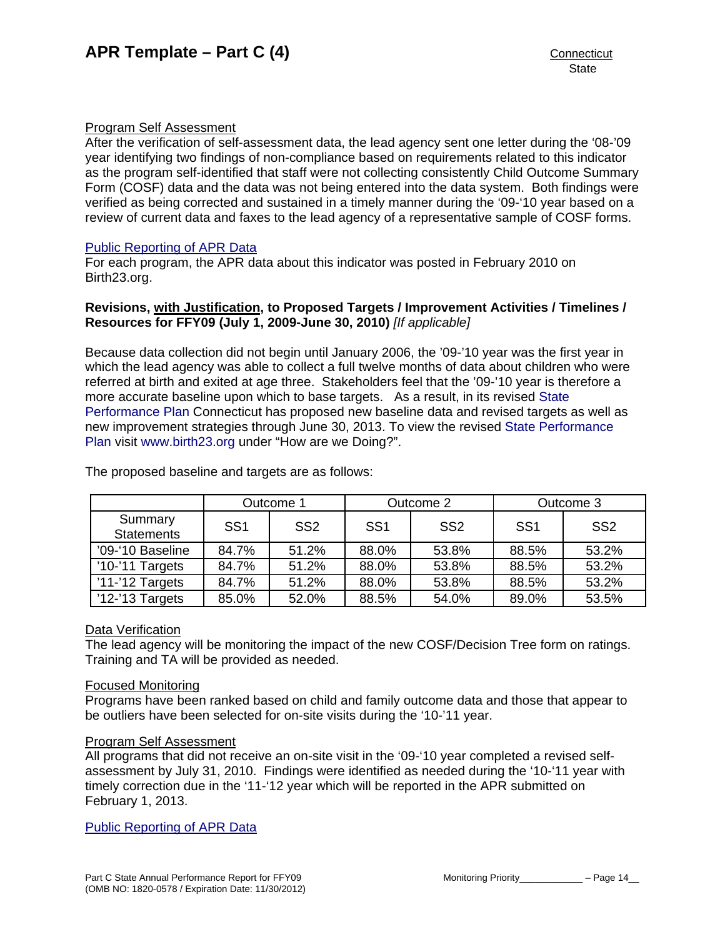#### Program Self Assessment

After the verification of self-assessment data, the lead agency sent one letter during the '08-'09 year identifying two findings of non-compliance based on requirements related to this indicator as the program self-identified that staff were not collecting consistently Child Outcome Summary Form (COSF) data and the data was not being entered into the data system. Both findings were verified as being corrected and sustained in a timely manner during the '09-'10 year based on a review of current data and faxes to the lead agency of a representative sample of COSF forms.

## [Public Reporting of APR Data](http://www.birth23.org/state_performance_plans_and_annu.htm)

For each program, the APR data about this indicator was posted in February 2010 on Birth23.org.

#### **Revisions, with Justification, to Proposed Targets / Improvement Activities / Timelines / Resources for FFY09 (July 1, 2009-June 30, 2010)** *[If applicable]*

Because data collection did not begin until January 2006, the '09-'10 year was the first year in which the lead agency was able to collect a full twelve months of data about children who were referred at birth and exited at age three. Stakeholders feel that the '09-'10 year is therefore a more accurate baseline upon which to base targets. As a result, in its revised [State](http://birth23.org/accountability/SPP.html)  [Performance Plan](http://birth23.org/accountability/SPP.html) Connecticut has proposed new baseline data and revised targets as well as new improvement strategies through June 30, 2013. To view the revised [State Performance](http://birth23.org/accountability/SPP.html)  [Plan](http://birth23.org/accountability/SPP.html) visit [www.birth23.org](http://www.birth23.org/) under "How are we Doing?".

|                              | Outcome 1       |                 | Outcome 2       |                 | Outcome 3       |                 |
|------------------------------|-----------------|-----------------|-----------------|-----------------|-----------------|-----------------|
| Summary<br><b>Statements</b> | SS <sub>1</sub> | SS <sub>2</sub> | SS <sub>1</sub> | SS <sub>2</sub> | SS <sub>1</sub> | SS <sub>2</sub> |
| '09-'10 Baseline             | 84.7%           | 51.2%           | 88.0%           | 53.8%           | 88.5%           | 53.2%           |
| '10-'11 Targets              | 84.7%           | 51.2%           | 88.0%           | 53.8%           | 88.5%           | 53.2%           |
| $'11$ -'12 Targets           | 84.7%           | 51.2%           | 88.0%           | 53.8%           | 88.5%           | 53.2%           |
| $'12$ -'13 Targets           | 85.0%           | 52.0%           | 88.5%           | 54.0%           | 89.0%           | 53.5%           |

The proposed baseline and targets are as follows:

#### Data Verification

The lead agency will be monitoring the impact of the new COSF/Decision Tree form on ratings. Training and TA will be provided as needed.

#### Focused Monitoring

Programs have been ranked based on child and family outcome data and those that appear to be outliers have been selected for on-site visits during the '10-'11 year.

#### Program Self Assessment

All programs that did not receive an on-site visit in the '09-'10 year completed a revised selfassessment by July 31, 2010. Findings were identified as needed during the '10-'11 year with timely correction due in the '11-'12 year which will be reported in the APR submitted on February 1, 2013.

[Public Reporting of APR Data](http://www.birth23.org/state_performance_plans_and_annu.htm)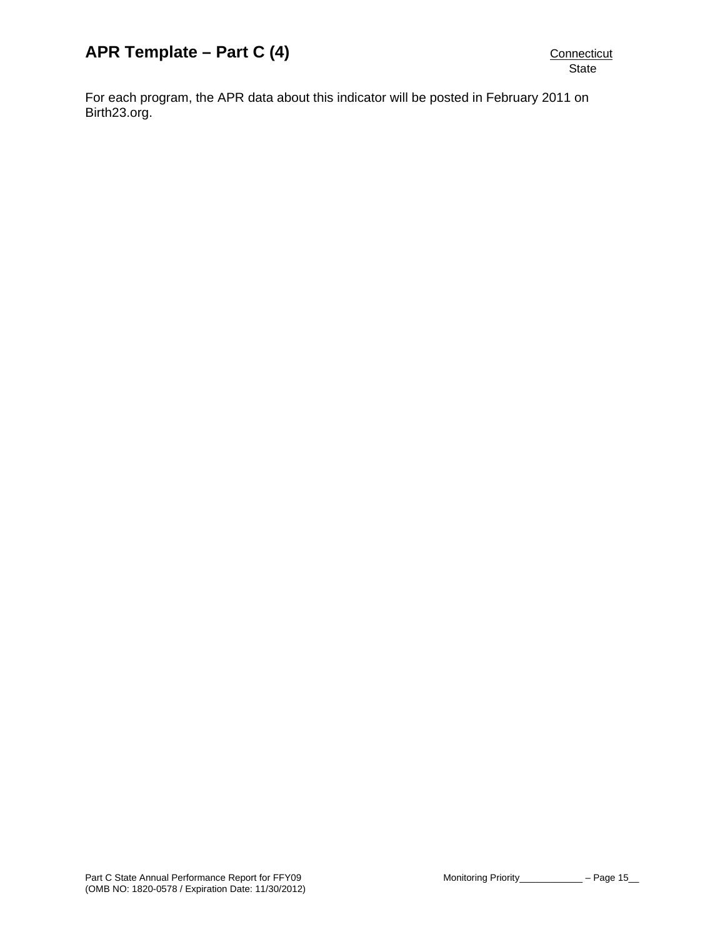For each program, the APR data about this indicator will be posted in February 2011 on Birth23.org.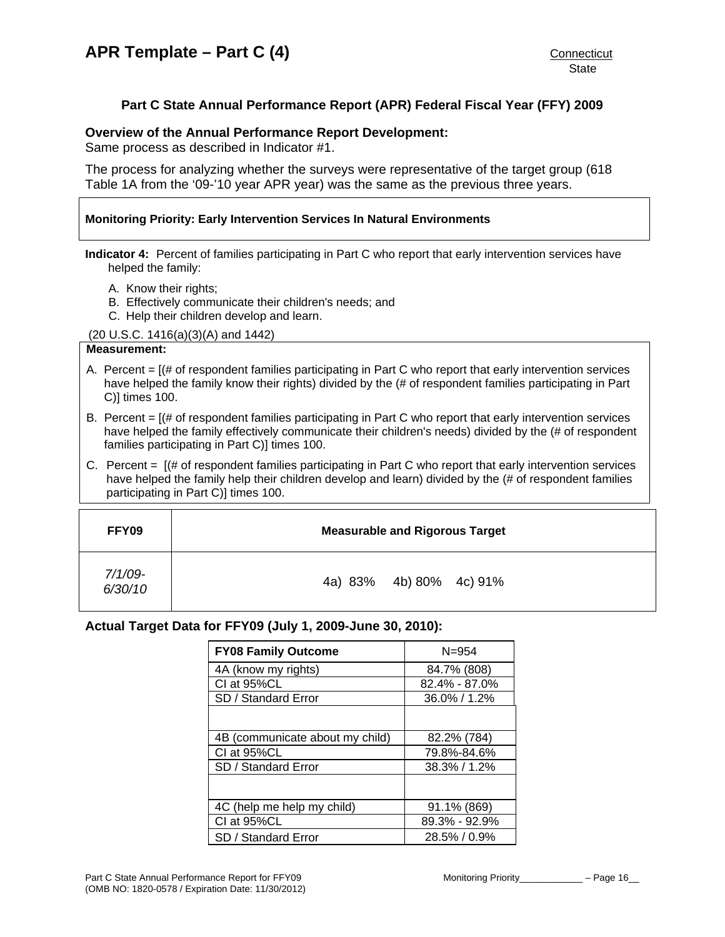# **Part C State Annual Performance Report (APR) Federal Fiscal Year (FFY) 2009**

#### <span id="page-17-0"></span>**Overview of the Annual Performance Report Development:**

Same process as described in Indicator #1.

The process for analyzing whether the surveys were representative of the target group (618 Table 1A from the '09-'10 year APR year) was the same as the previous three years.

#### **Monitoring Priority: Early Intervention Services In Natural Environments**

**Indicator 4:** Percent of families participating in Part C who report that early intervention services have helped the family:

- A. Know their rights;
- B. Effectively communicate their children's needs; and
- C. Help their children develop and learn.

(20 U.S.C. 1416(a)(3)(A) and 1442)

#### **Measurement:**

- A. Percent  $=$   $[$   $\#$  of respondent families participating in Part C who report that early intervention services have helped the family know their rights) divided by the (# of respondent families participating in Part C)] times 100.
- B. Percent  $=$   $[($   $\#$  of respondent families participating in Part C who report that early intervention services have helped the family effectively communicate their children's needs) divided by the (# of respondent families participating in Part C)] times 100.
- C. Percent = [(# of respondent families participating in Part C who report that early intervention services have helped the family help their children develop and learn) divided by the (# of respondent families participating in Part C)] times 100.

| FFY09                 | <b>Measurable and Rigorous Target</b> |
|-----------------------|---------------------------------------|
| $7/1/09 -$<br>6/30/10 | 4a) 83% 4b) 80% 4c) 91%               |

#### **Actual Target Data for FFY09 (July 1, 2009-June 30, 2010):**

| <b>FY08 Family Outcome</b>      | $N = 954$        |
|---------------------------------|------------------|
| 4A (know my rights)             | 84.7% (808)      |
| CI at 95%CL                     | 82.4% - 87.0%    |
| SD / Standard Error             | $36.0\% / 1.2\%$ |
|                                 |                  |
| 4B (communicate about my child) | 82.2% (784)      |
| CI at 95%CL                     | 79.8%-84.6%      |
| SD / Standard Error             | 38.3% / 1.2%     |
|                                 |                  |
| 4C (help me help my child)      | 91.1% (869)      |
| CI at 95%CL                     | 89.3% - 92.9%    |
| SD / Standard Error             | $28.5\% / 0.9\%$ |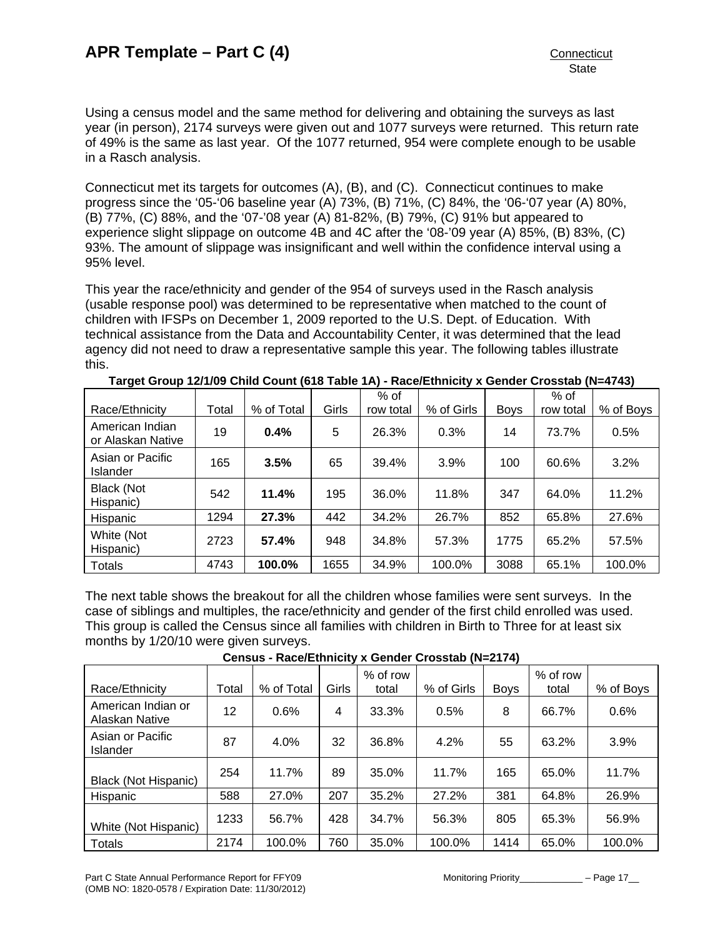Using a census model and the same method for delivering and obtaining the surveys as last year (in person), 2174 surveys were given out and 1077 surveys were returned. This return rate of 49% is the same as last year. Of the 1077 returned, 954 were complete enough to be usable in a Rasch analysis.

Connecticut met its targets for outcomes (A), (B), and (C). Connecticut continues to make progress since the '05-'06 baseline year (A) 73%, (B) 71%, (C) 84%, the '06-'07 year (A) 80%, (B) 77%, (C) 88%, and the '07-'08 year (A) 81-82%, (B) 79%, (C) 91% but appeared to experience slight slippage on outcome 4B and 4C after the '08-'09 year (A) 85%, (B) 83%, (C) 93%. The amount of slippage was insignificant and well within the confidence interval using a 95% level.

This year the race/ethnicity and gender of the 954 of surveys used in the Rasch analysis (usable response pool) was determined to be representative when matched to the count of children with IFSPs on December 1, 2009 reported to the U.S. Dept. of Education. With technical assistance from the Data and Accountability Center, it was determined that the lead agency did not need to draw a representative sample this year. The following tables illustrate this.

|                                      |       |            |       | $%$ of    |            |             | $%$ of    |           |
|--------------------------------------|-------|------------|-------|-----------|------------|-------------|-----------|-----------|
| Race/Ethnicity                       | Total | % of Total | Girls | row total | % of Girls | <b>Boys</b> | row total | % of Boys |
| American Indian<br>or Alaskan Native | 19    | 0.4%       | 5     | 26.3%     | 0.3%       | 14          | 73.7%     | 0.5%      |
| Asian or Pacific<br><b>Islander</b>  | 165   | 3.5%       | 65    | 39.4%     | 3.9%       | 100         | 60.6%     | 3.2%      |
| Black (Not<br>Hispanic)              | 542   | 11.4%      | 195   | 36.0%     | 11.8%      | 347         | 64.0%     | 11.2%     |
| Hispanic                             | 1294  | 27.3%      | 442   | 34.2%     | 26.7%      | 852         | 65.8%     | 27.6%     |
| White (Not<br>Hispanic)              | 2723  | 57.4%      | 948   | 34.8%     | 57.3%      | 1775        | 65.2%     | 57.5%     |
| <b>Totals</b>                        | 4743  | 100.0%     | 1655  | 34.9%     | 100.0%     | 3088        | 65.1%     | 100.0%    |

**Target Group 12/1/09 Child Count (618 Table 1A) - Race/Ethnicity x Gender Crosstab (N=4743)** 

The next table shows the breakout for all the children whose families were sent surveys. In the case of siblings and multiples, the race/ethnicity and gender of the first child enrolled was used. This group is called the Census since all families with children in Birth to Three for at least six months by 1/20/10 were given surveys.

| Race/Ethnicity                       | Total | % of Total | Girls | % of row<br>total | % of Girls | <b>Boys</b> | % of row<br>total | % of Boys |
|--------------------------------------|-------|------------|-------|-------------------|------------|-------------|-------------------|-----------|
| American Indian or<br>Alaskan Native | 12    | 0.6%       | 4     | 33.3%             | 0.5%       | 8           | 66.7%             | 0.6%      |
| Asian or Pacific<br>Islander         | 87    | 4.0%       | 32    | 36.8%             | 4.2%       | 55          | 63.2%             | 3.9%      |
| <b>Black (Not Hispanic)</b>          | 254   | 11.7%      | 89    | 35.0%             | 11.7%      | 165         | 65.0%             | 11.7%     |
| Hispanic                             | 588   | 27.0%      | 207   | 35.2%             | 27.2%      | 381         | 64.8%             | 26.9%     |
| White (Not Hispanic)                 | 1233  | 56.7%      | 428   | 34.7%             | 56.3%      | 805         | 65.3%             | 56.9%     |
| <b>Totals</b>                        | 2174  | 100.0%     | 760   | 35.0%             | 100.0%     | 1414        | 65.0%             | 100.0%    |

**Census - Race/Ethnicity x Gender Crosstab (N=2174)**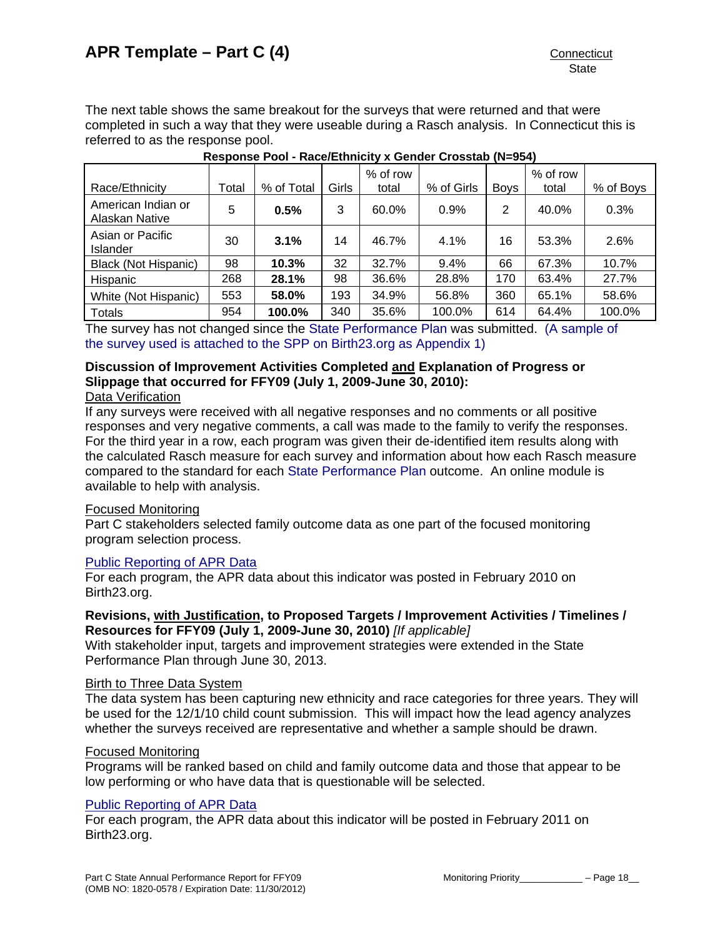The next table shows the same breakout for the surveys that were returned and that were completed in such a way that they were useable during a Rasch analysis. In Connecticut this is referred to as the response pool.

| Race/Ethnicity                       | Total | % of Total | Girls | % of row<br>total | % of Girls | <b>Boys</b> | % of row<br>total | % of Boys |
|--------------------------------------|-------|------------|-------|-------------------|------------|-------------|-------------------|-----------|
| American Indian or<br>Alaskan Native | 5     | 0.5%       | 3     | 60.0%             | 0.9%       | 2           | 40.0%             | 0.3%      |
| Asian or Pacific<br>Islander         | 30    | 3.1%       | 14    | 46.7%             | 4.1%       | 16          | 53.3%             | 2.6%      |
| <b>Black (Not Hispanic)</b>          | 98    | 10.3%      | 32    | 32.7%             | 9.4%       | 66          | 67.3%             | 10.7%     |
| Hispanic                             | 268   | 28.1%      | 98    | 36.6%             | 28.8%      | 170         | 63.4%             | 27.7%     |
| White (Not Hispanic)                 | 553   | 58.0%      | 193   | 34.9%             | 56.8%      | 360         | 65.1%             | 58.6%     |
| Totals                               | 954   | 100.0%     | 340   | 35.6%             | 100.0%     | 614         | 64.4%             | 100.0%    |

#### **Response Pool - Race/Ethnicity x Gender Crosstab (N=954)**

The survey has not changed since the [State Performance Plan](http://www.birth23.org/Accountability/SPP/SPPAPR.html) was submitted. [\(A sample of](http://www.birth23.org/Accountability/SPP/SPPAPR.html)  [the survey used is attached to the SPP on Birth23.org as Appendix 1\)](http://www.birth23.org/Accountability/SPP/SPPAPR.html)

# **Discussion of Improvement Activities Completed and Explanation of Progress or Slippage that occurred for FFY09 (July 1, 2009-June 30, 2010):**

## Data Verification

If any surveys were received with all negative responses and no comments or all positive responses and very negative comments, a call was made to the family to verify the responses. For the third year in a row, each program was given their de-identified item results along with the calculated Rasch measure for each survey and information about how each Rasch measure compared to the standard for each [State Performance Plan](http://www.birth23.org/Accountability/SPP/SPPAPR.html) outcome. An online module is available to help with analysis.

#### Focused Monitoring

Part C stakeholders selected family outcome data as one part of the focused monitoring program selection process.

# [Public Reporting of APR Data](http://www.birth23.org/state_performance_plans_and_annu.htm)

For each program, the APR data about this indicator was posted in February 2010 on Birth23.org.

## **Revisions, with Justification, to Proposed Targets / Improvement Activities / Timelines / Resources for FFY09 (July 1, 2009-June 30, 2010)** *[If applicable]*

With stakeholder input, targets and improvement strategies were extended in the State Performance Plan through June 30, 2013.

#### Birth to Three Data System

The data system has been capturing new ethnicity and race categories for three years. They will be used for the 12/1/10 child count submission. This will impact how the lead agency analyzes whether the surveys received are representative and whether a sample should be drawn.

#### Focused Monitoring

Programs will be ranked based on child and family outcome data and those that appear to be low performing or who have data that is questionable will be selected.

# [Public Reporting of APR Data](http://www.birth23.org/state_performance_plans_and_annu.htm)

For each program, the APR data about this indicator will be posted in February 2011 on Birth23.org.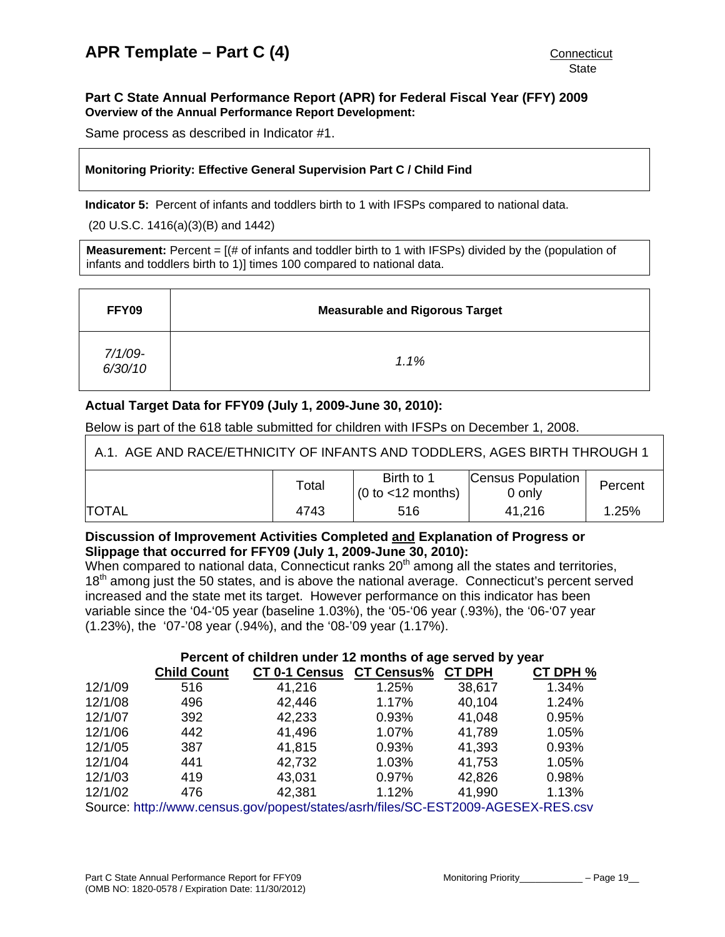#### <span id="page-20-0"></span>**Part C State Annual Performance Report (APR) for Federal Fiscal Year (FFY) 2009 Overview of the Annual Performance Report Development:**

Same process as described in Indicator #1.

#### **Monitoring Priority: Effective General Supervision Part C / Child Find**

**Indicator 5:** Percent of infants and toddlers birth to 1 with IFSPs compared to national data.

(20 U.S.C. 1416(a)(3)(B) and 1442)

**Measurement:** Percent = [(# of infants and toddler birth to 1 with IFSPs) divided by the (population of infants and toddlers birth to 1)] times 100 compared to national data.

| FFY09              | <b>Measurable and Rigorous Target</b> |
|--------------------|---------------------------------------|
| 7/1/09-<br>6/30/10 | 1.1%                                  |

# **Actual Target Data for FFY09 (July 1, 2009-June 30, 2010):**

Below is part of the 618 table submitted for children with IFSPs on December 1, 2008.

A.1. AGE AND RACE/ETHNICITY OF INFANTS AND TODDLERS, AGES BIRTH THROUGH 1

|               | $\tau$ otal | Birth to 1<br>$(0 to < 12$ months) | Census Population<br>0 only | Percent |
|---------------|-------------|------------------------------------|-----------------------------|---------|
| <b>ITOTAL</b> | 4743        | 516                                | 41,216                      | 1.25%   |

## **Discussion of Improvement Activities Completed and Explanation of Progress or Slippage that occurred for FFY09 (July 1, 2009-June 30, 2010):**

When compared to national data, Connecticut ranks  $20<sup>th</sup>$  among all the states and territories, 18<sup>th</sup> among just the 50 states, and is above the national average. Connecticut's percent served increased and the state met its target. However performance on this indicator has been variable since the '04-'05 year (baseline 1.03%), the '05-'06 year (.93%), the '06-'07 year (1.23%), the '07-'08 year (.94%), and the '08-'09 year (1.17%).

|         | Percent of children under 12 months of age served by year |                                                                                  |       |               |          |  |  |
|---------|-----------------------------------------------------------|----------------------------------------------------------------------------------|-------|---------------|----------|--|--|
|         | <b>Child Count</b>                                        | <b>CT 0-1 Census CT Census%</b>                                                  |       | <b>CT DPH</b> | CT DPH % |  |  |
| 12/1/09 | 516                                                       | 41,216                                                                           | 1.25% | 38,617        | 1.34%    |  |  |
| 12/1/08 | 496                                                       | 42,446                                                                           | 1.17% | 40,104        | 1.24%    |  |  |
| 12/1/07 | 392                                                       | 42,233                                                                           | 0.93% | 41,048        | 0.95%    |  |  |
| 12/1/06 | 442                                                       | 41,496                                                                           | 1.07% | 41,789        | 1.05%    |  |  |
| 12/1/05 | 387                                                       | 41,815                                                                           | 0.93% | 41,393        | 0.93%    |  |  |
| 12/1/04 | 441                                                       | 42,732                                                                           | 1.03% | 41,753        | 1.05%    |  |  |
| 12/1/03 | 419                                                       | 43,031                                                                           | 0.97% | 42,826        | 0.98%    |  |  |
| 12/1/02 | 476                                                       | 42,381                                                                           | 1.12% | 41,990        | 1.13%    |  |  |
|         |                                                           | Source: http://www.concus.gov/popost/states/asrb/files/SC EST2000 ACESEY DES.cov |       |               |          |  |  |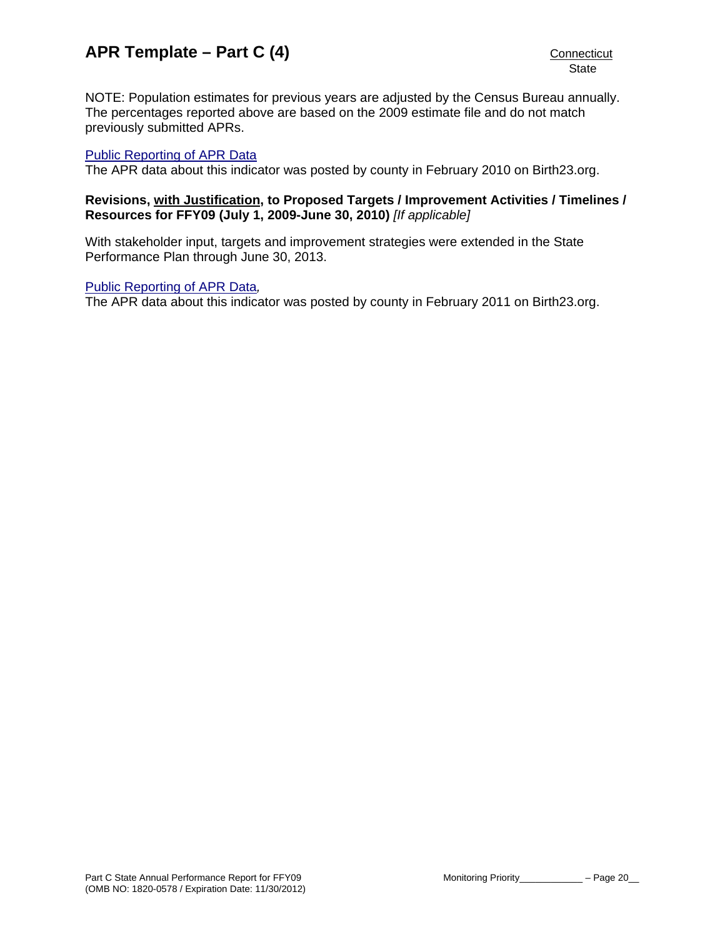NOTE: Population estimates for previous years are adjusted by the Census Bureau annually. The percentages reported above are based on the 2009 estimate file and do not match previously submitted APRs.

#### [Public Reporting of APR Data](http://www.birth23.org/state_performance_plans_and_annu.htm)

The APR data about this indicator was posted by county in February 2010 on Birth23.org.

#### **Revisions, with Justification, to Proposed Targets / Improvement Activities / Timelines / Resources for FFY09 (July 1, 2009-June 30, 2010)** *[If applicable]*

With stakeholder input, targets and improvement strategies were extended in the State Performance Plan through June 30, 2013.

#### [Public Reporting of APR Data](http://www.birth23.org/state_performance_plans_and_annu.htm)*,*

The APR data about this indicator was posted by county in February 2011 on Birth23.org.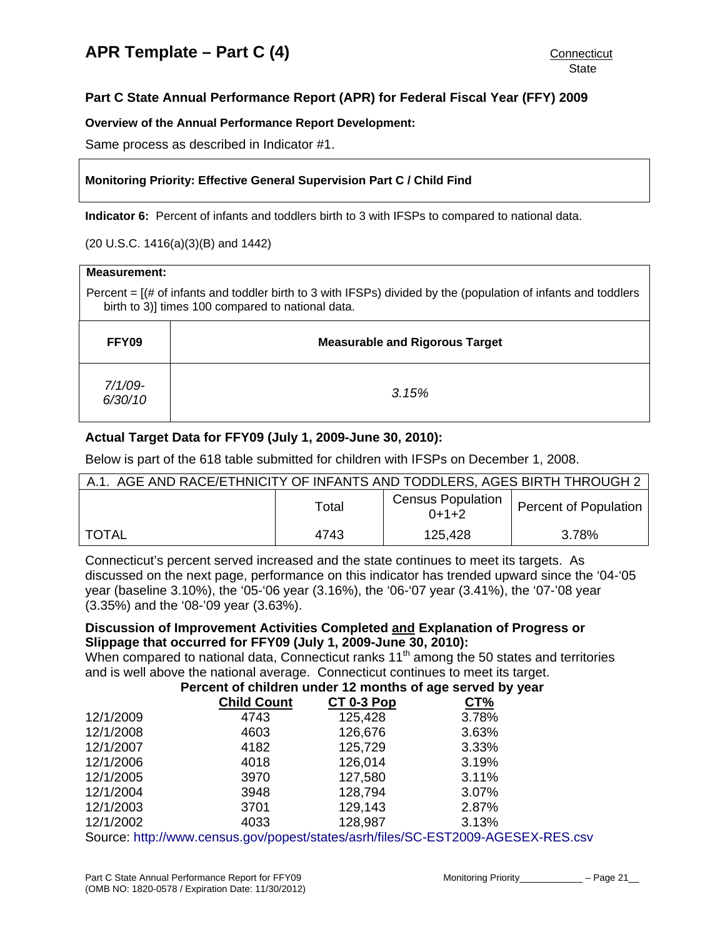# <span id="page-22-0"></span>**Part C State Annual Performance Report (APR) for Federal Fiscal Year (FFY) 2009**

#### **Overview of the Annual Performance Report Development:**

Same process as described in Indicator #1.

#### **Monitoring Priority: Effective General Supervision Part C / Child Find**

**Indicator 6:** Percent of infants and toddlers birth to 3 with IFSPs to compared to national data.

(20 U.S.C. 1416(a)(3)(B) and 1442)

| <b>Measurement:</b>                                                                                                                                                      |                                       |  |  |  |  |  |
|--------------------------------------------------------------------------------------------------------------------------------------------------------------------------|---------------------------------------|--|--|--|--|--|
| Percent $=$ $[$ (# of infants and toddler birth to 3 with IFSPs) divided by the (population of infants and toddlers<br>birth to 3)] times 100 compared to national data. |                                       |  |  |  |  |  |
| FFY09                                                                                                                                                                    | <b>Measurable and Rigorous Target</b> |  |  |  |  |  |
| $7/1/09$ -<br>6/30/10                                                                                                                                                    | 3.15%                                 |  |  |  |  |  |

# **Actual Target Data for FFY09 (July 1, 2009-June 30, 2010):**

Below is part of the 618 table submitted for children with IFSPs on December 1, 2008.

|              | A.1. AGE AND RACE/ETHNICITY OF INFANTS AND TODDLERS, AGES BIRTH THROUGH 2 |                                     |                              |  |  |
|--------------|---------------------------------------------------------------------------|-------------------------------------|------------------------------|--|--|
|              | Total                                                                     | <b>Census Population</b><br>$0+1+2$ | <b>Percent of Population</b> |  |  |
| <b>TOTAL</b> | 4743                                                                      | 125,428                             | 3.78%                        |  |  |

Connecticut's percent served increased and the state continues to meet its targets. As discussed on the next page, performance on this indicator has trended upward since the '04-'05 year (baseline 3.10%), the '05-'06 year (3.16%), the '06-'07 year (3.41%), the '07-'08 year (3.35%) and the '08-'09 year (3.63%).

#### **Discussion of Improvement Activities Completed and Explanation of Progress or Slippage that occurred for FFY09 (July 1, 2009-June 30, 2010):**

When compared to national data, Connecticut ranks  $11<sup>th</sup>$  among the 50 states and territories and is well above the national average. Connecticut continues to meet its target.

**Percent of children under 12 months of age served by year** 

|           | <b>Child Count</b>                                                                                                                                                                                                                | $CT 0-3 Pop$ | <b>CT%</b> |  |
|-----------|-----------------------------------------------------------------------------------------------------------------------------------------------------------------------------------------------------------------------------------|--------------|------------|--|
| 12/1/2009 | 4743                                                                                                                                                                                                                              | 125,428      | 3.78%      |  |
| 12/1/2008 | 4603                                                                                                                                                                                                                              | 126,676      | 3.63%      |  |
| 12/1/2007 | 4182                                                                                                                                                                                                                              | 125,729      | 3.33%      |  |
| 12/1/2006 | 4018                                                                                                                                                                                                                              | 126,014      | 3.19%      |  |
| 12/1/2005 | 3970                                                                                                                                                                                                                              | 127,580      | 3.11%      |  |
| 12/1/2004 | 3948                                                                                                                                                                                                                              | 128,794      | 3.07%      |  |
| 12/1/2003 | 3701                                                                                                                                                                                                                              | 129,143      | 2.87%      |  |
| 12/1/2002 | 4033                                                                                                                                                                                                                              | 128,987      | 3.13%      |  |
|           | $\mathcal{L}$ , and the set of the set of the set of the set of the set of the set of the set of the set of the set of the set of the set of the set of the set of the set of the set of the set of the set of the set of the set |              |            |  |

Source: <http://www.census.gov/popest/states/asrh/files/SC-EST2009-AGESEX-RES.csv>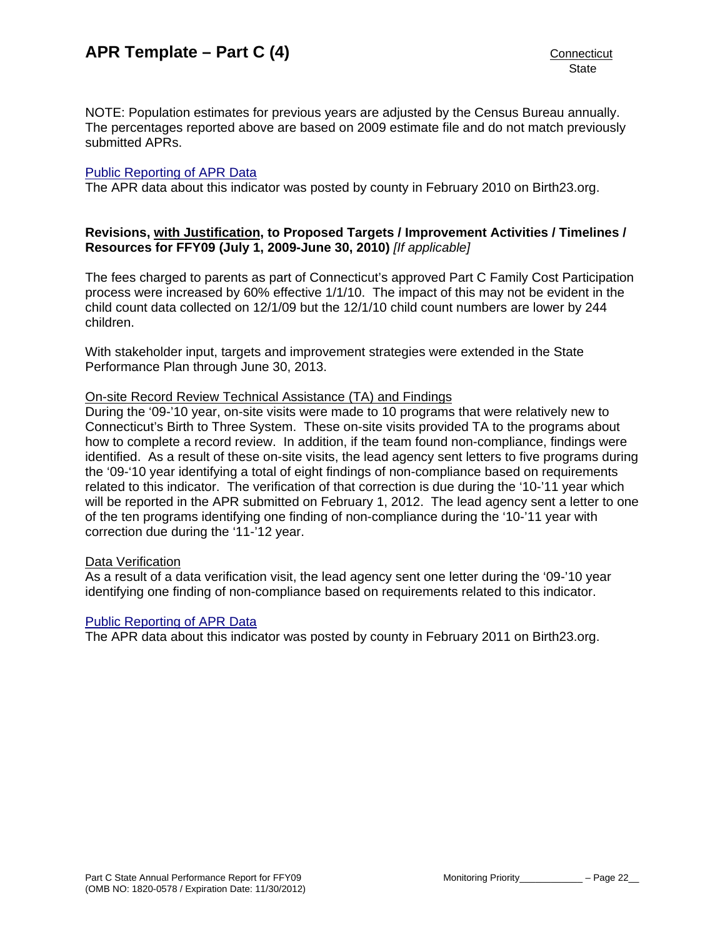NOTE: Population estimates for previous years are adjusted by the Census Bureau annually. The percentages reported above are based on 2009 estimate file and do not match previously submitted APRs.

#### [Public Reporting of APR Data](http://www.birth23.org/state_performance_plans_and_annu.htm)

The APR data about this indicator was posted by county in February 2010 on Birth23.org.

#### **Revisions, with Justification, to Proposed Targets / Improvement Activities / Timelines / Resources for FFY09 (July 1, 2009-June 30, 2010)** *[If applicable]*

The fees charged to parents as part of Connecticut's approved Part C Family Cost Participation process were increased by 60% effective 1/1/10. The impact of this may not be evident in the child count data collected on 12/1/09 but the 12/1/10 child count numbers are lower by 244 children.

With stakeholder input, targets and improvement strategies were extended in the State Performance Plan through June 30, 2013.

#### On-site Record Review Technical Assistance (TA) and Findings

During the '09-'10 year, on-site visits were made to 10 programs that were relatively new to Connecticut's Birth to Three System. These on-site visits provided TA to the programs about how to complete a record review. In addition, if the team found non-compliance, findings were identified. As a result of these on-site visits, the lead agency sent letters to five programs during the '09-'10 year identifying a total of eight findings of non-compliance based on requirements related to this indicator. The verification of that correction is due during the '10-'11 year which will be reported in the APR submitted on February 1, 2012. The lead agency sent a letter to one of the ten programs identifying one finding of non-compliance during the '10-'11 year with correction due during the '11-'12 year.

#### Data Verification

As a result of a data verification visit, the lead agency sent one letter during the '09-'10 year identifying one finding of non-compliance based on requirements related to this indicator.

#### [Public Reporting of APR Data](http://www.birth23.org/state_performance_plans_and_annu.htm)

The APR data about this indicator was posted by county in February 2011 on Birth23.org.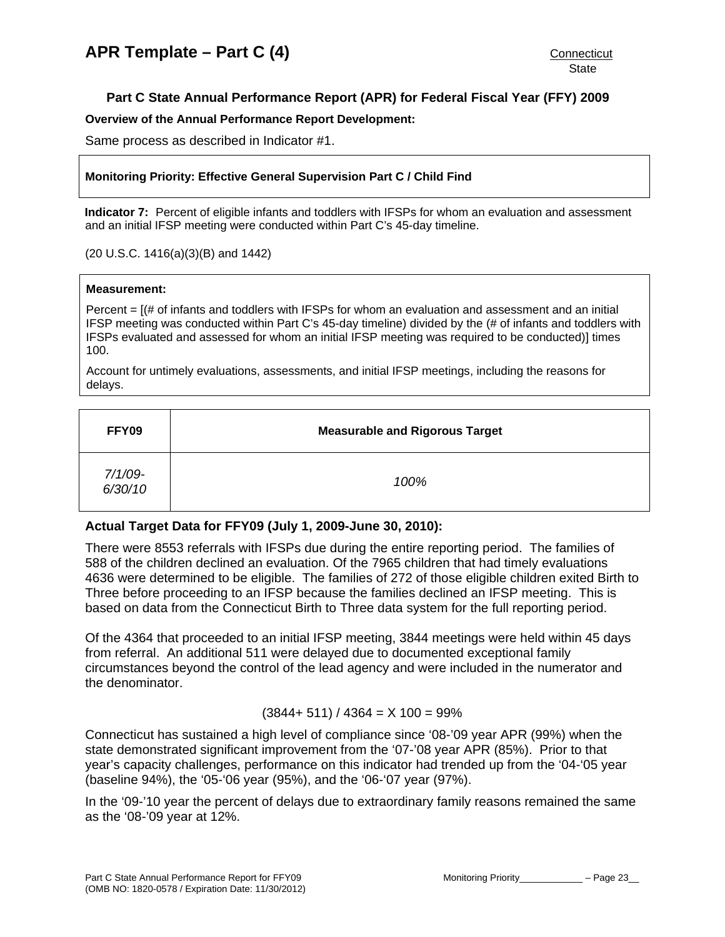# <span id="page-24-0"></span>**Part C State Annual Performance Report (APR) for Federal Fiscal Year (FFY) 2009**

#### **Overview of the Annual Performance Report Development:**

Same process as described in Indicator #1.

#### **Monitoring Priority: Effective General Supervision Part C / Child Find**

**Indicator 7:** Percent of eligible infants and toddlers with IFSPs for whom an evaluation and assessment and an initial IFSP meeting were conducted within Part C's 45-day timeline.

#### (20 U.S.C. 1416(a)(3)(B) and 1442)

#### **Measurement:**

Percent  $=$   $[(# of infants and toldlers with IFSPs for whom an evaluation and assessment and an initial$ IFSP meeting was conducted within Part C's 45-day timeline) divided by the (# of infants and toddlers with IFSPs evaluated and assessed for whom an initial IFSP meeting was required to be conducted)] times 100.

Account for untimely evaluations, assessments, and initial IFSP meetings, including the reasons for delays.

| FFY09              | <b>Measurable and Rigorous Target</b> |
|--------------------|---------------------------------------|
| 7/1/09-<br>6/30/10 | 100%                                  |

# **Actual Target Data for FFY09 (July 1, 2009-June 30, 2010):**

There were 8553 referrals with IFSPs due during the entire reporting period. The families of 588 of the children declined an evaluation. Of the 7965 children that had timely evaluations 4636 were determined to be eligible. The families of 272 of those eligible children exited Birth to Three before proceeding to an IFSP because the families declined an IFSP meeting. This is based on data from the Connecticut Birth to Three data system for the full reporting period.

Of the 4364 that proceeded to an initial IFSP meeting, 3844 meetings were held within 45 days from referral. An additional 511 were delayed due to documented exceptional family circumstances beyond the control of the lead agency and were included in the numerator and the denominator.

#### $(3844 + 511) / 4364 = X 100 = 99\%$

Connecticut has sustained a high level of compliance since '08-'09 year APR (99%) when the state demonstrated significant improvement from the '07-'08 year APR (85%). Prior to that year's capacity challenges, performance on this indicator had trended up from the '04-'05 year (baseline 94%), the '05-'06 year (95%), and the '06-'07 year (97%).

In the '09-'10 year the percent of delays due to extraordinary family reasons remained the same as the '08-'09 year at 12%.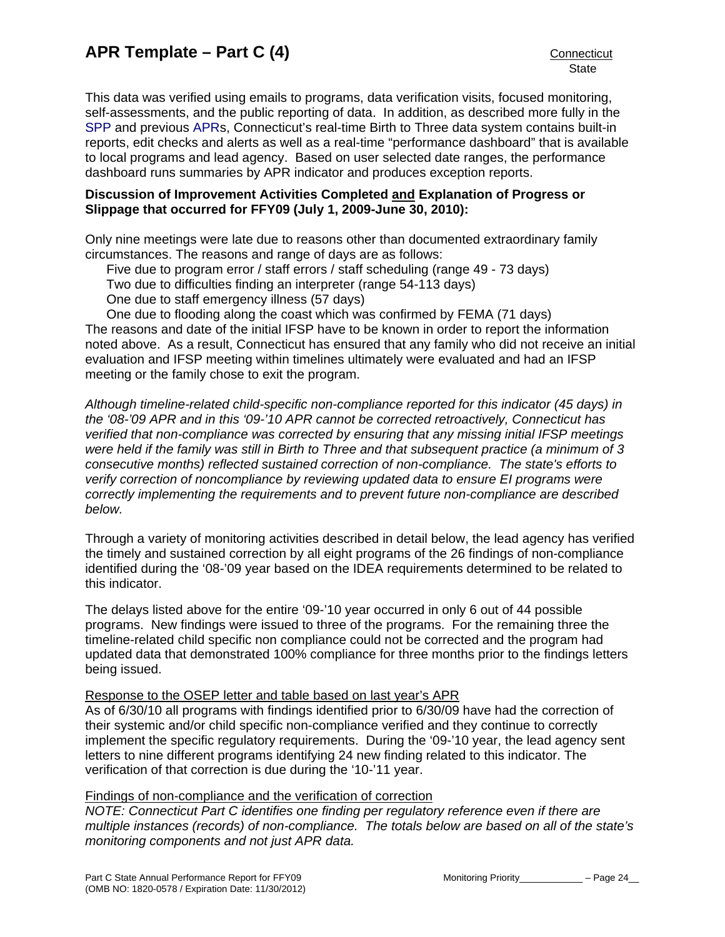This data was verified using emails to programs, data verification visits, focused monitoring, self-assessments, and the public reporting of data. In addition, as described more fully in the [SPP](http://www.birth23.org/state_performance_plans_and_annu.htm) and previous [APRs](http://www.birth23.org/state_performance_plans_and_annu.htm), Connecticut's real-time Birth to Three data system contains built-in reports, edit checks and alerts as well as a real-time "performance dashboard" that is available to local programs and lead agency. Based on user selected date ranges, the performance dashboard runs summaries by APR indicator and produces exception reports.

#### **Discussion of Improvement Activities Completed and Explanation of Progress or Slippage that occurred for FFY09 (July 1, 2009-June 30, 2010):**

Only nine meetings were late due to reasons other than documented extraordinary family circumstances. The reasons and range of days are as follows:

Five due to program error / staff errors / staff scheduling (range 49 - 73 days)

Two due to difficulties finding an interpreter (range 54-113 days)

One due to staff emergency illness (57 days)

One due to flooding along the coast which was confirmed by FEMA (71 days) The reasons and date of the initial IFSP have to be known in order to report the information noted above. As a result, Connecticut has ensured that any family who did not receive an initial evaluation and IFSP meeting within timelines ultimately were evaluated and had an IFSP meeting or the family chose to exit the program.

*Although timeline-related child-specific non-compliance reported for this indicator (45 days) in the '08-'09 APR and in this '09-'10 APR cannot be corrected retroactively, Connecticut has verified that non-compliance was corrected by ensuring that any missing initial IFSP meetings were held if the family was still in Birth to Three and that subsequent practice (a minimum of 3 consecutive months) reflected sustained correction of non-compliance. The state's efforts to verify correction of noncompliance by reviewing updated data to ensure EI programs were correctly implementing the requirements and to prevent future non-compliance are described below.* 

Through a variety of monitoring activities described in detail below, the lead agency has verified the timely and sustained correction by all eight programs of the 26 findings of non-compliance identified during the '08-'09 year based on the IDEA requirements determined to be related to this indicator.

The delays listed above for the entire '09-'10 year occurred in only 6 out of 44 possible programs. New findings were issued to three of the programs. For the remaining three the timeline-related child specific non compliance could not be corrected and the program had updated data that demonstrated 100% compliance for three months prior to the findings letters being issued.

#### Response to the OSEP letter and table based on last year's APR

As of 6/30/10 all programs with findings identified prior to 6/30/09 have had the correction of their systemic and/or child specific non-compliance verified and they continue to correctly implement the specific regulatory requirements. During the '09-'10 year, the lead agency sent letters to nine different programs identifying 24 new finding related to this indicator. The verification of that correction is due during the '10-'11 year.

#### Findings of non-compliance and the verification of correction

*NOTE: Connecticut Part C identifies one finding per regulatory reference even if there are multiple instances (records) of non-compliance. The totals below are based on all of the state's monitoring components and not just APR data.*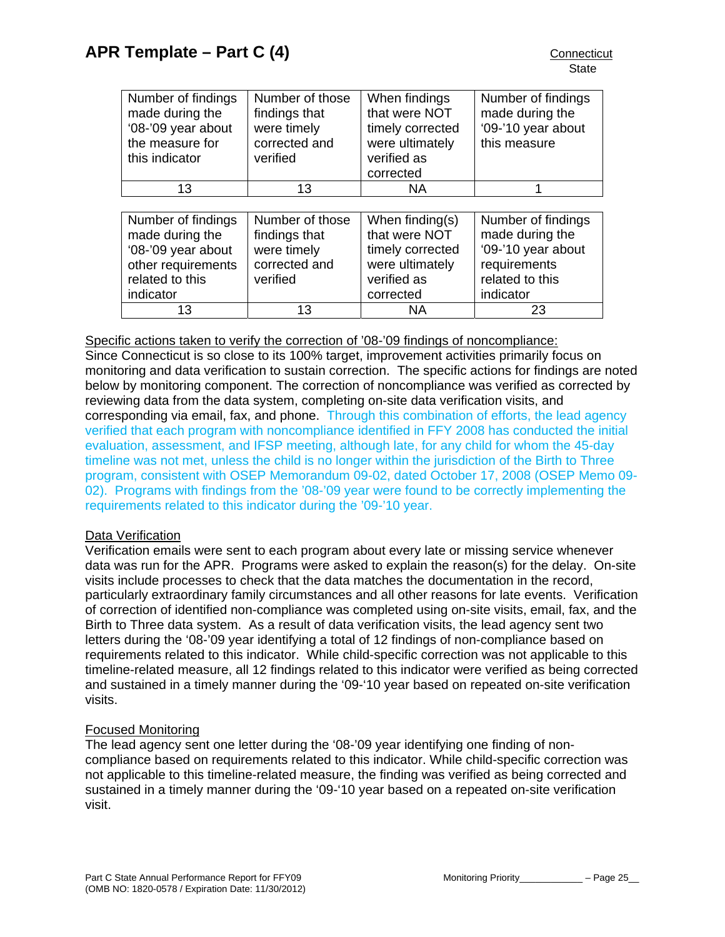<span id="page-26-0"></span>

| Number of findings<br>made during the<br>'08-'09 year about<br>the measure for<br>this indicator                  | Number of those<br>findings that<br>were timely<br>corrected and<br>verified | When findings<br>that were NOT<br>timely corrected<br>were ultimately<br>verified as<br>corrected      | Number of findings<br>made during the<br>'09-'10 year about<br>this measure                                 |
|-------------------------------------------------------------------------------------------------------------------|------------------------------------------------------------------------------|--------------------------------------------------------------------------------------------------------|-------------------------------------------------------------------------------------------------------------|
| 13                                                                                                                | 13                                                                           | <b>NA</b>                                                                                              |                                                                                                             |
|                                                                                                                   |                                                                              |                                                                                                        |                                                                                                             |
| Number of findings<br>made during the<br>'08-'09 year about<br>other requirements<br>related to this<br>indicator | Number of those<br>findings that<br>were timely<br>corrected and<br>verified | When finding $(s)$<br>that were NOT<br>timely corrected<br>were ultimately<br>verified as<br>corrected | Number of findings<br>made during the<br>'09-'10 year about<br>requirements<br>related to this<br>indicator |

#### Specific actions taken to verify the correction of '08-'09 findings of noncompliance:

Since Connecticut is so close to its 100% target, improvement activities primarily focus on monitoring and data verification to sustain correction. The specific actions for findings are noted below by monitoring component. The correction of noncompliance was verified as corrected by reviewing data from the data system, completing on-site data verification visits, and corresponding via email, fax, and phone. Through this combination of efforts, the lead agency verified that each program with noncompliance identified in FFY 2008 has conducted the initial evaluation, assessment, and IFSP meeting, although late, for any child for whom the 45-day timeline was not met, unless the child is no longer within the jurisdiction of the Birth to Three program, consistent with OSEP Memorandum 09-02, dated October 17, 2008 (OSEP Memo 09- 02). Programs with findings from the '08-'09 year were found to be correctly implementing the requirements related to this indicator during the '09-'10 year.

13 | 13 | NA | 23

#### Data Verification

Verification emails were sent to each program about every late or missing service whenever data was run for the APR. Programs were asked to explain the reason(s) for the delay. On-site visits include processes to check that the data matches the documentation in the record, particularly extraordinary family circumstances and all other reasons for late events. Verification of correction of identified non-compliance was completed using on-site visits, email, fax, and the Birth to Three data system. As a result of data verification visits, the lead agency sent two letters during the '08-'09 year identifying a total of 12 findings of non-compliance based on requirements related to this indicator. While child-specific correction was not applicable to this timeline-related measure, all 12 findings related to this indicator were verified as being corrected and sustained in a timely manner during the '09-'10 year based on repeated on-site verification visits.

#### Focused Monitoring

The lead agency sent one letter during the '08-'09 year identifying one finding of noncompliance based on requirements related to this indicator. While child-specific correction was not applicable to this timeline-related measure, the finding was verified as being corrected and sustained in a timely manner during the '09-'10 year based on a repeated on-site verification visit.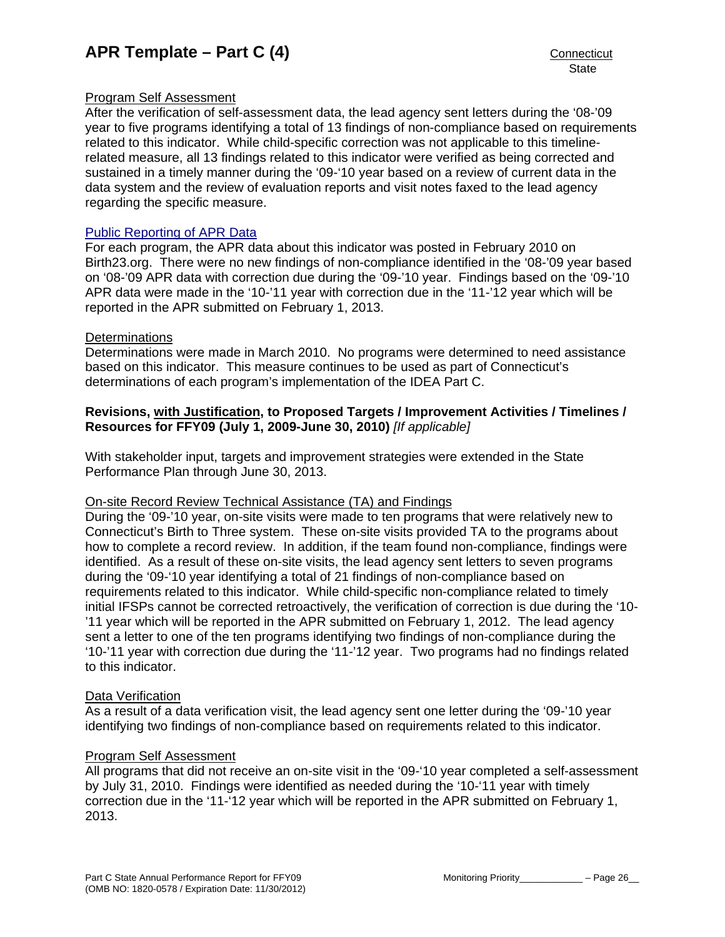## Program Self Assessment

After the verification of self-assessment data, the lead agency sent letters during the '08-'09 year to five programs identifying a total of 13 findings of non-compliance based on requirements related to this indicator. While child-specific correction was not applicable to this timelinerelated measure, all 13 findings related to this indicator were verified as being corrected and sustained in a timely manner during the '09-'10 year based on a review of current data in the data system and the review of evaluation reports and visit notes faxed to the lead agency regarding the specific measure.

#### [Public Reporting of APR Data](http://www.birth23.org/state_performance_plans_and_annu.htm)

For each program, the APR data about this indicator was posted in February 2010 on Birth23.org. There were no new findings of non-compliance identified in the '08-'09 year based on '08-'09 APR data with correction due during the '09-'10 year. Findings based on the '09-'10 APR data were made in the '10-'11 year with correction due in the '11-'12 year which will be reported in the APR submitted on February 1, 2013.

#### **Determinations**

Determinations were made in March 2010. No programs were determined to need assistance based on this indicator. This measure continues to be used as part of Connecticut's determinations of each program's implementation of the IDEA Part C.

#### **Revisions, with Justification, to Proposed Targets / Improvement Activities / Timelines / Resources for FFY09 (July 1, 2009-June 30, 2010)** *[If applicable]*

With stakeholder input, targets and improvement strategies were extended in the State Performance Plan through June 30, 2013.

#### On-site Record Review Technical Assistance (TA) and Findings

During the '09-'10 year, on-site visits were made to ten programs that were relatively new to Connecticut's Birth to Three system. These on-site visits provided TA to the programs about how to complete a record review. In addition, if the team found non-compliance, findings were identified. As a result of these on-site visits, the lead agency sent letters to seven programs during the '09-'10 year identifying a total of 21 findings of non-compliance based on requirements related to this indicator. While child-specific non-compliance related to timely initial IFSPs cannot be corrected retroactively, the verification of correction is due during the '10- '11 year which will be reported in the APR submitted on February 1, 2012. The lead agency sent a letter to one of the ten programs identifying two findings of non-compliance during the '10-'11 year with correction due during the '11-'12 year. Two programs had no findings related to this indicator.

#### Data Verification

As a result of a data verification visit, the lead agency sent one letter during the '09-'10 year identifying two findings of non-compliance based on requirements related to this indicator.

#### Program Self Assessment

All programs that did not receive an on-site visit in the '09-'10 year completed a self-assessment by July 31, 2010. Findings were identified as needed during the '10-'11 year with timely correction due in the '11-'12 year which will be reported in the APR submitted on February 1, 2013.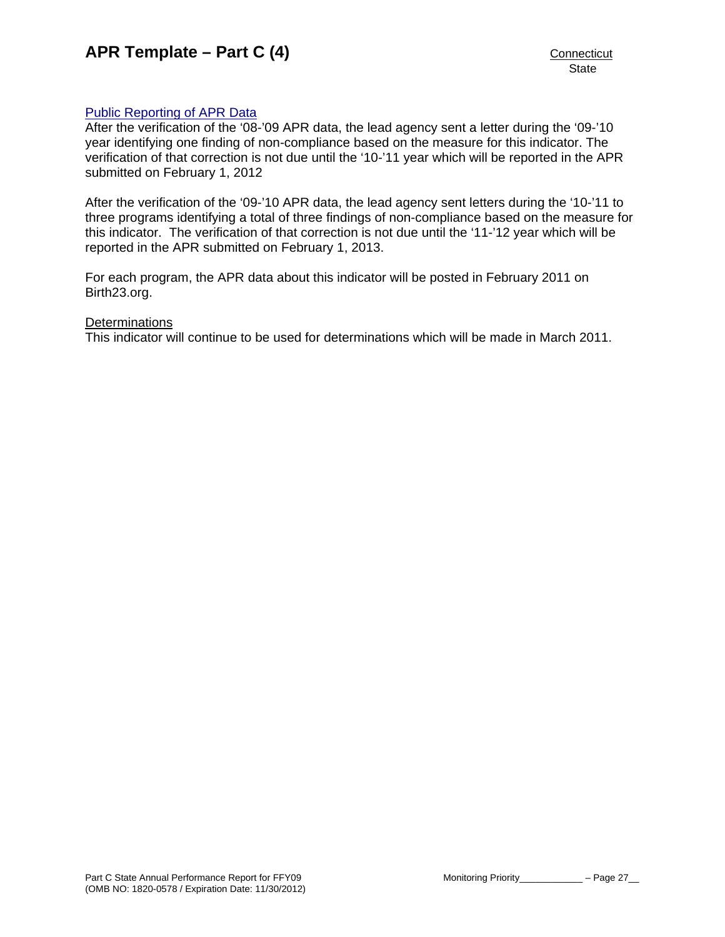# [Public Reporting of APR Data](http://www.birth23.org/state_performance_plans_and_annu.htm)

After the verification of the '08-'09 APR data, the lead agency sent a letter during the '09-'10 year identifying one finding of non-compliance based on the measure for this indicator. The verification of that correction is not due until the '10-'11 year which will be reported in the APR submitted on February 1, 2012

After the verification of the '09-'10 APR data, the lead agency sent letters during the '10-'11 to three programs identifying a total of three findings of non-compliance based on the measure for this indicator. The verification of that correction is not due until the '11-'12 year which will be reported in the APR submitted on February 1, 2013.

For each program, the APR data about this indicator will be posted in February 2011 on Birth23.org.

#### **Determinations**

This indicator will continue to be used for determinations which will be made in March 2011.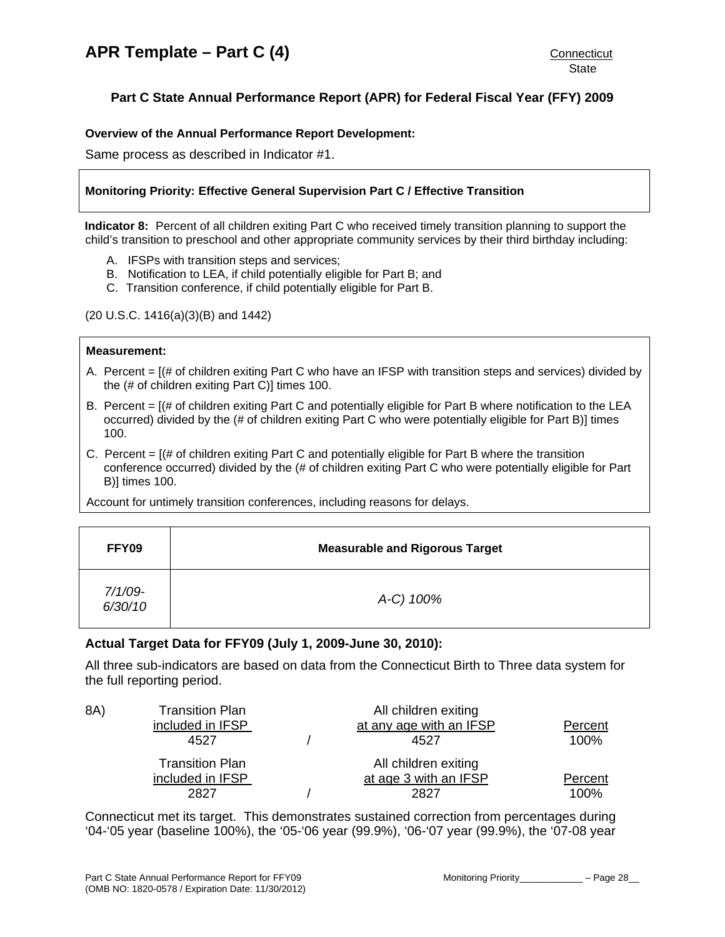# <span id="page-29-0"></span>**Part C State Annual Performance Report (APR) for Federal Fiscal Year (FFY) 2009**

#### **Overview of the Annual Performance Report Development:**

Same process as described in Indicator #1.

#### **Monitoring Priority: Effective General Supervision Part C / Effective Transition**

**Indicator 8:** Percent of all children exiting Part C who received timely transition planning to support the child's transition to preschool and other appropriate community services by their third birthday including:

- A. IFSPs with transition steps and services;
- B. Notification to LEA, if child potentially eligible for Part B; and
- C. Transition conference, if child potentially eligible for Part B.

(20 U.S.C. 1416(a)(3)(B) and 1442)

#### **Measurement:**

- A. Percent = [(# of children exiting Part C who have an IFSP with transition steps and services) divided by the (# of children exiting Part C)] times 100.
- B. Percent = [(# of children exiting Part C and potentially eligible for Part B where notification to the LEA occurred) divided by the (# of children exiting Part C who were potentially eligible for Part B)] times 100.
- C. Percent  $=$   $[(# of children exiting Part C and potentially eligible for Part B where the transition$ conference occurred) divided by the (# of children exiting Part C who were potentially eligible for Part B)] times 100.

Account for untimely transition conferences, including reasons for delays.

| FFY09                 | <b>Measurable and Rigorous Target</b> |
|-----------------------|---------------------------------------|
| $7/1/09$ -<br>6/30/10 | A-C) 100%                             |

# **Actual Target Data for FFY09 (July 1, 2009-June 30, 2010):**

All three sub-indicators are based on data from the Connecticut Birth to Three data system for the full reporting period.

| 8A) | <b>Transition Plan</b><br>included in IFSP<br>4527 | All children exiting<br>at any age with an IFSP<br>4527 | Percent<br>100% |
|-----|----------------------------------------------------|---------------------------------------------------------|-----------------|
|     | <b>Transition Plan</b><br>included in IFSP<br>2827 | All children exiting<br>at age 3 with an IFSP<br>2827   | Percent<br>100% |

Connecticut met its target. This demonstrates sustained correction from percentages during '04-'05 year (baseline 100%), the '05-'06 year (99.9%), '06-'07 year (99.9%), the '07-08 year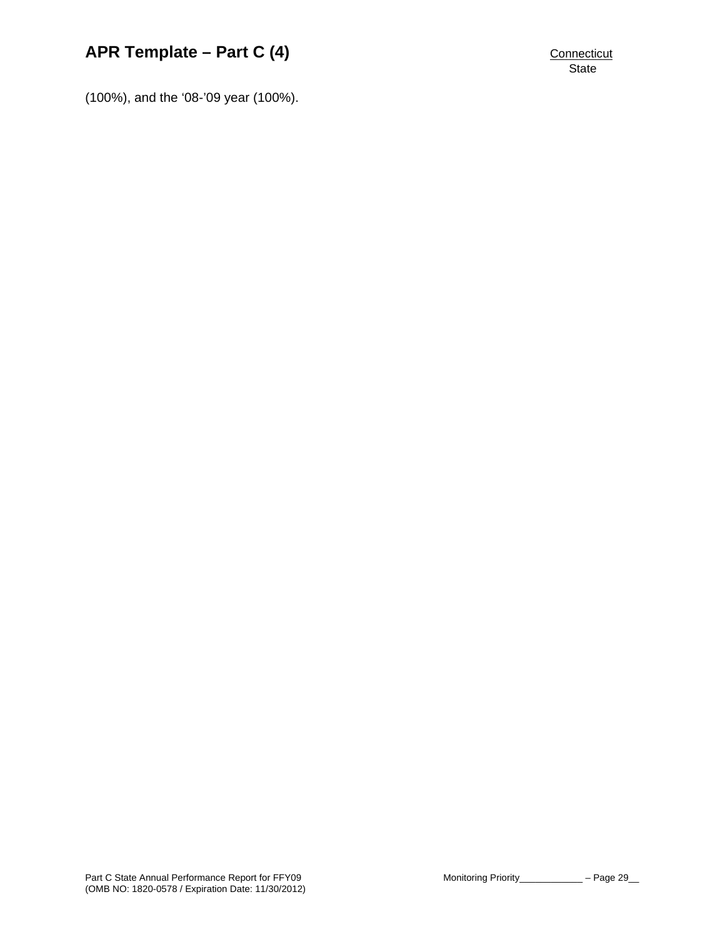# **APR Template – Part C (4)** CONNECTIVE CONNECTIVE CONNECTICUT

**State** 

(100%), and the '08-'09 year (100%).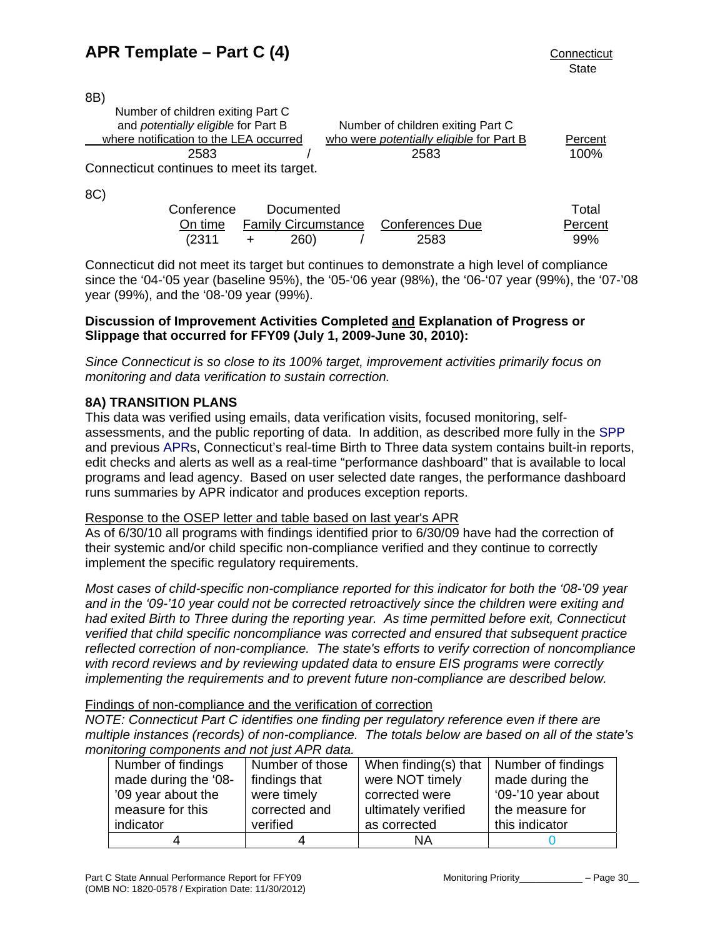<span id="page-31-0"></span>8B)

8C)

| Number of children exiting Part C<br>and potentially eligible for Part B | Number of children exiting Part C               |         |
|--------------------------------------------------------------------------|-------------------------------------------------|---------|
| where notification to the LEA occurred                                   | who were <i>potentially eligible</i> for Part B | Percent |
| 2583                                                                     | 2583                                            | 100%    |
| Connecticut continues to meet its target.                                |                                                 |         |
|                                                                          |                                                 |         |

| -- - |            |            |                                             |         |
|------|------------|------------|---------------------------------------------|---------|
|      | Conference | Documented |                                             | Total   |
|      |            |            | On time Family Circumstance Conferences Due | Percent |
|      | (2311      | 260)       | 2583                                        | .99%    |

Connecticut did not meet its target but continues to demonstrate a high level of compliance since the '04-'05 year (baseline 95%), the '05-'06 year (98%), the '06-'07 year (99%), the '07-'08 year (99%), and the '08-'09 year (99%).

# **Discussion of Improvement Activities Completed and Explanation of Progress or Slippage that occurred for FFY09 (July 1, 2009-June 30, 2010):**

*Since Connecticut is so close to its 100% target, improvement activities primarily focus on monitoring and data verification to sustain correction.*

# **8A) TRANSITION PLANS**

This data was verified using emails, data verification visits, focused monitoring, selfassessments, and the public reporting of data. In addition, as described more fully in the [SPP](http://www.birth23.org/state_performance_plans_and_annu.htm) and previous [APRs](http://www.birth23.org/state_performance_plans_and_annu.htm), Connecticut's real-time Birth to Three data system contains built-in reports, edit checks and alerts as well as a real-time "performance dashboard" that is available to local programs and lead agency. Based on user selected date ranges, the performance dashboard runs summaries by APR indicator and produces exception reports.

# Response to the OSEP letter and table based on last year's APR

As of 6/30/10 all programs with findings identified prior to 6/30/09 have had the correction of their systemic and/or child specific non-compliance verified and they continue to correctly implement the specific regulatory requirements.

*Most cases of child-specific non-compliance reported for this indicator for both the '08-'09 year and in the '09-'10 year could not be corrected retroactively since the children were exiting and had exited Birth to Three during the reporting year. As time permitted before exit, Connecticut verified that child specific noncompliance was corrected and ensured that subsequent practice reflected correction of non-compliance. The state's efforts to verify correction of noncompliance with record reviews and by reviewing updated data to ensure EIS programs were correctly implementing the requirements and to prevent future non-compliance are described below.* 

# Findings of non-compliance and the verification of correction

*NOTE: Connecticut Part C identifies one finding per regulatory reference even if there are multiple instances (records) of non-compliance. The totals below are based on all of the state's monitoring components and not just APR data.* 

| Number of findings   | Number of those | When finding(s) that $\vert$ Number of findings |                    |
|----------------------|-----------------|-------------------------------------------------|--------------------|
| made during the '08- | findings that   | were NOT timely                                 | made during the    |
| '09 year about the   | were timely     | corrected were                                  | '09-'10 year about |
| measure for this     | corrected and   | ultimately verified                             | the measure for    |
| indicator            | verified        | as corrected                                    | this indicator     |
|                      |                 | ΝA                                              |                    |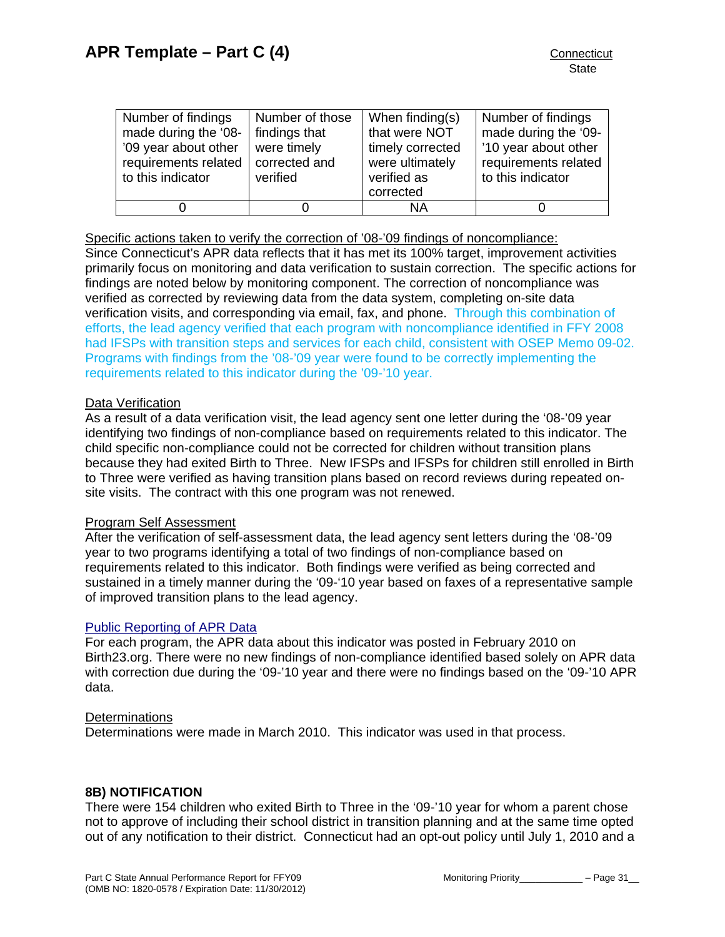<span id="page-32-0"></span>

| Number of findings<br>made during the '08-<br>'09 year about other<br>requirements related<br>to this indicator | Number of those<br>findings that<br>were timely<br>corrected and<br>verified | When finding(s)<br>that were NOT<br>timely corrected<br>were ultimately<br>verified as<br>corrected | Number of findings<br>made during the '09-<br>'10 year about other<br>requirements related<br>to this indicator |
|-----------------------------------------------------------------------------------------------------------------|------------------------------------------------------------------------------|-----------------------------------------------------------------------------------------------------|-----------------------------------------------------------------------------------------------------------------|
|                                                                                                                 |                                                                              | ΝA                                                                                                  |                                                                                                                 |

Specific actions taken to verify the correction of '08-'09 findings of noncompliance: Since Connecticut's APR data reflects that it has met its 100% target, improvement activities primarily focus on monitoring and data verification to sustain correction. The specific actions for findings are noted below by monitoring component. The correction of noncompliance was verified as corrected by reviewing data from the data system, completing on-site data verification visits, and corresponding via email, fax, and phone. Through this combination of efforts, the lead agency verified that each program with noncompliance identified in FFY 2008 had IFSPs with transition steps and services for each child, consistent with OSEP Memo 09-02. Programs with findings from the '08-'09 year were found to be correctly implementing the requirements related to this indicator during the '09-'10 year.

#### Data Verification

As a result of a data verification visit, the lead agency sent one letter during the '08-'09 year identifying two findings of non-compliance based on requirements related to this indicator. The child specific non-compliance could not be corrected for children without transition plans because they had exited Birth to Three. New IFSPs and IFSPs for children still enrolled in Birth to Three were verified as having transition plans based on record reviews during repeated onsite visits. The contract with this one program was not renewed.

#### Program Self Assessment

After the verification of self-assessment data, the lead agency sent letters during the '08-'09 year to two programs identifying a total of two findings of non-compliance based on requirements related to this indicator. Both findings were verified as being corrected and sustained in a timely manner during the '09-'10 year based on faxes of a representative sample of improved transition plans to the lead agency.

#### [Public Reporting of APR Data](http://www.birth23.org/state_performance_plans_and_annu.htm)

For each program, the APR data about this indicator was posted in February 2010 on Birth23.org. There were no new findings of non-compliance identified based solely on APR data with correction due during the '09-'10 year and there were no findings based on the '09-'10 APR data.

#### **Determinations**

Determinations were made in March 2010. This indicator was used in that process.

#### **8B) NOTIFICATION**

There were 154 children who exited Birth to Three in the '09-'10 year for whom a parent chose not to approve of including their school district in transition planning and at the same time opted out of any notification to their district. Connecticut had an opt-out policy until July 1, 2010 and a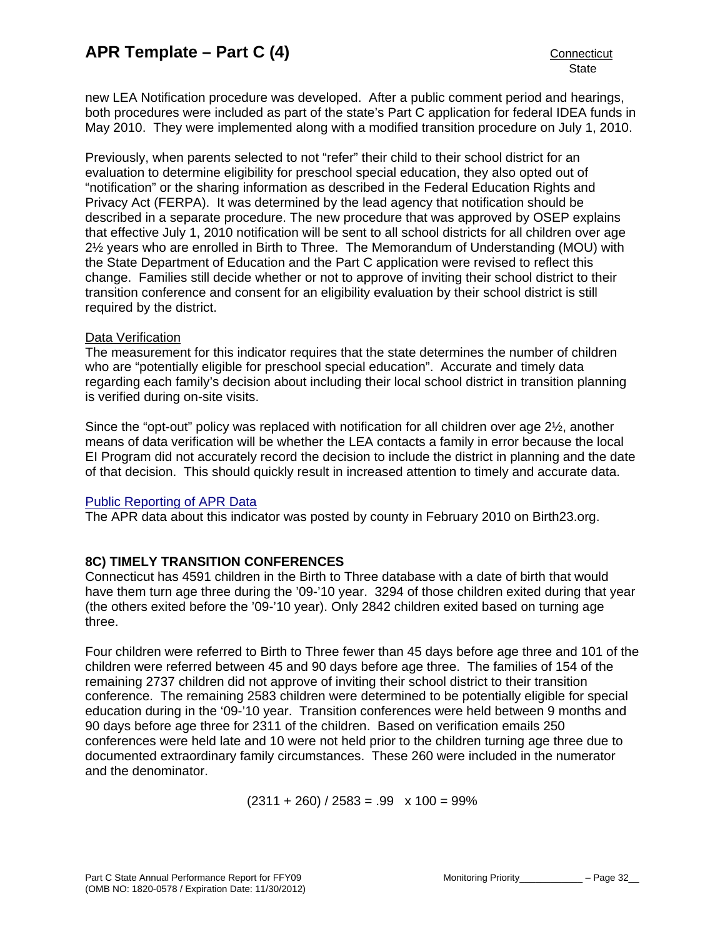new LEA Notification procedure was developed. After a public comment period and hearings, both procedures were included as part of the state's Part C application for federal IDEA funds in May 2010. They were implemented along with a modified transition procedure on July 1, 2010.

Previously, when parents selected to not "refer" their child to their school district for an evaluation to determine eligibility for preschool special education, they also opted out of "notification" or the sharing information as described in the Federal Education Rights and Privacy Act (FERPA). It was determined by the lead agency that notification should be described in a separate procedure. The new procedure that was approved by OSEP explains that effective July 1, 2010 notification will be sent to all school districts for all children over age 2½ years who are enrolled in Birth to Three. The Memorandum of Understanding (MOU) with the State Department of Education and the Part C application were revised to reflect this change. Families still decide whether or not to approve of inviting their school district to their transition conference and consent for an eligibility evaluation by their school district is still required by the district.

#### Data Verification

The measurement for this indicator requires that the state determines the number of children who are "potentially eligible for preschool special education". Accurate and timely data regarding each family's decision about including their local school district in transition planning is verified during on-site visits.

Since the "opt-out" policy was replaced with notification for all children over age 2½, another means of data verification will be whether the LEA contacts a family in error because the local EI Program did not accurately record the decision to include the district in planning and the date of that decision. This should quickly result in increased attention to timely and accurate data.

# [Public Reporting of APR Data](http://www.birth23.org/state_performance_plans_and_annu.htm)

The APR data about this indicator was posted by county in February 2010 on Birth23.org.

# **8C) TIMELY TRANSITION CONFERENCES**

Connecticut has 4591 children in the Birth to Three database with a date of birth that would have them turn age three during the '09-'10 year. 3294 of those children exited during that year (the others exited before the '09-'10 year). Only 2842 children exited based on turning age three.

Four children were referred to Birth to Three fewer than 45 days before age three and 101 of the children were referred between 45 and 90 days before age three. The families of 154 of the remaining 2737 children did not approve of inviting their school district to their transition conference. The remaining 2583 children were determined to be potentially eligible for special education during in the '09-'10 year. Transition conferences were held between 9 months and 90 days before age three for 2311 of the children. Based on verification emails 250 conferences were held late and 10 were not held prior to the children turning age three due to documented extraordinary family circumstances. These 260 were included in the numerator and the denominator.

 $(2311 + 260) / 2583 = .99$  x  $100 = 99\%$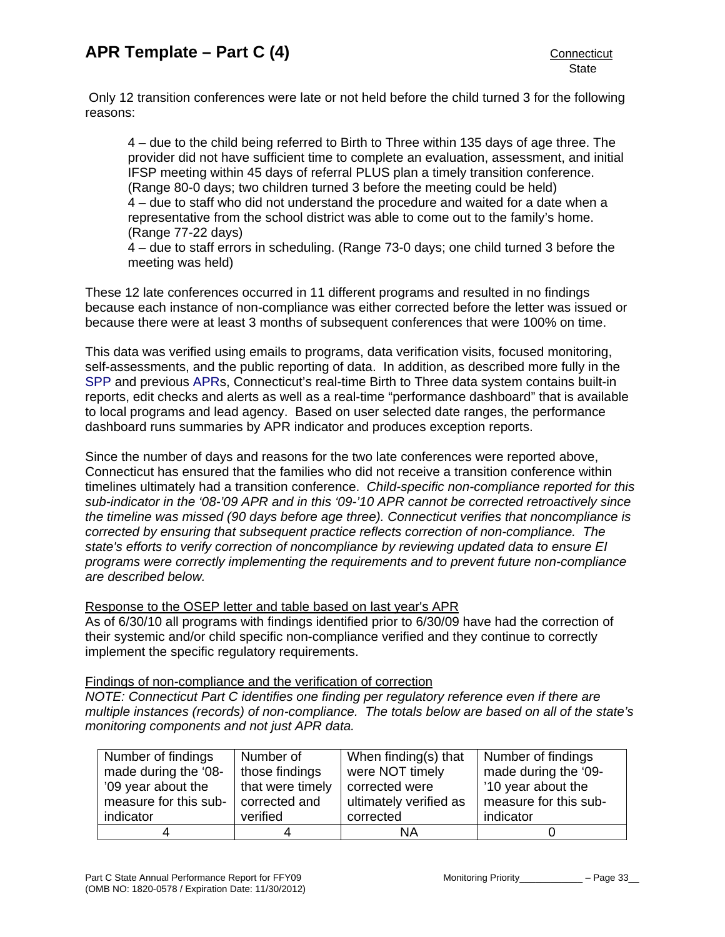Only 12 transition conferences were late or not held before the child turned 3 for the following reasons:

4 – due to the child being referred to Birth to Three within 135 days of age three. The provider did not have sufficient time to complete an evaluation, assessment, and initial IFSP meeting within 45 days of referral PLUS plan a timely transition conference. (Range 80-0 days; two children turned 3 before the meeting could be held) 4 – due to staff who did not understand the procedure and waited for a date when a representative from the school district was able to come out to the family's home. (Range 77-22 days) 4 – due to staff errors in scheduling. (Range 73-0 days; one child turned 3 before the

meeting was held)

These 12 late conferences occurred in 11 different programs and resulted in no findings because each instance of non-compliance was either corrected before the letter was issued or because there were at least 3 months of subsequent conferences that were 100% on time.

This data was verified using emails to programs, data verification visits, focused monitoring, self-assessments, and the public reporting of data. In addition, as described more fully in the [SPP](http://www.birth23.org/Accountability/SPP/SPPAPR.html) and previous [APRs](http://www.birth23.org/Accountability/SPP/SPPAPR.html), Connecticut's real-time Birth to Three data system contains built-in reports, edit checks and alerts as well as a real-time "performance dashboard" that is available to local programs and lead agency. Based on user selected date ranges, the performance dashboard runs summaries by APR indicator and produces exception reports.

Since the number of days and reasons for the two late conferences were reported above, Connecticut has ensured that the families who did not receive a transition conference within timelines ultimately had a transition conference. *Child-specific non-compliance reported for this sub-indicator in the '08-'09 APR and in this '09-'10 APR cannot be corrected retroactively since the timeline was missed (90 days before age three). Connecticut verifies that noncompliance is corrected by ensuring that subsequent practice reflects correction of non-compliance. The state's efforts to verify correction of noncompliance by reviewing updated data to ensure EI programs were correctly implementing the requirements and to prevent future non-compliance are described below.* 

Response to the OSEP letter and table based on last year's APR

As of 6/30/10 all programs with findings identified prior to 6/30/09 have had the correction of their systemic and/or child specific non-compliance verified and they continue to correctly implement the specific regulatory requirements.

#### Findings of non-compliance and the verification of correction

*NOTE: Connecticut Part C identifies one finding per regulatory reference even if there are multiple instances (records) of non-compliance. The totals below are based on all of the state's monitoring components and not just APR data.* 

| Number of findings    | Number of        | When finding(s) that   | Number of findings    |
|-----------------------|------------------|------------------------|-----------------------|
| made during the '08-  | those findings   | were NOT timely        | made during the '09-  |
| '09 year about the    | that were timely | corrected were         | '10 year about the    |
| measure for this sub- | corrected and    | ultimately verified as | measure for this sub- |
| indicator             | verified         | corrected              | indicator             |
|                       | 4                | NA                     |                       |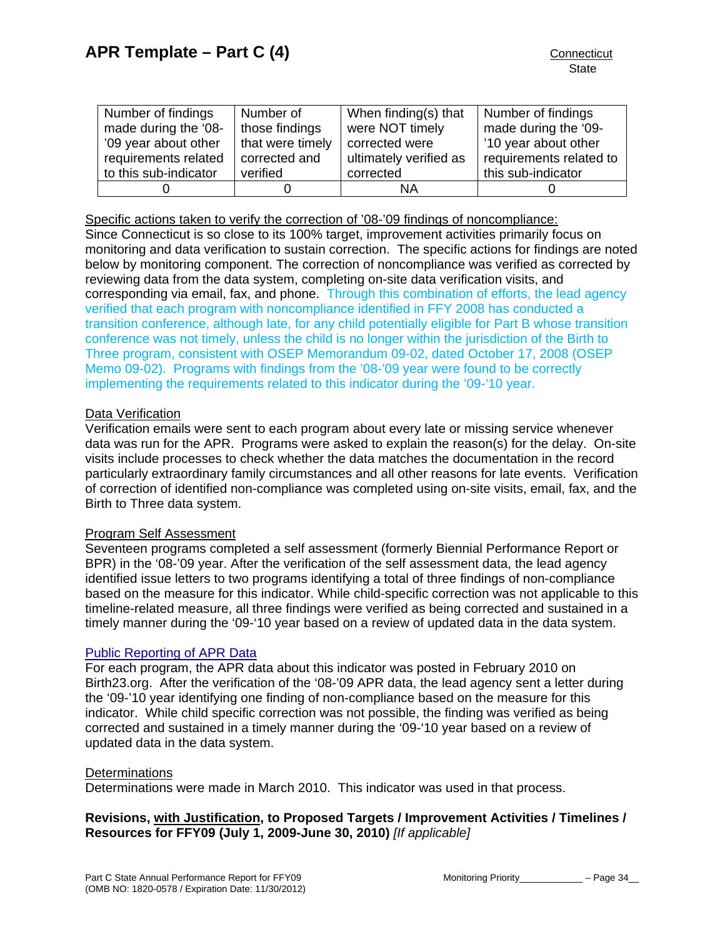<span id="page-35-0"></span>

| Number of findings    | Number of        | When finding(s) that   | Number of findings      |
|-----------------------|------------------|------------------------|-------------------------|
| made during the '08-  | those findings   | were NOT timely        | made during the '09-    |
| '09 year about other  | that were timely | corrected were         | '10 year about other    |
| requirements related  | corrected and    | ultimately verified as | requirements related to |
| to this sub-indicator | verified         | corrected              | this sub-indicator      |
|                       |                  | ΝA                     |                         |

Specific actions taken to verify the correction of '08-'09 findings of noncompliance:

Since Connecticut is so close to its 100% target, improvement activities primarily focus on monitoring and data verification to sustain correction. The specific actions for findings are noted below by monitoring component. The correction of noncompliance was verified as corrected by reviewing data from the data system, completing on-site data verification visits, and corresponding via email, fax, and phone. Through this combination of efforts, the lead agency verified that each program with noncompliance identified in FFY 2008 has conducted a transition conference, although late, for any child potentially eligible for Part B whose transition conference was not timely, unless the child is no longer within the jurisdiction of the Birth to Three program, consistent with OSEP Memorandum 09-02, dated October 17, 2008 (OSEP Memo 09-02). Programs with findings from the '08-'09 year were found to be correctly implementing the requirements related to this indicator during the '09-'10 year.

## Data Verification

Verification emails were sent to each program about every late or missing service whenever data was run for the APR. Programs were asked to explain the reason(s) for the delay. On-site visits include processes to check whether the data matches the documentation in the record particularly extraordinary family circumstances and all other reasons for late events. Verification of correction of identified non-compliance was completed using on-site visits, email, fax, and the Birth to Three data system.

#### Program Self Assessment

Seventeen programs completed a self assessment (formerly Biennial Performance Report or BPR) in the '08-'09 year. After the verification of the self assessment data, the lead agency identified issue letters to two programs identifying a total of three findings of non-compliance based on the measure for this indicator. While child-specific correction was not applicable to this timeline-related measure, all three findings were verified as being corrected and sustained in a timely manner during the '09-'10 year based on a review of updated data in the data system.

#### [Public Reporting of APR Data](http://www.birth23.org/state_performance_plans_and_annu.htm)

For each program, the APR data about this indicator was posted in February 2010 on Birth23.org. After the verification of the '08-'09 APR data, the lead agency sent a letter during the '09-'10 year identifying one finding of non-compliance based on the measure for this indicator. While child specific correction was not possible, the finding was verified as being corrected and sustained in a timely manner during the '09-'10 year based on a review of updated data in the data system.

#### **Determinations**

Determinations were made in March 2010. This indicator was used in that process.

# **Revisions, with Justification, to Proposed Targets / Improvement Activities / Timelines / Resources for FFY09 (July 1, 2009-June 30, 2010)** *[If applicable]*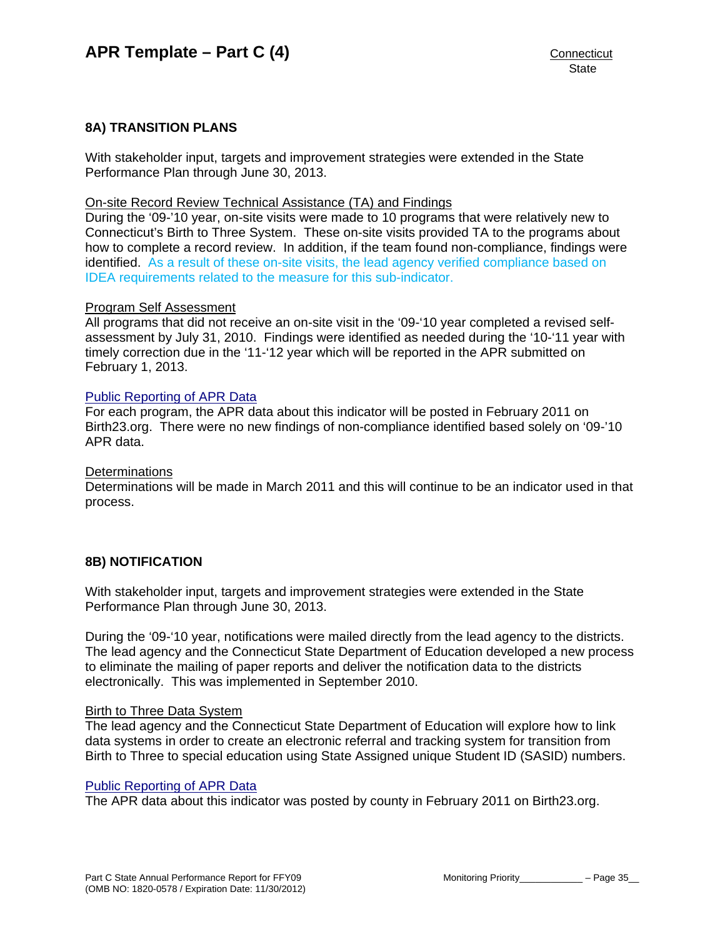## <span id="page-36-0"></span>**8A) TRANSITION PLANS**

With stakeholder input, targets and improvement strategies were extended in the State Performance Plan through June 30, 2013.

#### On-site Record Review Technical Assistance (TA) and Findings

During the '09-'10 year, on-site visits were made to 10 programs that were relatively new to Connecticut's Birth to Three System. These on-site visits provided TA to the programs about how to complete a record review. In addition, if the team found non-compliance, findings were identified. As a result of these on-site visits, the lead agency verified compliance based on IDEA requirements related to the measure for this sub-indicator.

#### Program Self Assessment

All programs that did not receive an on-site visit in the '09-'10 year completed a revised selfassessment by July 31, 2010. Findings were identified as needed during the '10-'11 year with timely correction due in the '11-'12 year which will be reported in the APR submitted on February 1, 2013.

#### [Public Reporting of APR Data](http://www.birth23.org/state_performance_plans_and_annu.htm)

For each program, the APR data about this indicator will be posted in February 2011 on Birth23.org. There were no new findings of non-compliance identified based solely on '09-'10 APR data.

#### **Determinations**

Determinations will be made in March 2011 and this will continue to be an indicator used in that process.

#### **8B) NOTIFICATION**

With stakeholder input, targets and improvement strategies were extended in the State Performance Plan through June 30, 2013.

During the '09-'10 year, notifications were mailed directly from the lead agency to the districts. The lead agency and the Connecticut State Department of Education developed a new process to eliminate the mailing of paper reports and deliver the notification data to the districts electronically. This was implemented in September 2010.

#### Birth to Three Data System

The lead agency and the Connecticut State Department of Education will explore how to link data systems in order to create an electronic referral and tracking system for transition from Birth to Three to special education using State Assigned unique Student ID (SASID) numbers.

#### [Public Reporting of APR Data](http://www.birth23.org/state_performance_plans_and_annu.htm)

The APR data about this indicator was posted by county in February 2011 on Birth23.org.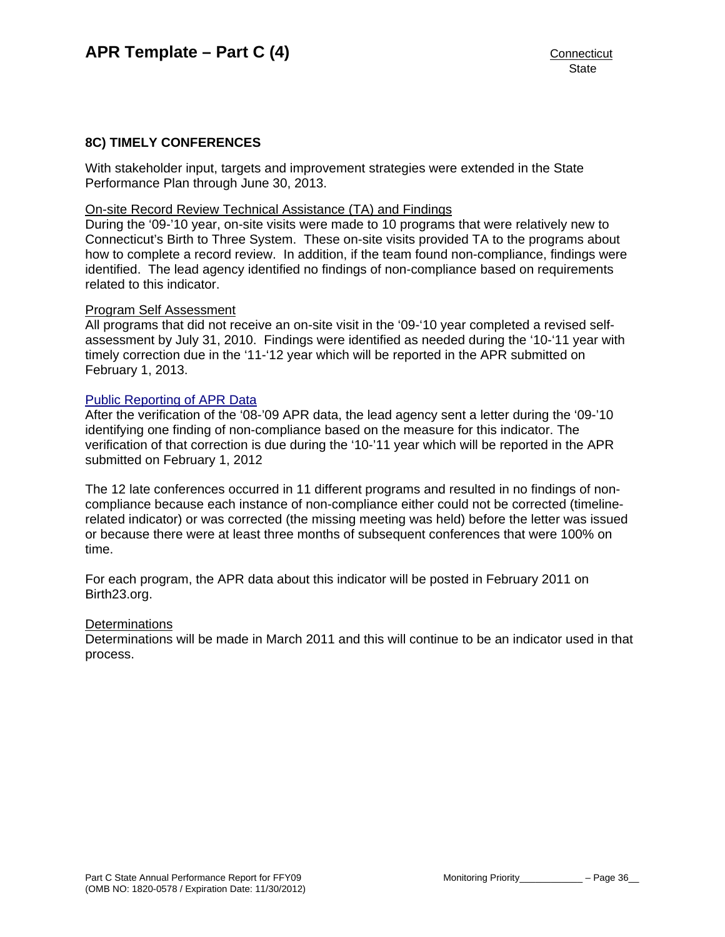#### **8C) TIMELY CONFERENCES**

With stakeholder input, targets and improvement strategies were extended in the State Performance Plan through June 30, 2013.

#### On-site Record Review Technical Assistance (TA) and Findings

During the '09-'10 year, on-site visits were made to 10 programs that were relatively new to Connecticut's Birth to Three System. These on-site visits provided TA to the programs about how to complete a record review. In addition, if the team found non-compliance, findings were identified. The lead agency identified no findings of non-compliance based on requirements related to this indicator.

#### Program Self Assessment

All programs that did not receive an on-site visit in the '09-'10 year completed a revised selfassessment by July 31, 2010. Findings were identified as needed during the '10-'11 year with timely correction due in the '11-'12 year which will be reported in the APR submitted on February 1, 2013.

#### [Public Reporting of APR Data](http://www.birth23.org/state_performance_plans_and_annu.htm)

After the verification of the '08-'09 APR data, the lead agency sent a letter during the '09-'10 identifying one finding of non-compliance based on the measure for this indicator. The verification of that correction is due during the '10-'11 year which will be reported in the APR submitted on February 1, 2012

The 12 late conferences occurred in 11 different programs and resulted in no findings of noncompliance because each instance of non-compliance either could not be corrected (timelinerelated indicator) or was corrected (the missing meeting was held) before the letter was issued or because there were at least three months of subsequent conferences that were 100% on time.

For each program, the APR data about this indicator will be posted in February 2011 on Birth23.org.

#### **Determinations**

Determinations will be made in March 2011 and this will continue to be an indicator used in that process.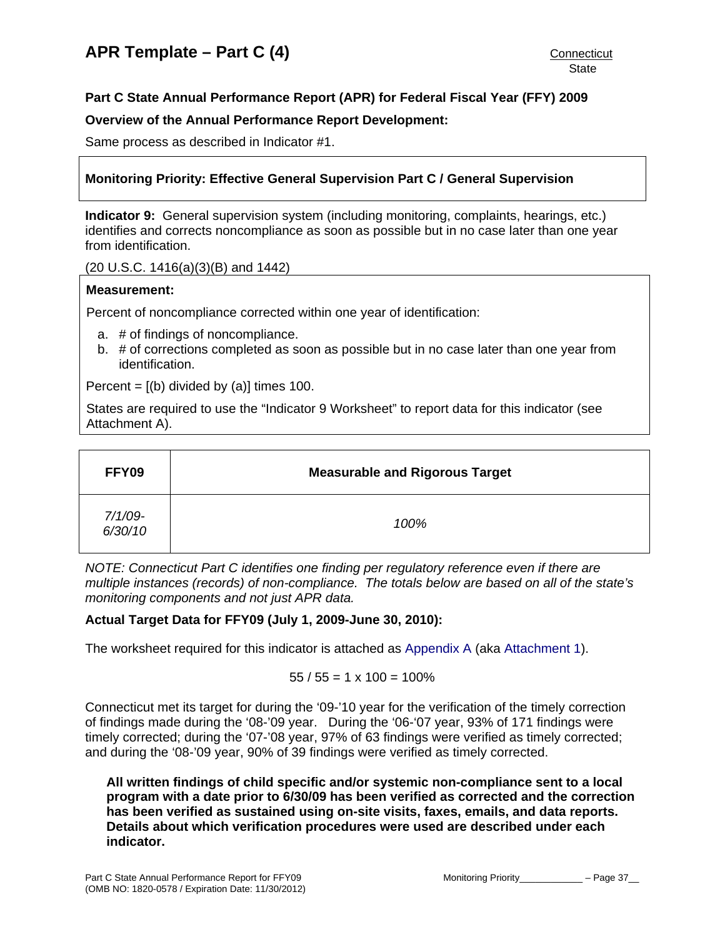# <span id="page-38-0"></span>**Part C State Annual Performance Report (APR) for Federal Fiscal Year (FFY) 2009**

## **Overview of the Annual Performance Report Development:**

Same process as described in Indicator #1.

# **Monitoring Priority: Effective General Supervision Part C / General Supervision**

**Indicator 9:** General supervision system (including monitoring, complaints, hearings, etc.) identifies and corrects noncompliance as soon as possible but in no case later than one year from identification.

(20 U.S.C. 1416(a)(3)(B) and 1442)

#### **Measurement:**

Percent of noncompliance corrected within one year of identification:

- a. # of findings of noncompliance.
- b. # of corrections completed as soon as possible but in no case later than one year from identification.

Percent =  $[(b)$  divided by  $(a)]$  times 100.

States are required to use the "Indicator 9 Worksheet" to report data for this indicator (see Attachment A).

| FFY09              | <b>Measurable and Rigorous Target</b> |
|--------------------|---------------------------------------|
| 7/1/09-<br>6/30/10 | 100%                                  |

*NOTE: Connecticut Part C identifies one finding per regulatory reference even if there are multiple instances (records) of non-compliance. The totals below are based on all of the state's monitoring components and not just APR data.* 

#### **Actual Target Data for FFY09 (July 1, 2009-June 30, 2010):**

The worksheet required for this indicator is attached as [Appendix A](#page-50-0) (aka [Attachment 1\)](#page-50-0).

$$
55 / 55 = 1 \times 100 = 100\%
$$

Connecticut met its target for during the '09-'10 year for the verification of the timely correction of findings made during the '08-'09 year. During the '06-'07 year, 93% of 171 findings were timely corrected; during the '07-'08 year, 97% of 63 findings were verified as timely corrected; and during the '08-'09 year, 90% of 39 findings were verified as timely corrected.

**All written findings of child specific and/or systemic non-compliance sent to a local program with a date prior to 6/30/09 has been verified as corrected and the correction has been verified as sustained using on-site visits, faxes, emails, and data reports. Details about which verification procedures were used are described under each indicator.**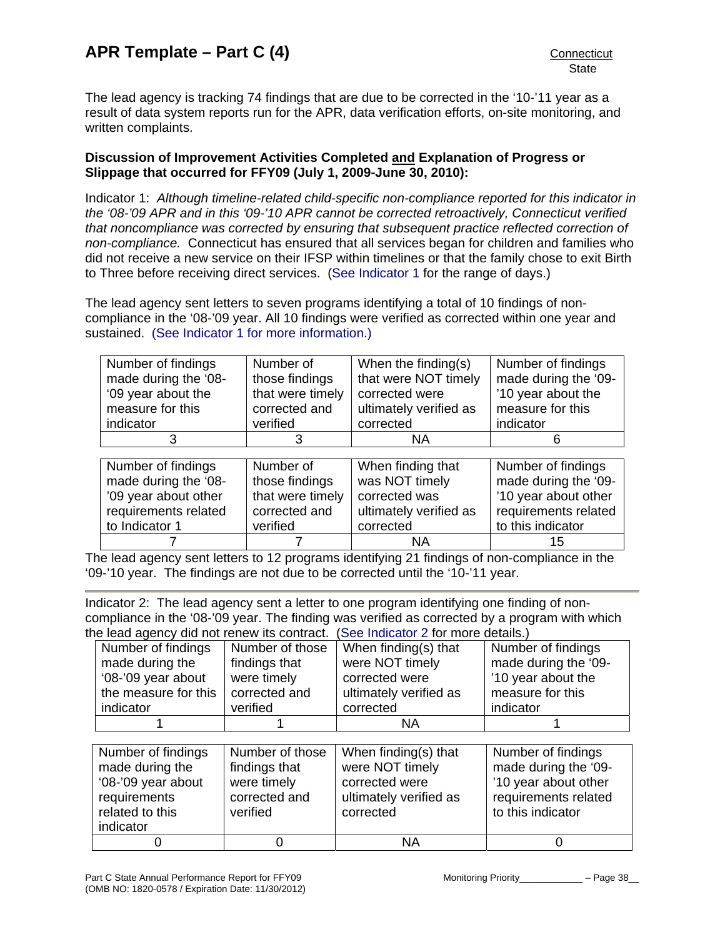The lead agency is tracking 74 findings that are due to be corrected in the '10-'11 year as a result of data system reports run for the APR, data verification efforts, on-site monitoring, and written complaints.

## **Discussion of Improvement Activities Completed and Explanation of Progress or Slippage that occurred for FFY09 (July 1, 2009-June 30, 2010):**

Indicator 1: *Although timeline-related child-specific non-compliance reported for this indicator in the '08-'09 APR and in this '09-'10 APR cannot be corrected retroactively, Connecticut verified that noncompliance was corrected by ensuring that subsequent practice reflected correction of non-compliance.* Connecticut has ensured that all services began for children and families who did not receive a new service on their IFSP within timelines or that the family chose to exit Birth to Three before receiving direct services. [\(See Indicator 1](#page-4-0) for the range of days.)

The lead agency sent letters to seven programs identifying a total of 10 findings of noncompliance in the '08-'09 year. All 10 findings were verified as corrected within one year and sustained. [\(See Indicator 1 for more information.\)](#page-4-0)

| Number of findings   | Number of        | When the finding(s)    | Number of findings   |
|----------------------|------------------|------------------------|----------------------|
| made during the '08- | those findings   | that were NOT timely   | made during the '09- |
| '09 year about the   | that were timely | corrected were         | '10 year about the   |
| measure for this     | corrected and    | ultimately verified as | measure for this     |
| indicator            | verified         | corrected              | indicator            |
|                      | 3                | ΝA                     |                      |

| Number of findings   | Number of        | When finding that      | Number of findings   |
|----------------------|------------------|------------------------|----------------------|
| made during the '08- | those findings   | was NOT timely         | made during the '09- |
| '09 year about other | that were timely | corrected was          | '10 year about other |
| requirements related | corrected and    | ultimately verified as | requirements related |
| to Indicator 1       | verified         | corrected              | to this indicator    |
|                      |                  | ΝA                     | 15                   |

The lead agency sent letters to 12 programs identifying 21 findings of non-compliance in the '09-'10 year. The findings are not due to be corrected until the '10-'11 year.

Indicator 2: The lead agency sent a letter to one program identifying one finding of noncompliance in the '08-'09 year. The finding was verified as corrected by a program with which the lead agency did not renew its contract. ([See Indicator 2](#page-9-0) for more details.)

| $10.000$ agonoy algunot ronom no contract. (Occurration 2 for more dotation) |                      |                 |                        |                      |
|------------------------------------------------------------------------------|----------------------|-----------------|------------------------|----------------------|
|                                                                              | Number of findings   | Number of those | When finding(s) that   | Number of findings   |
|                                                                              | made during the      | findings that   | were NOT timely        | made during the '09- |
|                                                                              | '08-'09 year about   | were timely     | corrected were         | '10 year about the   |
|                                                                              | the measure for this | corrected and   | ultimately verified as | measure for this     |
|                                                                              | indicator            | verified        | corrected              | indicator            |
|                                                                              |                      |                 | ΝA                     |                      |

| Number of findings<br>made during the<br>'08-'09 year about<br>requirements<br>related to this<br>indicator | Number of those<br>findings that<br>were timely<br>corrected and<br>verified | When finding(s) that<br>were NOT timely<br>corrected were<br>ultimately verified as<br>corrected | Number of findings<br>made during the '09-<br>'10 year about other<br>requirements related<br>to this indicator |
|-------------------------------------------------------------------------------------------------------------|------------------------------------------------------------------------------|--------------------------------------------------------------------------------------------------|-----------------------------------------------------------------------------------------------------------------|
|                                                                                                             |                                                                              | ΝA                                                                                               |                                                                                                                 |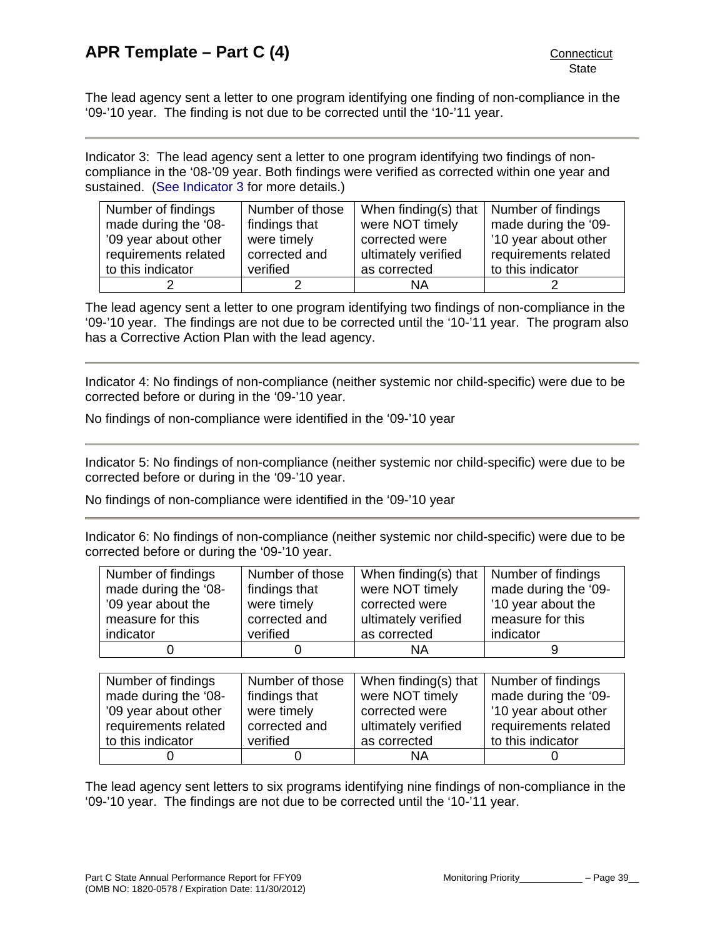The lead agency sent a letter to one program identifying one finding of non-compliance in the '09-'10 year. The finding is not due to be corrected until the '10-'11 year.

Indicator 3: The lead agency sent a letter to one program identifying two findings of noncompliance in the '08-'09 year. Both findings were verified as corrected within one year and sustained. ([See Indicator 3](#page-11-0) for more details.)

| Number of findings   | Number of those | When finding(s) that $\vert$ Number of findings |                      |
|----------------------|-----------------|-------------------------------------------------|----------------------|
| made during the '08- | findings that   | were NOT timely                                 | made during the '09- |
| '09 year about other | were timely     | corrected were                                  | '10 year about other |
| requirements related | corrected and   | ultimately verified                             | requirements related |
| to this indicator    | verified        | as corrected                                    | to this indicator    |
|                      |                 | ΝA                                              |                      |

The lead agency sent a letter to one program identifying two findings of non-compliance in the '09-'10 year. The findings are not due to be corrected until the '10-'11 year. The program also has a Corrective Action Plan with the lead agency.

Indicator 4: No findings of non-compliance (neither systemic nor child-specific) were due to be corrected before or during in the '09-'10 year.

No findings of non-compliance were identified in the '09-'10 year

Indicator 5: No findings of non-compliance (neither systemic nor child-specific) were due to be corrected before or during in the '09-'10 year.

No findings of non-compliance were identified in the '09-'10 year

Indicator 6: No findings of non-compliance (neither systemic nor child-specific) were due to be corrected before or during the '09-'10 year.

| Number of findings   | Number of those | When finding(s) that | Number of findings   |
|----------------------|-----------------|----------------------|----------------------|
| made during the '08- | findings that   | were NOT timely      | made during the '09- |
| '09 year about the   | were timely     | corrected were       | '10 year about the   |
| measure for this     | corrected and   | ultimately verified  | measure for this     |
| indicator            | verified        | as corrected         | indicator            |
| 0                    |                 | <b>NA</b>            | 9                    |
|                      |                 |                      |                      |
| Number of findings   | Number of those | When finding(s) that | Number of findings   |
| made during the '08- | findings that   | were NOT timely      | made during the '09- |
| '09 year about other | were timely     | corrected were       | '10 year about other |
| requirements related | corrected and   | ultimately verified  | requirements related |
| to this indicator    | verified        | as corrected         | to this indicator    |
|                      |                 | ΝA                   |                      |

The lead agency sent letters to six programs identifying nine findings of non-compliance in the '09-'10 year. The findings are not due to be corrected until the '10-'11 year.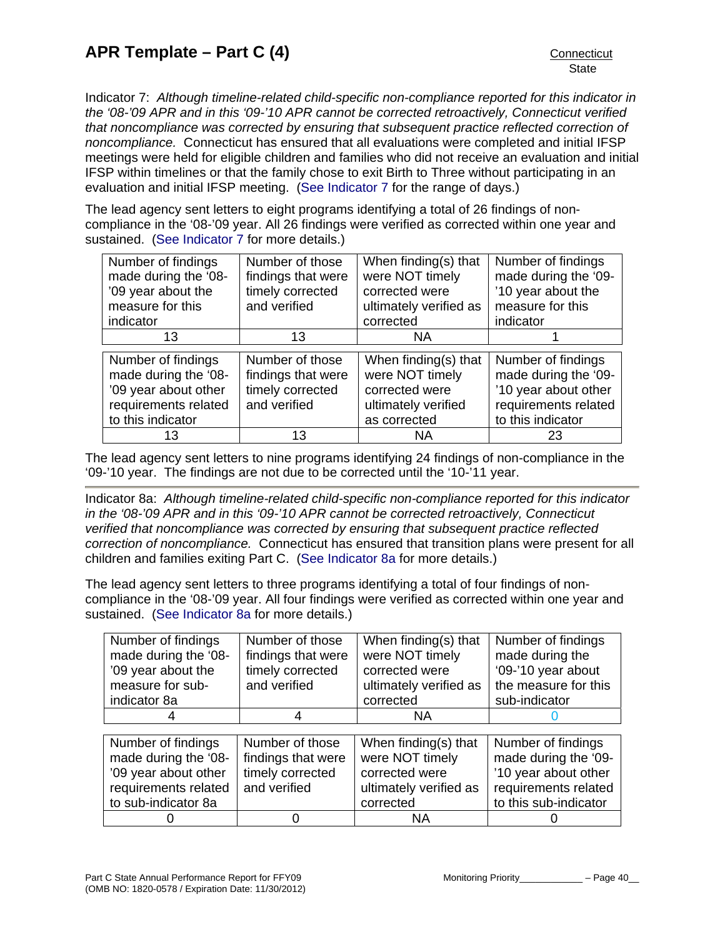<span id="page-41-0"></span>Indicator 7: *Although timeline-related child-specific non-compliance reported for this indicator in the '08-'09 APR and in this '09-'10 APR cannot be corrected retroactively, Connecticut verified that noncompliance was corrected by ensuring that subsequent practice reflected correction of noncompliance.* Connecticut has ensured that all evaluations were completed and initial IFSP meetings were held for eligible children and families who did not receive an evaluation and initial IFSP within timelines or that the family chose to exit Birth to Three without participating in an evaluation and initial IFSP meeting. [\(See Indicator 7](#page-24-0) for the range of days.)

The lead agency sent letters to eight programs identifying a total of 26 findings of noncompliance in the '08-'09 year. All 26 findings were verified as corrected within one year and sustained. ([See Indicator 7](#page-24-0) for more details.)

| Number of findings   | Number of those    | When finding(s) that   | Number of findings   |
|----------------------|--------------------|------------------------|----------------------|
| made during the '08- | findings that were | were NOT timely        | made during the '09- |
| '09 year about the   | timely corrected   | corrected were         | '10 year about the   |
| measure for this     | and verified       | ultimately verified as | measure for this     |
| indicator            |                    | corrected              | indicator            |
| 13                   | 13                 | NA.                    |                      |
|                      |                    |                        |                      |
| Number of findings   | Number of those    | When finding(s) that   | Number of findings   |
| made during the '08- | findings that were | were NOT timely        | made during the '09- |
| '09 year about other | timely corrected   | corrected were         | '10 year about other |
| requirements related | and verified       | ultimately verified    | requirements related |
| to this indicator    |                    | as corrected           | to this indicator    |
|                      |                    |                        |                      |

The lead agency sent letters to nine programs identifying 24 findings of non-compliance in the '09-'10 year. The findings are not due to be corrected until the '10-'11 year.

Indicator 8a: *Although timeline-related child-specific non-compliance reported for this indicator in the '08-'09 APR and in this '09-'10 APR cannot be corrected retroactively, Connecticut verified that noncompliance was corrected by ensuring that subsequent practice reflected correction of noncompliance.* Connecticut has ensured that transition plans were present for all children and families exiting Part C. [\(See Indicator 8a](#page-29-0) for more details.)

The lead agency sent letters to three programs identifying a total of four findings of noncompliance in the '08-'09 year. All four findings were verified as corrected within one year and sustained. ([See Indicator 8a](#page-29-0) for more details.)

| Number of findings<br>made during the '08-<br>'09 year about the<br>measure for sub-<br>indicator 8a | Number of those<br>findings that were<br>timely corrected<br>and verified | When finding(s) that<br>were NOT timely<br>corrected were<br>ultimately verified as<br>corrected | Number of findings<br>made during the<br>'09-'10 year about<br>the measure for this<br>sub-indicator |
|------------------------------------------------------------------------------------------------------|---------------------------------------------------------------------------|--------------------------------------------------------------------------------------------------|------------------------------------------------------------------------------------------------------|
|                                                                                                      |                                                                           | NA.                                                                                              |                                                                                                      |
|                                                                                                      |                                                                           |                                                                                                  |                                                                                                      |
| Number of findings                                                                                   | Number of those                                                           | When finding(s) that                                                                             | Number of findings                                                                                   |
| made during the '08-                                                                                 | findings that were                                                        | were NOT timely                                                                                  | made during the '09-                                                                                 |
| '09 year about other                                                                                 | timely corrected                                                          | corrected were                                                                                   | '10 year about other                                                                                 |
| requirements related                                                                                 | and verified                                                              | ultimately verified as                                                                           | requirements related                                                                                 |
| to sub-indicator 8a                                                                                  |                                                                           | corrected                                                                                        | to this sub-indicator                                                                                |
|                                                                                                      |                                                                           | ΝA                                                                                               |                                                                                                      |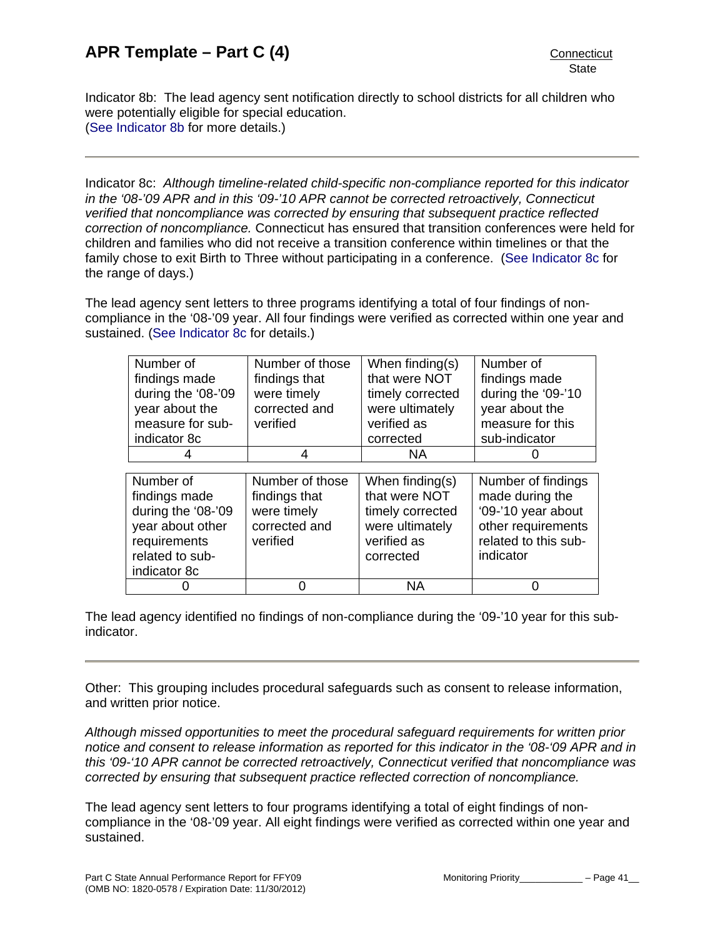Indicator 8b: The lead agency sent notification directly to school districts for all children who were potentially eligible for special education. ([See Indicator 8b](#page-29-0) for more details.)

Indicator 8c: *Although timeline-related child-specific non-compliance reported for this indicator in the '08-'09 APR and in this '09-'10 APR cannot be corrected retroactively, Connecticut verified that noncompliance was corrected by ensuring that subsequent practice reflected correction of noncompliance.* Connecticut has ensured that transition conferences were held for children and families who did not receive a transition conference within timelines or that the family chose to exit Birth to Three without participating in a conference. ([See Indicator 8c](#page-29-0) for the range of days.)

The lead agency sent letters to three programs identifying a total of four findings of noncompliance in the '08-'09 year. All four findings were verified as corrected within one year and sustained. ([See Indicator 8c](#page-29-0) for details.)

| Number of          | Number of those | When finding(s)  | Number of            |
|--------------------|-----------------|------------------|----------------------|
| findings made      | findings that   | that were NOT    | findings made        |
| during the '08-'09 | were timely     | timely corrected | during the '09-'10   |
| year about the     | corrected and   | were ultimately  | year about the       |
| measure for sub-   | verified        | verified as      | measure for this     |
| indicator 8c       |                 | corrected        | sub-indicator        |
|                    |                 | ΝA               |                      |
|                    |                 |                  |                      |
|                    |                 |                  |                      |
| Number of          | Number of those | When finding(s)  | Number of findings   |
| findings made      | findings that   | that were NOT    | made during the      |
| during the '08-'09 | were timely     | timely corrected | '09-'10 year about   |
| year about other   | corrected and   | were ultimately  | other requirements   |
| requirements       | verified        | verified as      | related to this sub- |
| related to sub-    |                 | corrected        | indicator            |
| indicator 8c       |                 |                  |                      |

The lead agency identified no findings of non-compliance during the '09-'10 year for this subindicator.

Other: This grouping includes procedural safeguards such as consent to release information, and written prior notice.

*Although missed opportunities to meet the procedural safeguard requirements for written prior notice and consent to release information as reported for this indicator in the '08-'09 APR and in this '09-'10 APR cannot be corrected retroactively, Connecticut verified that noncompliance was corrected by ensuring that subsequent practice reflected correction of noncompliance.* 

The lead agency sent letters to four programs identifying a total of eight findings of noncompliance in the '08-'09 year. All eight findings were verified as corrected within one year and sustained.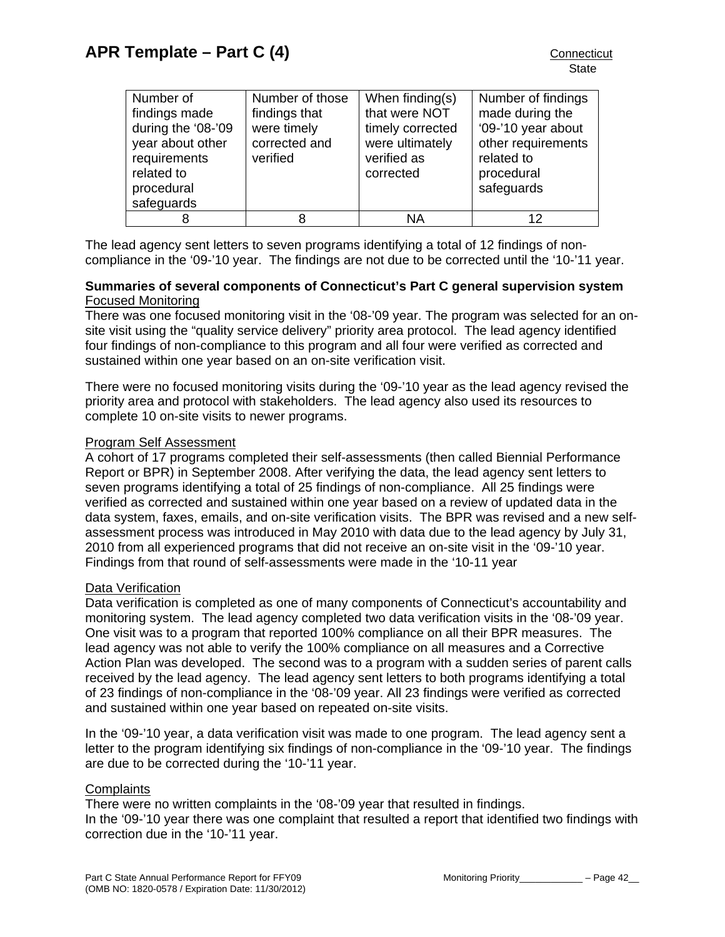| Number of          | Number of those | When finding(s)  | Number of findings |
|--------------------|-----------------|------------------|--------------------|
| findings made      | findings that   | that were NOT    | made during the    |
| during the '08-'09 | were timely     | timely corrected | '09-'10 year about |
| year about other   | corrected and   | were ultimately  | other requirements |
| requirements       | verified        | verified as      | related to         |
| related to         |                 | corrected        | procedural         |
| procedural         |                 |                  | safeguards         |
| safeguards         |                 |                  |                    |
|                    |                 | ΝA               | 12                 |

The lead agency sent letters to seven programs identifying a total of 12 findings of noncompliance in the '09-'10 year. The findings are not due to be corrected until the '10-'11 year.

## **Summaries of several components of Connecticut's Part C general supervision system**  Focused Monitoring

There was one focused monitoring visit in the '08-'09 year. The program was selected for an onsite visit using the "quality service delivery" priority area protocol. The lead agency identified four findings of non-compliance to this program and all four were verified as corrected and sustained within one year based on an on-site verification visit.

There were no focused monitoring visits during the '09-'10 year as the lead agency revised the priority area and protocol with stakeholders. The lead agency also used its resources to complete 10 on-site visits to newer programs.

## Program Self Assessment

A cohort of 17 programs completed their self-assessments (then called Biennial Performance Report or BPR) in September 2008. After verifying the data, the lead agency sent letters to seven programs identifying a total of 25 findings of non-compliance. All 25 findings were verified as corrected and sustained within one year based on a review of updated data in the data system, faxes, emails, and on-site verification visits. The BPR was revised and a new selfassessment process was introduced in May 2010 with data due to the lead agency by July 31, 2010 from all experienced programs that did not receive an on-site visit in the '09-'10 year. Findings from that round of self-assessments were made in the '10-11 year

# Data Verification

Data verification is completed as one of many components of Connecticut's accountability and monitoring system. The lead agency completed two data verification visits in the '08-'09 year. One visit was to a program that reported 100% compliance on all their BPR measures. The lead agency was not able to verify the 100% compliance on all measures and a Corrective Action Plan was developed. The second was to a program with a sudden series of parent calls received by the lead agency. The lead agency sent letters to both programs identifying a total of 23 findings of non-compliance in the '08-'09 year. All 23 findings were verified as corrected and sustained within one year based on repeated on-site visits.

In the '09-'10 year, a data verification visit was made to one program. The lead agency sent a letter to the program identifying six findings of non-compliance in the '09-'10 year. The findings are due to be corrected during the '10-'11 year.

#### **Complaints**

There were no written complaints in the '08-'09 year that resulted in findings. In the '09-'10 year there was one complaint that resulted a report that identified two findings with correction due in the '10-'11 year.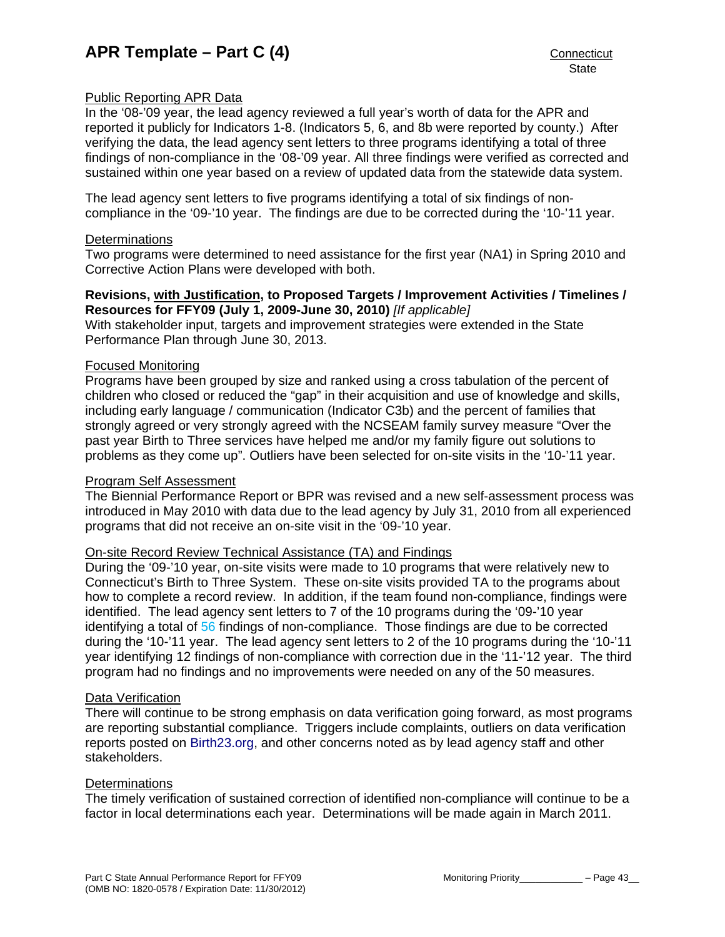## <span id="page-44-0"></span>Public Reporting APR Data

In the '08-'09 year, the lead agency reviewed a full year's worth of data for the APR and reported it publicly for Indicators 1-8. (Indicators 5, 6, and 8b were reported by county.) After verifying the data, the lead agency sent letters to three programs identifying a total of three findings of non-compliance in the '08-'09 year. All three findings were verified as corrected and sustained within one year based on a review of updated data from the statewide data system.

The lead agency sent letters to five programs identifying a total of six findings of noncompliance in the '09-'10 year. The findings are due to be corrected during the '10-'11 year.

#### **Determinations**

Two programs were determined to need assistance for the first year (NA1) in Spring 2010 and Corrective Action Plans were developed with both.

#### **Revisions, with Justification, to Proposed Targets / Improvement Activities / Timelines / Resources for FFY09 (July 1, 2009-June 30, 2010)** *[If applicable]*

With stakeholder input, targets and improvement strategies were extended in the State Performance Plan through June 30, 2013.

#### Focused Monitoring

Programs have been grouped by size and ranked using a cross tabulation of the percent of children who closed or reduced the "gap" in their acquisition and use of knowledge and skills, including early language / communication (Indicator C3b) and the percent of families that strongly agreed or very strongly agreed with the NCSEAM family survey measure "Over the past year Birth to Three services have helped me and/or my family figure out solutions to problems as they come up". Outliers have been selected for on-site visits in the '10-'11 year.

#### Program Self Assessment

The Biennial Performance Report or BPR was revised and a new self-assessment process was introduced in May 2010 with data due to the lead agency by July 31, 2010 from all experienced programs that did not receive an on-site visit in the '09-'10 year.

#### On-site Record Review Technical Assistance (TA) and Findings

During the '09-'10 year, on-site visits were made to 10 programs that were relatively new to Connecticut's Birth to Three System. These on-site visits provided TA to the programs about how to complete a record review. In addition, if the team found non-compliance, findings were identified. The lead agency sent letters to 7 of the 10 programs during the '09-'10 year identifying a total of 56 findings of non-compliance. Those findings are due to be corrected during the '10-'11 year. The lead agency sent letters to 2 of the 10 programs during the '10-'11 year identifying 12 findings of non-compliance with correction due in the '11-'12 year. The third program had no findings and no improvements were needed on any of the 50 measures.

#### Data Verification

There will continue to be strong emphasis on data verification going forward, as most programs are reporting substantial compliance. Triggers include complaints, outliers on data verification reports posted on [Birth23.org](http://www.birth23.org/), and other concerns noted as by lead agency staff and other stakeholders.

#### **Determinations**

The timely verification of sustained correction of identified non-compliance will continue to be a factor in local determinations each year. Determinations will be made again in March 2011.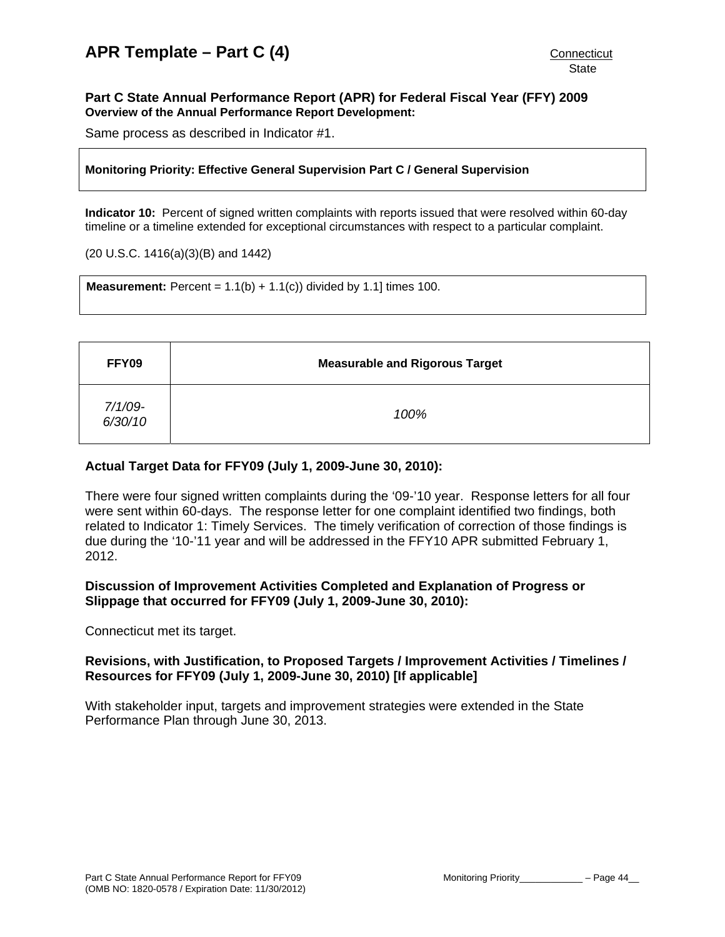#### <span id="page-45-0"></span>**Part C State Annual Performance Report (APR) for Federal Fiscal Year (FFY) 2009 Overview of the Annual Performance Report Development:**

Same process as described in Indicator #1.

#### **Monitoring Priority: Effective General Supervision Part C / General Supervision**

**Indicator 10:** Percent of signed written complaints with reports issued that were resolved within 60-day timeline or a timeline extended for exceptional circumstances with respect to a particular complaint.

#### (20 U.S.C. 1416(a)(3)(B) and 1442)

**Measurement:** Percent =  $1.1(b) + 1.1(c)$  divided by 1.1] times 100.

| FFY09              | <b>Measurable and Rigorous Target</b> |
|--------------------|---------------------------------------|
| 7/1/09-<br>6/30/10 | 100%                                  |

## **Actual Target Data for FFY09 (July 1, 2009-June 30, 2010):**

There were four signed written complaints during the '09-'10 year. Response letters for all four were sent within 60-days. The response letter for one complaint identified two findings, both related to Indicator 1: Timely Services. The timely verification of correction of those findings is due during the '10-'11 year and will be addressed in the FFY10 APR submitted February 1, 2012.

#### **Discussion of Improvement Activities Completed and Explanation of Progress or Slippage that occurred for FFY09 (July 1, 2009-June 30, 2010):**

Connecticut met its target.

## **Revisions, with Justification, to Proposed Targets / Improvement Activities / Timelines / Resources for FFY09 (July 1, 2009-June 30, 2010) [If applicable]**

With stakeholder input, targets and improvement strategies were extended in the State Performance Plan through June 30, 2013.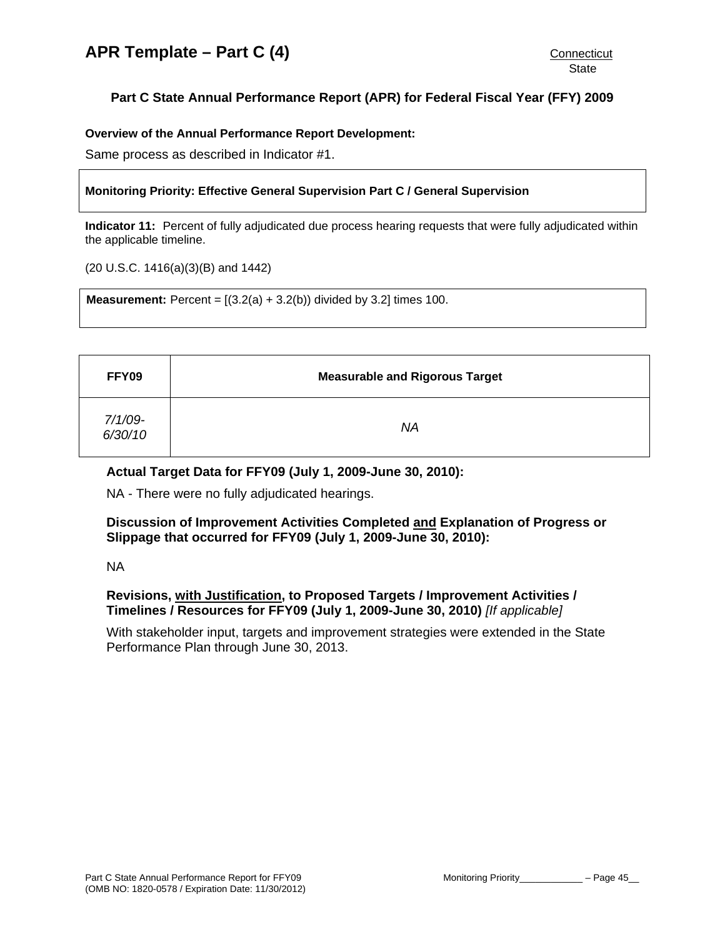# <span id="page-46-0"></span>**Part C State Annual Performance Report (APR) for Federal Fiscal Year (FFY) 2009**

#### **Overview of the Annual Performance Report Development:**

Same process as described in Indicator #1.

#### **Monitoring Priority: Effective General Supervision Part C / General Supervision**

**Indicator 11:** Percent of fully adjudicated due process hearing requests that were fully adjudicated within the applicable timeline.

(20 U.S.C. 1416(a)(3)(B) and 1442)

**Measurement:** Percent =  $[(3.2(a) + 3.2(b))$  divided by 3.2] times 100.

| FFY09              | <b>Measurable and Rigorous Target</b> |
|--------------------|---------------------------------------|
| 7/1/09-<br>6/30/10 | ΝA                                    |

#### **Actual Target Data for FFY09 (July 1, 2009-June 30, 2010):**

NA - There were no fully adjudicated hearings.

#### **Discussion of Improvement Activities Completed and Explanation of Progress or Slippage that occurred for FFY09 (July 1, 2009-June 30, 2010):**

NA

## **Revisions, with Justification, to Proposed Targets / Improvement Activities / Timelines / Resources for FFY09 (July 1, 2009-June 30, 2010)** *[If applicable]*

With stakeholder input, targets and improvement strategies were extended in the State Performance Plan through June 30, 2013.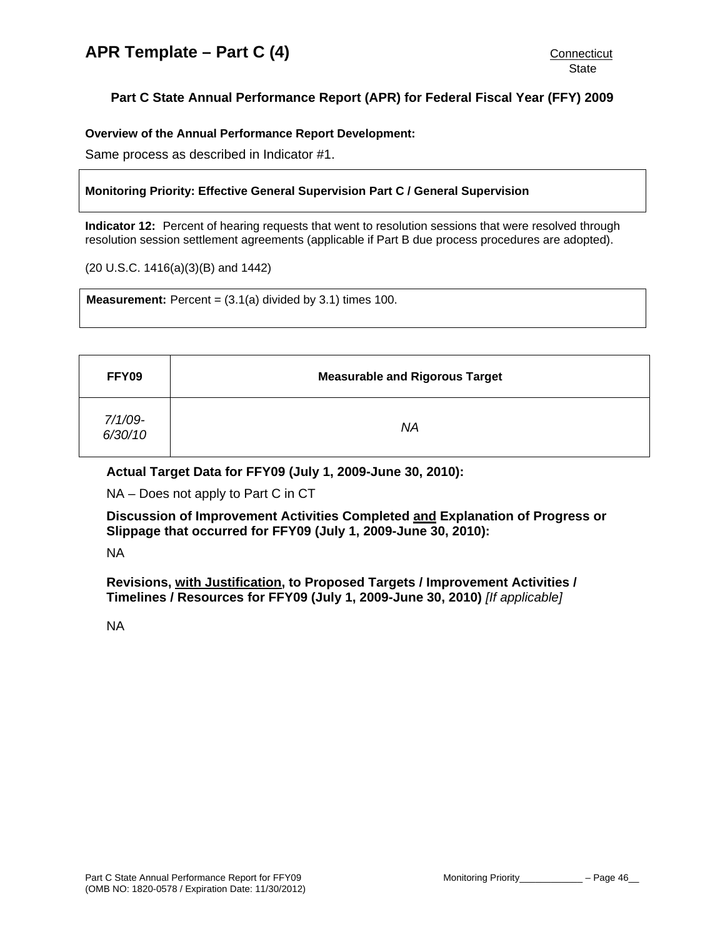# <span id="page-47-0"></span>**Part C State Annual Performance Report (APR) for Federal Fiscal Year (FFY) 2009**

**Overview of the Annual Performance Report Development:** 

Same process as described in Indicator #1.

#### **Monitoring Priority: Effective General Supervision Part C / General Supervision**

**Indicator 12:** Percent of hearing requests that went to resolution sessions that were resolved through resolution session settlement agreements (applicable if Part B due process procedures are adopted).

(20 U.S.C. 1416(a)(3)(B) and 1442)

**Measurement:** Percent =  $(3.1(a)$  divided by  $3.1$ ) times  $100$ .

| FFY09              | <b>Measurable and Rigorous Target</b> |
|--------------------|---------------------------------------|
| 7/1/09-<br>6/30/10 | ΝA                                    |

#### **Actual Target Data for FFY09 (July 1, 2009-June 30, 2010):**

NA – Does not apply to Part C in CT

**Discussion of Improvement Activities Completed and Explanation of Progress or Slippage that occurred for FFY09 (July 1, 2009-June 30, 2010):** 

NA

**Revisions, with Justification, to Proposed Targets / Improvement Activities / Timelines / Resources for FFY09 (July 1, 2009-June 30, 2010)** *[If applicable]*

NA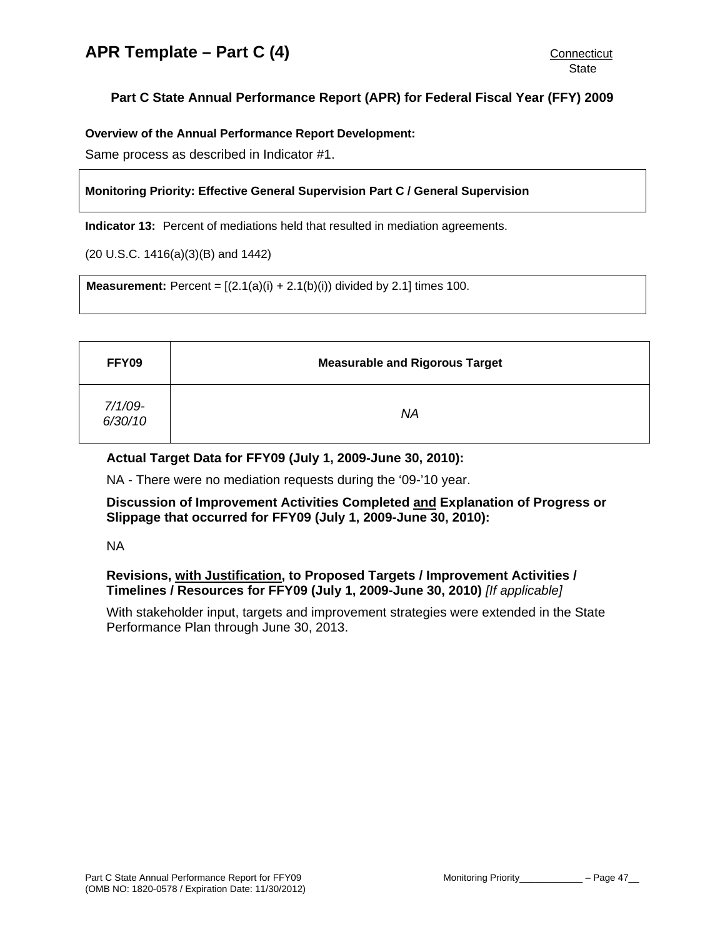# <span id="page-48-0"></span>**Part C State Annual Performance Report (APR) for Federal Fiscal Year (FFY) 2009**

**Overview of the Annual Performance Report Development:** 

Same process as described in Indicator #1.

#### **Monitoring Priority: Effective General Supervision Part C / General Supervision**

**Indicator 13:** Percent of mediations held that resulted in mediation agreements.

(20 U.S.C. 1416(a)(3)(B) and 1442)

**Measurement:** Percent =  $[(2.1(a)(i) + 2.1(b)(i))$  divided by 2.1] times 100.

| FFY09              | <b>Measurable and Rigorous Target</b> |
|--------------------|---------------------------------------|
| 7/1/09-<br>6/30/10 | <b>NA</b>                             |

## **Actual Target Data for FFY09 (July 1, 2009-June 30, 2010):**

NA - There were no mediation requests during the '09-'10 year.

**Discussion of Improvement Activities Completed and Explanation of Progress or Slippage that occurred for FFY09 (July 1, 2009-June 30, 2010):** 

NA

## **Revisions, with Justification, to Proposed Targets / Improvement Activities / Timelines / Resources for FFY09 (July 1, 2009-June 30, 2010)** *[If applicable]*

With stakeholder input, targets and improvement strategies were extended in the State Performance Plan through June 30, 2013.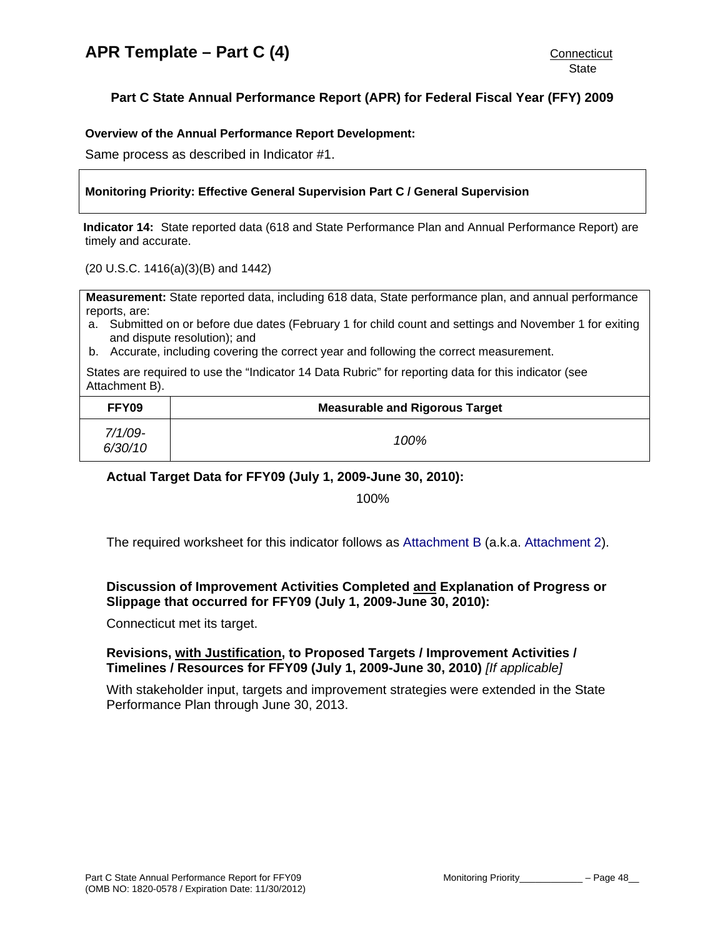# <span id="page-49-0"></span>**Part C State Annual Performance Report (APR) for Federal Fiscal Year (FFY) 2009**

#### **Overview of the Annual Performance Report Development:**

Same process as described in Indicator #1.

#### **Monitoring Priority: Effective General Supervision Part C / General Supervision**

**Indicator 14:** State reported data (618 and State Performance Plan and Annual Performance Report) are timely and accurate.

(20 U.S.C. 1416(a)(3)(B) and 1442)

**Measurement:** State reported data, including 618 data, State performance plan, and annual performance reports, are:

- a. Submitted on or before due dates (February 1 for child count and settings and November 1 for exiting and dispute resolution); and
- b. Accurate, including covering the correct year and following the correct measurement.

States are required to use the "Indicator 14 Data Rubric" for reporting data for this indicator (see Attachment B).

| FFY09                 | <b>Measurable and Rigorous Target</b> |
|-----------------------|---------------------------------------|
| $7/1/09$ -<br>6/30/10 | 100%                                  |

**Actual Target Data for FFY09 (July 1, 2009-June 30, 2010):** 

100%

The required worksheet for this indicator follows as [Attachment B](#page-53-0) (a.k.a. [Attachment 2](#page-53-0)).

## **Discussion of Improvement Activities Completed and Explanation of Progress or Slippage that occurred for FFY09 (July 1, 2009-June 30, 2010):**

Connecticut met its target.

#### **Revisions, with Justification, to Proposed Targets / Improvement Activities / Timelines / Resources for FFY09 (July 1, 2009-June 30, 2010)** *[If applicable]*

With stakeholder input, targets and improvement strategies were extended in the State Performance Plan through June 30, 2013.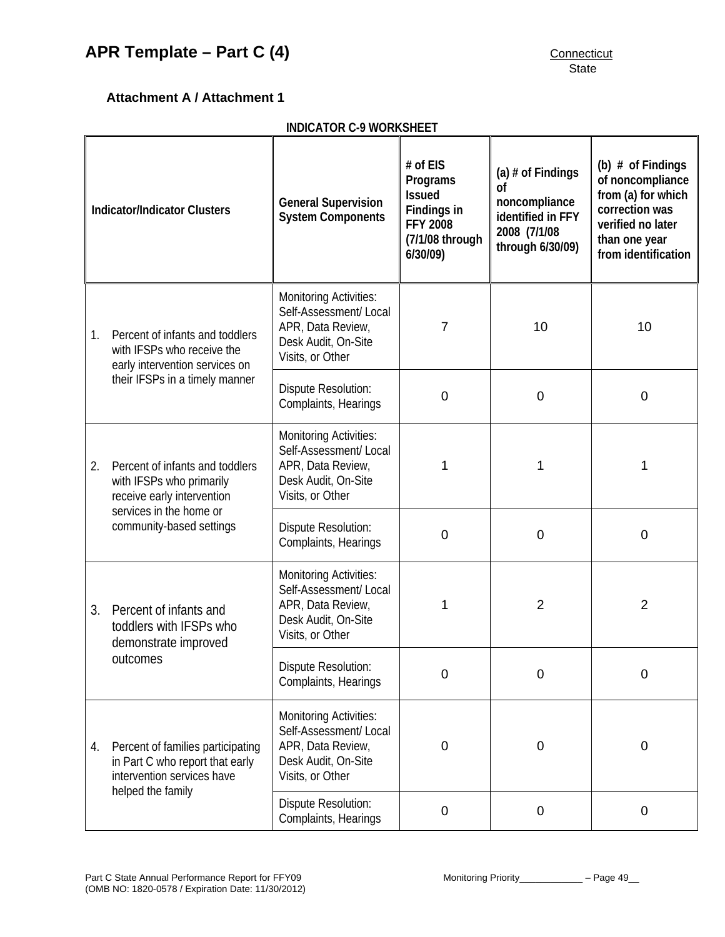# <span id="page-50-0"></span>**Attachment A / Attachment 1**

| <b>INDICATOR C-9 WORKSHEET</b>      |                                                                                                                                                  |                                                                                                                         |                                                                                                                                                                                                                         |                |                                                                                                                                              |  |
|-------------------------------------|--------------------------------------------------------------------------------------------------------------------------------------------------|-------------------------------------------------------------------------------------------------------------------------|-------------------------------------------------------------------------------------------------------------------------------------------------------------------------------------------------------------------------|----------------|----------------------------------------------------------------------------------------------------------------------------------------------|--|
| <b>Indicator/Indicator Clusters</b> |                                                                                                                                                  | <b>General Supervision</b><br><b>System Components</b>                                                                  | # of EIS<br>(a) $#$ of Findings<br>Programs<br><sub>of</sub><br><b>Issued</b><br>noncompliance<br>Findings in<br>identified in FFY<br><b>FFY 2008</b><br>2008 (7/1/08<br>(7/1/08 through<br>through 6/30/09)<br>6/30/09 |                | (b) $#$ of Findings<br>of noncompliance<br>from (a) for which<br>correction was<br>verified no later<br>than one year<br>from identification |  |
| 1.                                  | Percent of infants and toddlers<br>with IFSPs who receive the<br>early intervention services on                                                  | <b>Monitoring Activities:</b><br>Self-Assessment/ Local<br>APR, Data Review,<br>Desk Audit, On-Site<br>Visits, or Other | $\overline{7}$                                                                                                                                                                                                          | 10             | 10                                                                                                                                           |  |
|                                     | their IFSPs in a timely manner                                                                                                                   | Dispute Resolution:<br>Complaints, Hearings                                                                             | $\mathbf 0$                                                                                                                                                                                                             | $\mathbf 0$    | $\mathbf 0$                                                                                                                                  |  |
| 2.                                  | Percent of infants and toddlers<br>with IFSPs who primarily<br>receive early intervention<br>services in the home or<br>community-based settings | <b>Monitoring Activities:</b><br>Self-Assessment/Local<br>APR, Data Review,<br>Desk Audit, On-Site<br>Visits, or Other  | 1                                                                                                                                                                                                                       | 1              | 1                                                                                                                                            |  |
|                                     |                                                                                                                                                  | Dispute Resolution:<br>Complaints, Hearings                                                                             | $\mathbf 0$                                                                                                                                                                                                             | $\mathbf 0$    | 0                                                                                                                                            |  |
| 3.                                  | Percent of infants and<br>toddlers with IFSPs who<br>demonstrate improved                                                                        | <b>Monitoring Activities:</b><br>Self-Assessment/ Local<br>APR, Data Review,<br>Desk Audit, On-Site<br>Visits, or Other | 1                                                                                                                                                                                                                       | $\overline{2}$ | 2                                                                                                                                            |  |
|                                     | outcomes                                                                                                                                         | Dispute Resolution:<br>Complaints, Hearings                                                                             | $\mathbf 0$                                                                                                                                                                                                             | $\overline{0}$ | 0                                                                                                                                            |  |
| 4.                                  | Percent of families participating<br>in Part C who report that early<br>intervention services have                                               | <b>Monitoring Activities:</b><br>Self-Assessment/Local<br>APR, Data Review,<br>Desk Audit, On-Site<br>Visits, or Other  | 0                                                                                                                                                                                                                       | $\mathbf 0$    | 0                                                                                                                                            |  |
|                                     | helped the family                                                                                                                                | Dispute Resolution:<br>Complaints, Hearings                                                                             | $\mathbf 0$                                                                                                                                                                                                             | $\mathbf 0$    | 0                                                                                                                                            |  |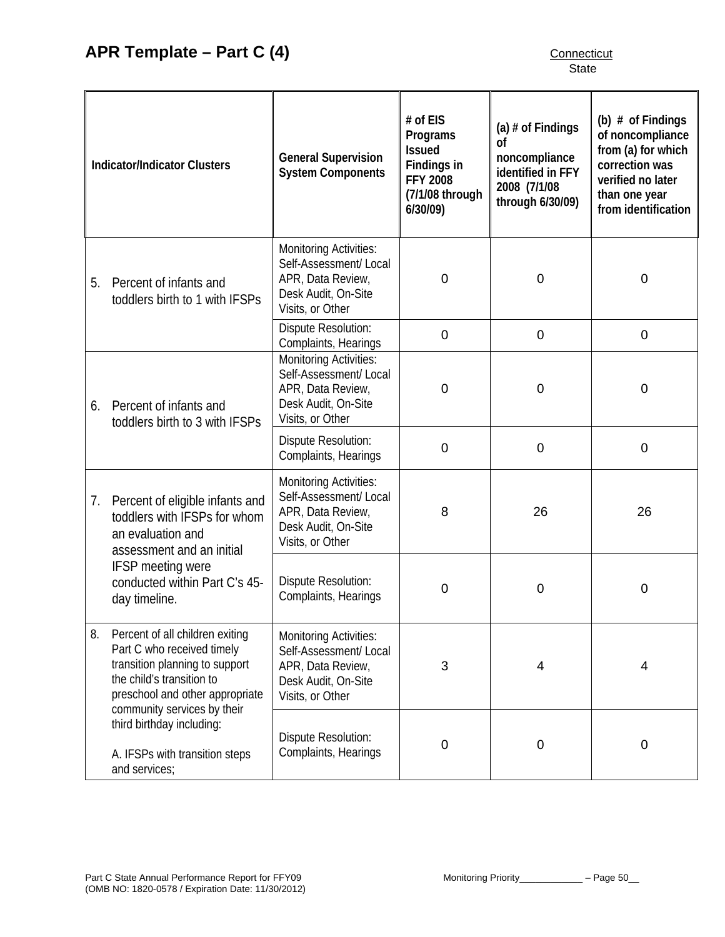| <b>Indicator/Indicator Clusters</b> |                                                                                                                                                                                                                                                                                | <b>General Supervision</b><br><b>System Components</b>                                                                  | # of EIS<br>Programs<br><b>Issued</b><br>Findings in<br><b>FFY 2008</b><br>(7/1/08 through<br>$6/30/09$ ) | (a) $#$ of Findings<br>0f<br>noncompliance<br>identified in FFY<br>2008 (7/1/08<br>through 6/30/09) | (b) $#$ of Findings<br>of noncompliance<br>from (a) for which<br>correction was<br>verified no later<br>than one year<br>from identification |  |
|-------------------------------------|--------------------------------------------------------------------------------------------------------------------------------------------------------------------------------------------------------------------------------------------------------------------------------|-------------------------------------------------------------------------------------------------------------------------|-----------------------------------------------------------------------------------------------------------|-----------------------------------------------------------------------------------------------------|----------------------------------------------------------------------------------------------------------------------------------------------|--|
| 5.                                  | Percent of infants and<br>toddlers birth to 1 with IFSPs                                                                                                                                                                                                                       | <b>Monitoring Activities:</b><br>Self-Assessment/Local<br>APR, Data Review,<br>Desk Audit, On-Site<br>Visits, or Other  | $\mathbf 0$                                                                                               | $\mathbf 0$                                                                                         | $\mathbf 0$                                                                                                                                  |  |
|                                     |                                                                                                                                                                                                                                                                                | <b>Dispute Resolution:</b><br>Complaints, Hearings                                                                      | $\mathbf 0$                                                                                               | $\mathbf 0$                                                                                         | $\mathbf 0$                                                                                                                                  |  |
| 6.                                  | Percent of infants and<br>toddlers birth to 3 with IFSPs                                                                                                                                                                                                                       | <b>Monitoring Activities:</b><br>Self-Assessment/Local<br>APR, Data Review,<br>Desk Audit, On-Site<br>Visits, or Other  | $\mathbf 0$                                                                                               | $\mathbf 0$                                                                                         | $\mathbf 0$                                                                                                                                  |  |
|                                     |                                                                                                                                                                                                                                                                                | Dispute Resolution:<br>Complaints, Hearings                                                                             | $\mathbf 0$                                                                                               | $\mathbf 0$                                                                                         | $\mathbf 0$                                                                                                                                  |  |
| 7.                                  | Percent of eligible infants and<br>toddlers with IFSPs for whom<br>an evaluation and<br>assessment and an initial                                                                                                                                                              | <b>Monitoring Activities:</b><br>Self-Assessment/ Local<br>APR, Data Review,<br>Desk Audit, On-Site<br>Visits, or Other | 8                                                                                                         | 26                                                                                                  | 26                                                                                                                                           |  |
|                                     | <b>IFSP</b> meeting were<br>conducted within Part C's 45-<br>day timeline.                                                                                                                                                                                                     | Dispute Resolution:<br>Complaints, Hearings                                                                             | 0                                                                                                         | $\mathbf 0$                                                                                         | 0                                                                                                                                            |  |
| 8.                                  | Percent of all children exiting<br>Part C who received timely<br>transition planning to support<br>the child's transition to<br>preschool and other appropriate<br>community services by their<br>third birthday including:<br>A. IFSPs with transition steps<br>and services; | <b>Monitoring Activities:</b><br>Self-Assessment/ Local<br>APR, Data Review,<br>Desk Audit, On-Site<br>Visits, or Other | 3                                                                                                         | $\overline{4}$                                                                                      | 4                                                                                                                                            |  |
|                                     |                                                                                                                                                                                                                                                                                | Dispute Resolution:<br>Complaints, Hearings                                                                             | $\overline{0}$                                                                                            | $\mathbf 0$                                                                                         | 0                                                                                                                                            |  |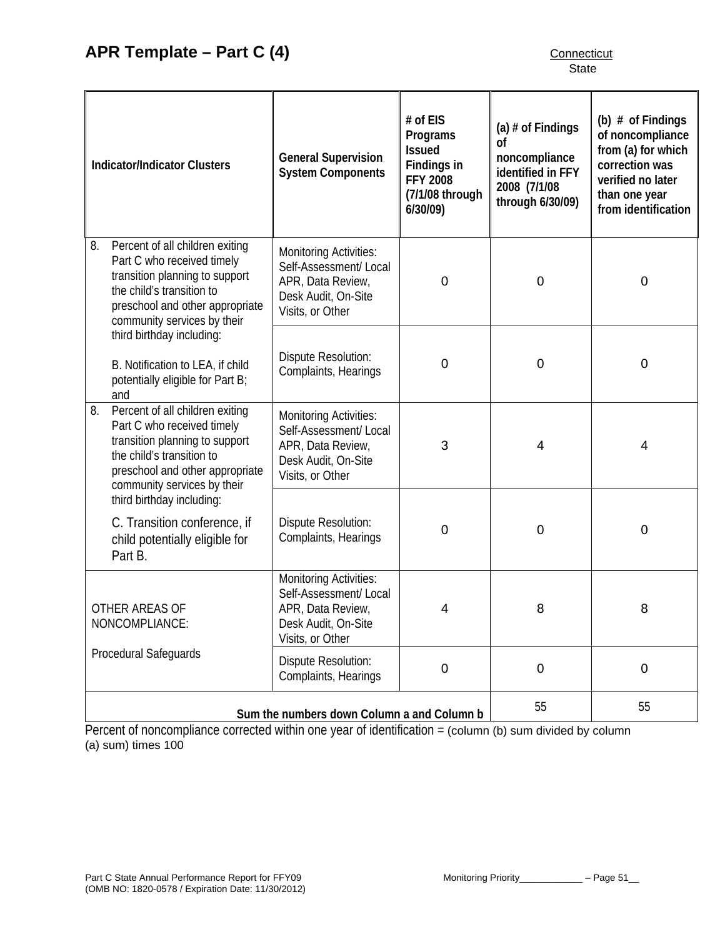| <b>Indicator/Indicator Clusters</b>                                                                                                                                                                  | <b>General Supervision</b><br><b>System Components</b>                                                                  | # of EIS<br>Programs<br><b>Issued</b><br>Findings in<br><b>FFY 2008</b><br>(7/1/08 through<br>6/30/09) | (a) $#$ of Findings<br>0f<br>noncompliance<br>identified in FFY<br>2008 (7/1/08<br>through 6/30/09) | (b) $#$ of Findings<br>of noncompliance<br>from (a) for which<br>correction was<br>verified no later<br>than one year<br>from identification |  |
|------------------------------------------------------------------------------------------------------------------------------------------------------------------------------------------------------|-------------------------------------------------------------------------------------------------------------------------|--------------------------------------------------------------------------------------------------------|-----------------------------------------------------------------------------------------------------|----------------------------------------------------------------------------------------------------------------------------------------------|--|
| Percent of all children exiting<br>8.<br>Part C who received timely<br>transition planning to support<br>the child's transition to<br>preschool and other appropriate<br>community services by their | <b>Monitoring Activities:</b><br>Self-Assessment/ Local<br>APR, Data Review,<br>Desk Audit, On-Site<br>Visits, or Other | $\mathbf 0$                                                                                            | $\mathbf 0$                                                                                         | 0                                                                                                                                            |  |
| third birthday including:<br>B. Notification to LEA, if child<br>potentially eligible for Part B;<br>and                                                                                             | Dispute Resolution:<br>Complaints, Hearings                                                                             | 0                                                                                                      | $\mathbf 0$                                                                                         | $\mathbf 0$                                                                                                                                  |  |
| 8.<br>Percent of all children exiting<br>Part C who received timely<br>transition planning to support<br>the child's transition to<br>preschool and other appropriate<br>community services by their | <b>Monitoring Activities:</b><br>Self-Assessment/Local<br>APR, Data Review,<br>Desk Audit, On-Site<br>Visits, or Other  | 3                                                                                                      | $\overline{4}$                                                                                      | 4                                                                                                                                            |  |
| third birthday including:<br>C. Transition conference, if<br>child potentially eligible for<br>Part B.                                                                                               | Dispute Resolution:<br>Complaints, Hearings                                                                             | 0                                                                                                      | $\mathbf 0$                                                                                         | 0                                                                                                                                            |  |
| OTHER AREAS OF<br>NONCOMPLIANCE:                                                                                                                                                                     | <b>Monitoring Activities:</b><br>Self-Assessment/ Local<br>APR, Data Review,<br>Desk Audit, On-Site<br>Visits, or Other | 4                                                                                                      | 8                                                                                                   | 8                                                                                                                                            |  |
| Procedural Safeguards                                                                                                                                                                                | <b>Dispute Resolution:</b><br>Complaints, Hearings                                                                      | $\pmb{0}$                                                                                              | $\boldsymbol{0}$                                                                                    | $\pmb{0}$                                                                                                                                    |  |
| Sum the numbers down Column a and Column b                                                                                                                                                           |                                                                                                                         |                                                                                                        | 55                                                                                                  | 55                                                                                                                                           |  |

Percent of noncompliance corrected within one year of identification = (column (b) sum divided by column (a) sum) times 100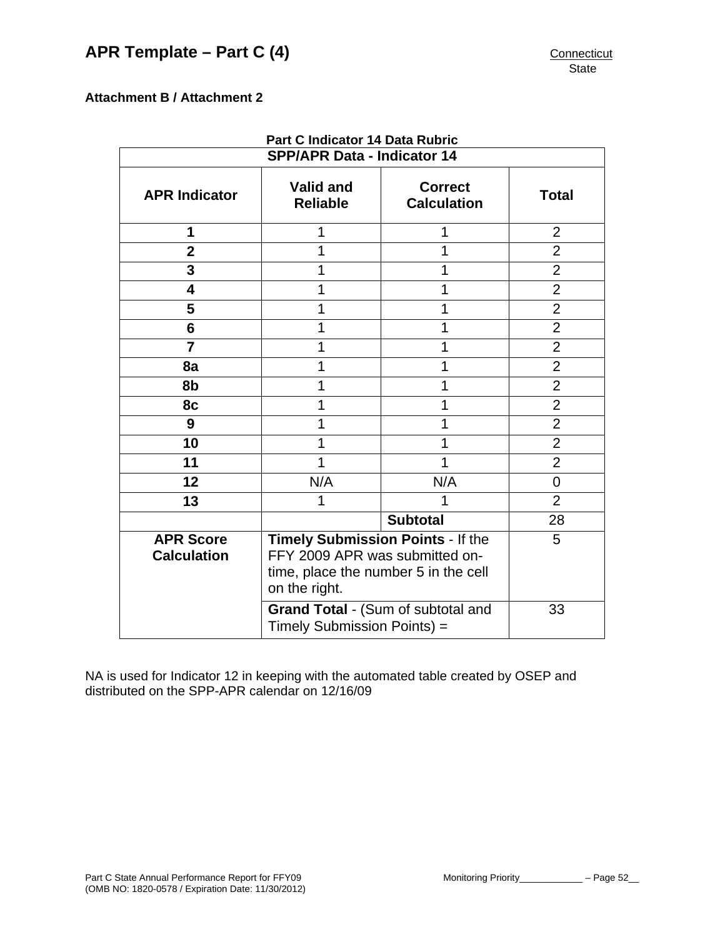# <span id="page-53-0"></span>**Attachment B / Attachment 2**

| Part C Indicator 14 Data Rubric        |                                                                                                                              |                                      |                |  |  |
|----------------------------------------|------------------------------------------------------------------------------------------------------------------------------|--------------------------------------|----------------|--|--|
| <b>SPP/APR Data - Indicator 14</b>     |                                                                                                                              |                                      |                |  |  |
| <b>APR Indicator</b>                   | <b>Valid and</b><br><b>Reliable</b>                                                                                          | <b>Correct</b><br><b>Calculation</b> | <b>Total</b>   |  |  |
| 1                                      |                                                                                                                              | 1                                    | $\overline{2}$ |  |  |
| $\overline{2}$                         |                                                                                                                              | 1                                    | $\overline{2}$ |  |  |
| 3                                      | 1                                                                                                                            | 1                                    | $\overline{2}$ |  |  |
| $\overline{\mathbf{4}}$                | 1                                                                                                                            | 1                                    | $\overline{2}$ |  |  |
| 5                                      |                                                                                                                              | 1                                    | $\overline{2}$ |  |  |
| 6                                      |                                                                                                                              | 1                                    | $\overline{2}$ |  |  |
| $\overline{7}$                         |                                                                                                                              | 1                                    | $\overline{2}$ |  |  |
| 8a                                     |                                                                                                                              | 1                                    |                |  |  |
| 8b                                     | 1                                                                                                                            |                                      | $\overline{2}$ |  |  |
| 8c                                     | 1<br>1                                                                                                                       |                                      | $\overline{2}$ |  |  |
| 9                                      |                                                                                                                              | 1                                    | $\overline{2}$ |  |  |
| 10                                     |                                                                                                                              | 1                                    | $\overline{2}$ |  |  |
| 11                                     |                                                                                                                              | 1                                    | $\overline{2}$ |  |  |
| 12                                     | N/A                                                                                                                          | N/A                                  | 0              |  |  |
| 13                                     |                                                                                                                              | $\overline{2}$                       |                |  |  |
|                                        |                                                                                                                              | 28                                   |                |  |  |
| <b>APR Score</b><br><b>Calculation</b> | Timely Submission Points - If the<br>FFY 2009 APR was submitted on-<br>time, place the number 5 in the cell<br>on the right. | 5                                    |                |  |  |
|                                        | Grand Total - (Sum of subtotal and<br>Timely Submission Points) =                                                            | 33                                   |                |  |  |

NA is used for Indicator 12 in keeping with the automated table created by OSEP and distributed on the SPP-APR calendar on 12/16/09